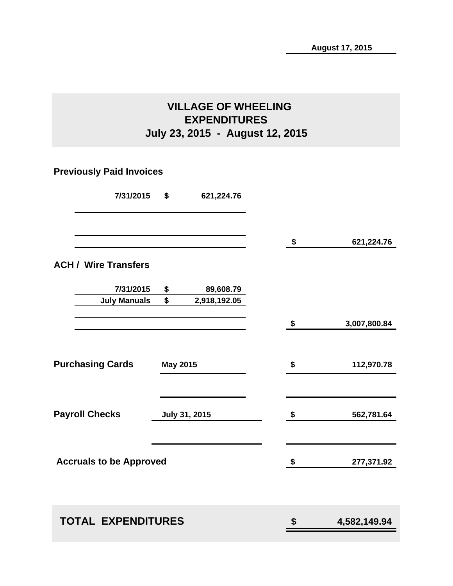# **VILLAGE OF WHEELING EXPENDITURES July 23, 2015 - August 12, 2015**

# **Previously Paid Invoices**

| 7/31/2015                      | \$              | 621,224.76    |                    |
|--------------------------------|-----------------|---------------|--------------------|
|                                |                 |               | \$<br>621,224.76   |
| <b>ACH / Wire Transfers</b>    |                 |               |                    |
| 7/31/2015                      | \$              | 89,608.79     |                    |
| <b>July Manuals</b>            | \$              | 2,918,192.05  |                    |
|                                |                 |               | \$<br>3,007,800.84 |
| <b>Purchasing Cards</b>        | <b>May 2015</b> |               | \$<br>112,970.78   |
| <b>Payroll Checks</b>          |                 | July 31, 2015 | \$<br>562,781.64   |
| <b>Accruals to be Approved</b> |                 |               | \$<br>277,371.92   |
|                                |                 |               |                    |
| <b>TOTAL EXPENDITURES</b>      |                 |               | \$<br>4,582,149.94 |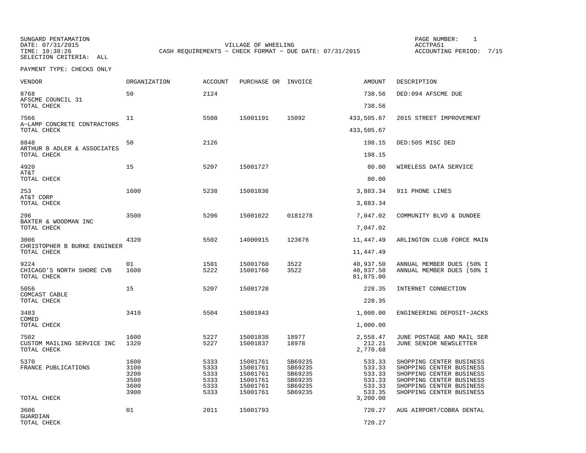SUNGARD PENTAMATION SUNGARD PENTAMATION SUNGARD PAGE NUMBER: 1 SELECTION CRITERIA: ALL

DATE: 07/31/2015 VILLAGE OF WHEELING ACCTPA51CASH REQUIREMENTS - CHECK FORMAT - DUE DATE: 07/31/2015

ACCOUNTING PERIOD: 7/15

PAYMENT TYPE: CHECKS ONLY

| VENDOR                                            | ORGANIZATION                                 | <b>ACCOUNT</b>                               | PURCHASE OR INVOICE                                                  |                                                                | AMOUNT                                                               | DESCRIPTION                                                                                                                                                          |
|---------------------------------------------------|----------------------------------------------|----------------------------------------------|----------------------------------------------------------------------|----------------------------------------------------------------|----------------------------------------------------------------------|----------------------------------------------------------------------------------------------------------------------------------------------------------------------|
| 8768<br>AFSCME COUNCIL 31                         | 50                                           | 2124                                         |                                                                      |                                                                | 738.56                                                               | DED:094 AFSCME DUE                                                                                                                                                   |
| TOTAL CHECK                                       |                                              |                                              |                                                                      |                                                                | 738.56                                                               |                                                                                                                                                                      |
| 7566<br>A-LAMP CONCRETE CONTRACTORS               | 11                                           | 5508                                         | 15001191                                                             | 15092                                                          | 433,505.67                                                           | 2015 STREET IMPROVEMENT                                                                                                                                              |
| TOTAL CHECK                                       |                                              |                                              |                                                                      |                                                                | 433,505.67                                                           |                                                                                                                                                                      |
| 8848<br>ARTHUR B ADLER & ASSOCIATES               | 50                                           | 2126                                         |                                                                      |                                                                | 198.15                                                               | DED:505 MISC DED                                                                                                                                                     |
| TOTAL CHECK                                       |                                              |                                              |                                                                      |                                                                | 198.15                                                               |                                                                                                                                                                      |
| 4920<br>AT&T                                      | 15                                           | 5207                                         | 15001727                                                             |                                                                | 80.00                                                                | WIRELESS DATA SERVICE                                                                                                                                                |
| TOTAL CHECK                                       |                                              |                                              |                                                                      |                                                                | 80.00                                                                |                                                                                                                                                                      |
| 253<br>AT&T CORP                                  | 1600                                         | 5238                                         | 15001836                                                             |                                                                | 3,883.34                                                             | 911 PHONE LINES                                                                                                                                                      |
| TOTAL CHECK                                       |                                              |                                              |                                                                      |                                                                | 3,883.34                                                             |                                                                                                                                                                      |
| 296<br>BAXTER & WOODMAN INC                       | 3500                                         | 5206                                         | 15001022                                                             | 0181278                                                        | 7,047.02                                                             | COMMUNITY BLVD & DUNDEE                                                                                                                                              |
| TOTAL CHECK                                       |                                              |                                              |                                                                      |                                                                | 7,047.02                                                             |                                                                                                                                                                      |
| 3006<br>CHRISTOPHER B BURKE ENGINEER              | 4320                                         | 5502                                         | 14000915                                                             | 123676                                                         | 11,447.49                                                            | ARLINGTON CLUB FORCE MAIN                                                                                                                                            |
| TOTAL CHECK                                       |                                              |                                              |                                                                      |                                                                | 11,447.49                                                            |                                                                                                                                                                      |
| 9224<br>CHICAGO'S NORTH SHORE CVB<br>TOTAL CHECK  | 01<br>1600                                   | 1501<br>5222                                 | 15001760<br>15001760                                                 | 3522<br>3522                                                   | 40,937.50<br>40,937.50<br>81,875.00                                  | ANNUAL MEMBER DUES (50% I<br>ANNUAL MEMBER DUES (50% I                                                                                                               |
| 5056<br>COMCAST CABLE                             | 15                                           | 5207                                         | 15001728                                                             |                                                                | 228.35                                                               | INTERNET CONNECTION                                                                                                                                                  |
| TOTAL CHECK                                       |                                              |                                              |                                                                      |                                                                | 228.35                                                               |                                                                                                                                                                      |
| 3483<br>COMED                                     | 3410                                         | 5504                                         | 15001843                                                             |                                                                | 1,000.00                                                             | ENGINEERING DEPOSIT-JACKS                                                                                                                                            |
| TOTAL CHECK                                       |                                              |                                              |                                                                      |                                                                | 1,000.00                                                             |                                                                                                                                                                      |
| 7502<br>CUSTOM MAILING SERVICE INC<br>TOTAL CHECK | 1600<br>1320                                 | 5227<br>5227                                 | 15001838<br>15001837                                                 | 18977<br>18978                                                 | 2,558.47<br>212.21<br>2,770.68                                       | JUNE POSTAGE AND MAIL SER<br>JUNE SENIOR NEWSLETTER                                                                                                                  |
| 5370<br>FRANCE PUBLICATIONS<br>TOTAL CHECK        | 1600<br>3100<br>3200<br>3500<br>3600<br>3900 | 5333<br>5333<br>5333<br>5333<br>5333<br>5333 | 15001761<br>15001761<br>15001761<br>15001761<br>15001761<br>15001761 | SB69235<br>SB69235<br>SB69235<br>SB69235<br>SB69235<br>SB69235 | 533.33<br>533.33<br>533.33<br>533.33<br>533.33<br>533.35<br>3,200.00 | SHOPPING CENTER BUSINESS<br>SHOPPING CENTER BUSINESS<br>SHOPPING CENTER BUSINESS<br>SHOPPING CENTER BUSINESS<br>SHOPPING CENTER BUSINESS<br>SHOPPING CENTER BUSINESS |
|                                                   |                                              |                                              |                                                                      |                                                                |                                                                      |                                                                                                                                                                      |
| 3606<br>GUARDIAN<br>TOTAL CHECK                   | 01                                           | 2011                                         | 15001793                                                             |                                                                | 720.27<br>720.27                                                     | AUG AIRPORT/COBRA DENTAL                                                                                                                                             |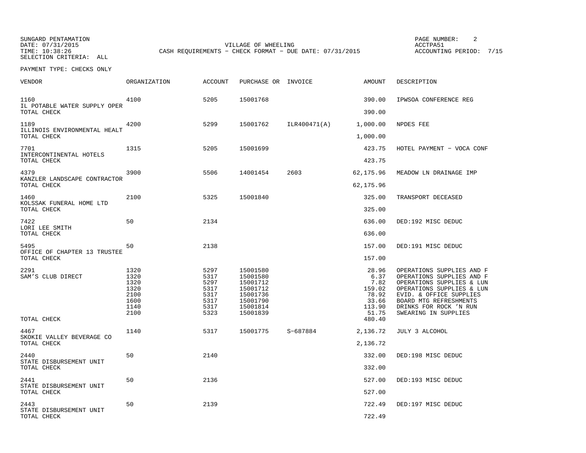SUNGARD PENTAMATION SUNGARD PENTAMATION SUNG PAGE NUMBER: 2 SELECTION CRITERIA: ALL

DATE: 07/31/2015 VILLAGE OF WHEELING ACCTPA51CASH REQUIREMENTS - CHECK FORMAT - DUE DATE: 07/31/2015

ACCOUNTING PERIOD: 7/15

PAYMENT TYPE: CHECKS ONLY

| VENDOR                                              | ORGANIZATION                                                 | <b>ACCOUNT</b>                                               | PURCHASE OR INVOICE                                                                          |              | <b>AMOUNT</b>                                                        | DESCRIPTION                                                                                                                                                                                                             |
|-----------------------------------------------------|--------------------------------------------------------------|--------------------------------------------------------------|----------------------------------------------------------------------------------------------|--------------|----------------------------------------------------------------------|-------------------------------------------------------------------------------------------------------------------------------------------------------------------------------------------------------------------------|
| 1160<br>IL POTABLE WATER SUPPLY OPER                | 4100                                                         | 5205                                                         | 15001768                                                                                     |              | 390.00                                                               | IPWSOA CONFERENCE REG                                                                                                                                                                                                   |
| TOTAL CHECK                                         |                                                              |                                                              |                                                                                              |              | 390.00                                                               |                                                                                                                                                                                                                         |
| 1189<br>ILLINOIS ENVIRONMENTAL HEALT<br>TOTAL CHECK | 4200                                                         | 5299                                                         | 15001762                                                                                     | ILR400471(A) | 1,000.00<br>1,000.00                                                 | NPDES FEE                                                                                                                                                                                                               |
| 7701<br>INTERCONTINENTAL HOTELS                     | 1315                                                         | 5205                                                         | 15001699                                                                                     |              | 423.75                                                               | HOTEL PAYMENT - VOCA CONF                                                                                                                                                                                               |
| TOTAL CHECK                                         |                                                              |                                                              |                                                                                              |              | 423.75                                                               |                                                                                                                                                                                                                         |
| 4379<br>KANZLER LANDSCAPE CONTRACTOR<br>TOTAL CHECK | 3900                                                         | 5506                                                         | 14001454                                                                                     | 2603         | 62,175.96<br>62,175.96                                               | MEADOW LN DRAINAGE IMP                                                                                                                                                                                                  |
| 1460                                                | 2100                                                         | 5325                                                         | 15001840                                                                                     |              | 325.00                                                               | TRANSPORT DECEASED                                                                                                                                                                                                      |
| KOLSSAK FUNERAL HOME LTD<br>TOTAL CHECK             |                                                              |                                                              |                                                                                              |              | 325.00                                                               |                                                                                                                                                                                                                         |
| 7422                                                | 50                                                           | 2134                                                         |                                                                                              |              | 636.00                                                               | DED:192 MISC DEDUC                                                                                                                                                                                                      |
| LORI LEE SMITH<br>TOTAL CHECK                       |                                                              |                                                              |                                                                                              |              | 636.00                                                               |                                                                                                                                                                                                                         |
| 5495                                                | 50                                                           | 2138                                                         |                                                                                              |              | 157.00                                                               | DED:191 MISC DEDUC                                                                                                                                                                                                      |
| OFFICE OF CHAPTER 13 TRUSTEE<br>TOTAL CHECK         |                                                              |                                                              |                                                                                              |              | 157.00                                                               |                                                                                                                                                                                                                         |
| 2291<br>SAM'S CLUB DIRECT                           | 1320<br>1320<br>1320<br>1320<br>2100<br>1600<br>1140<br>2100 | 5297<br>5317<br>5297<br>5317<br>5317<br>5317<br>5317<br>5323 | 15001580<br>15001580<br>15001712<br>15001712<br>15001736<br>15001790<br>15001814<br>15001839 |              | 28.96<br>6.37<br>7.82<br>159.02<br>78.92<br>33.66<br>113.90<br>51.75 | OPERATIONS SUPPLIES AND F<br>OPERATIONS SUPPLIES AND F<br>OPERATIONS SUPPLIES & LUN<br>OPERATIONS SUPPLIES & LUN<br>EVID. & OFFICE SUPPLIES<br>BOARD MTG REFRESHMENTS<br>DRINKS FOR ROCK 'N RUN<br>SWEARING IN SUPPLIES |
| TOTAL CHECK                                         |                                                              |                                                              |                                                                                              |              | 480.40                                                               |                                                                                                                                                                                                                         |
| 4467<br>SKOKIE VALLEY BEVERAGE CO<br>TOTAL CHECK    | 1140                                                         | 5317                                                         | 15001775                                                                                     | S-687884     | 2,136.72<br>2,136.72                                                 | JULY 3 ALCOHOL                                                                                                                                                                                                          |
| 2440<br>STATE DISBURSEMENT UNIT                     | 50                                                           | 2140                                                         |                                                                                              |              | 332.00                                                               | DED:198 MISC DEDUC                                                                                                                                                                                                      |
| TOTAL CHECK                                         |                                                              |                                                              |                                                                                              |              | 332.00                                                               |                                                                                                                                                                                                                         |
| 2441<br>STATE DISBURSEMENT UNIT                     | 50                                                           | 2136                                                         |                                                                                              |              | 527.00                                                               | DED:193 MISC DEDUC                                                                                                                                                                                                      |
| TOTAL CHECK                                         |                                                              |                                                              |                                                                                              |              | 527.00                                                               |                                                                                                                                                                                                                         |
| 2443<br>STATE DISBURSEMENT UNIT                     | 50                                                           | 2139                                                         |                                                                                              |              | 722.49                                                               | DED:197 MISC DEDUC                                                                                                                                                                                                      |
| TOTAL CHECK                                         |                                                              |                                                              |                                                                                              |              | 722.49                                                               |                                                                                                                                                                                                                         |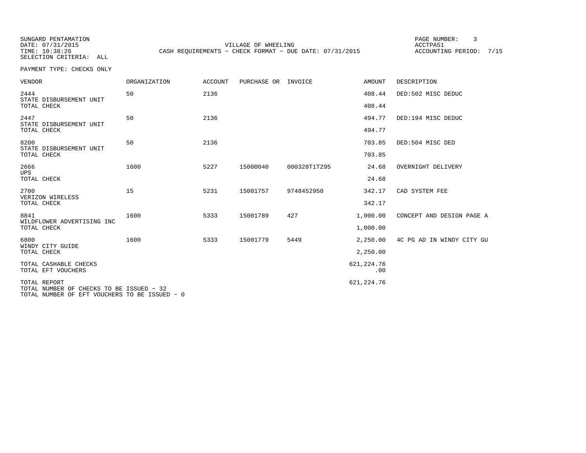SUNGARD PENTAMATION PAGE NUMBER: 3SELECTION CRITERIA: ALL

DATE: 07/31/2015 VILLAGE OF WHEELING ACCTPA51TIME: 10:38:26 CASH REQUIREMENTS - CHECK FORMAT - DUE DATE: 07/31/2015

ACCOUNTING PERIOD: 7/15

PAYMENT TYPE: CHECKS ONLY

| <b>VENDOR</b>                                                                                             | <b>ORGANIZATION</b> | <b>ACCOUNT</b> | PURCHASE OR | INVOICE      | <b>AMOUNT</b>      | DESCRIPTION               |
|-----------------------------------------------------------------------------------------------------------|---------------------|----------------|-------------|--------------|--------------------|---------------------------|
| 2444<br>STATE DISBURSEMENT UNIT                                                                           | 50                  | 2136           |             |              | 408.44             | DED:502 MISC DEDUC        |
| TOTAL CHECK                                                                                               |                     |                |             |              | 408.44             |                           |
| 2447<br>STATE DISBURSEMENT UNIT                                                                           | 50                  | 2136           |             |              | 494.77             | DED:194 MISC DEDUC        |
| TOTAL CHECK                                                                                               |                     |                |             |              | 494.77             |                           |
| 8200<br>STATE DISBURSEMENT UNIT                                                                           | 50                  | 2136           |             |              | 703.85             | DED:504 MISC DED          |
| TOTAL CHECK                                                                                               |                     |                |             |              | 703.85             |                           |
| 2666<br><b>UPS</b>                                                                                        | 1600                | 5227           | 15000040    | 000328T1T295 | 24.68              | OVERNIGHT DELIVERY        |
| TOTAL CHECK                                                                                               |                     |                |             |              | 24.68              |                           |
| 2700<br>VERIZON WIRELESS                                                                                  | 15                  | 5231           | 15001757    | 9748452950   | 342.17             | CAD SYSTEM FEE            |
| TOTAL CHECK                                                                                               |                     |                |             |              | 342.17             |                           |
| 8841<br>WILDFLOWER ADVERTISING INC                                                                        | 1600                | 5333           | 15001789    | 427          | 1,000.00           | CONCEPT AND DESIGN PAGE A |
| TOTAL CHECK                                                                                               |                     |                |             |              | 1,000.00           |                           |
| 6800<br>WINDY CITY GUIDE                                                                                  | 1600                | 5333           | 15001779    | 5449         | 2,250.00           | 4C PG AD IN WINDY CITY GU |
| TOTAL CHECK                                                                                               |                     |                |             |              | 2,250.00           |                           |
| TOTAL CASHABLE CHECKS<br>TOTAL EFT VOUCHERS                                                               |                     |                |             |              | 621, 224.76<br>.00 |                           |
| TOTAL REPORT<br>TOTAL NUMBER OF CHECKS TO BE ISSUED - 32<br>TOTAL NUMBER OF EFT VOUCHERS TO BE ISSUED - 0 |                     |                |             |              | 621, 224.76        |                           |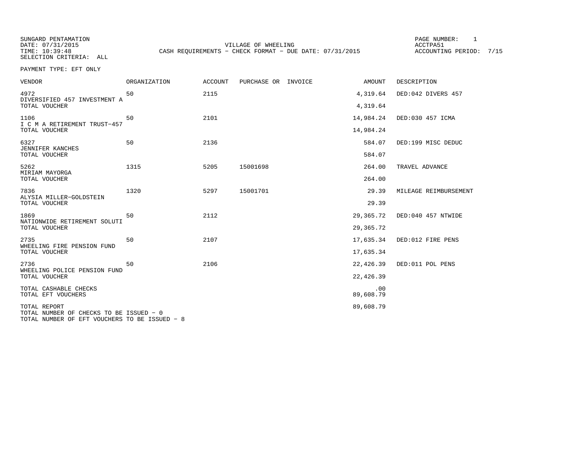SUNGARD PENTAMATION SUNGARD PENTAMATION SUNG PAGE NUMBER: 1 VILLAGE OF WHEELING **ACCTPA51** TIME: 10:39:48 CASH REQUIREMENTS - CHECK FORMAT - DUE DATE: 07/31/2015

ACCOUNTING PERIOD: 7/15

SELECTION CRITERIA: ALLPAYMENT TYPE: EFT ONLY

| <b>VENDOR</b>                               | ORGANIZATION | <b>ACCOUNT</b> | PURCHASE OR INVOICE | AMOUNT           | DESCRIPTION           |
|---------------------------------------------|--------------|----------------|---------------------|------------------|-----------------------|
| 4972<br>DIVERSIFIED 457 INVESTMENT A        | 50           | 2115           |                     | 4,319.64         | DED:042 DIVERS 457    |
| TOTAL VOUCHER                               |              |                |                     | 4,319.64         |                       |
| 1106<br>I C M A RETIREMENT TRUST-457        | 50           | 2101           |                     | 14,984.24        | DED:030 457 ICMA      |
| TOTAL VOUCHER                               |              |                |                     | 14,984.24        |                       |
| 6327<br><b>JENNIFER KANCHES</b>             | 50           | 2136           |                     | 584.07           | DED:199 MISC DEDUC    |
| TOTAL VOUCHER                               |              |                |                     | 584.07           |                       |
| 5262<br>MIRIAM MAYORGA                      | 1315         | 5205           | 15001698            | 264.00           | TRAVEL ADVANCE        |
| TOTAL VOUCHER                               |              |                |                     | 264.00           |                       |
| 7836<br>ALYSIA MILLER-GOLDSTEIN             | 1320         | 5297           | 15001701            | 29.39            | MILEAGE REIMBURSEMENT |
| TOTAL VOUCHER                               |              |                |                     | 29.39            |                       |
| 1869<br>NATIONWIDE RETIREMENT SOLUTI        | 50           | 2112           |                     | 29,365.72        | DED:040 457 NTWIDE    |
| TOTAL VOUCHER                               |              |                |                     | 29,365.72        |                       |
| 2735<br>WHEELING FIRE PENSION FUND          | 50           | 2107           |                     | 17,635.34        | DED:012 FIRE PENS     |
| TOTAL VOUCHER                               |              |                |                     | 17,635.34        |                       |
| 2736<br>WHEELING POLICE PENSION FUND        | 50           | 2106           |                     | 22,426.39        | DED:011 POL PENS      |
| TOTAL VOUCHER                               |              |                |                     | 22,426.39        |                       |
| TOTAL CASHABLE CHECKS<br>TOTAL EFT VOUCHERS |              |                |                     | .00<br>89,608.79 |                       |
| TOTAL REPORT                                |              |                |                     | 89,608.79        |                       |
| TOTAL NUMBER OF CHECKS TO BE ISSUED - 0     |              |                |                     |                  |                       |

TOTAL NUMBER OF EFT VOUCHERS TO BE ISSUED − 8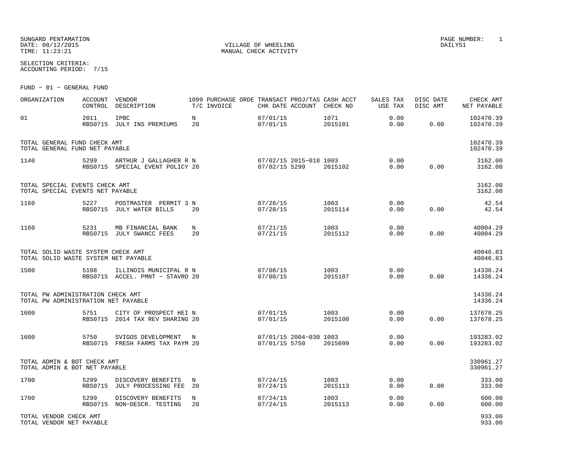| SUNGARD PENTAMATION |
|---------------------|
| DATE: 08/12/2015    |
| TIME: 11:23:21      |

SELECTION CRITERIA:ACCOUNTING PERIOD: 7/15

FUND − 01 − GENERAL FUND

| ORGANIZATION                                                               | ACCOUNT<br>CONTROL | VENDOR<br>DESCRIPTION                                     | 1099 PURCHASE ORDE TRANSACT PROJ/TAS CASH ACCT<br>T/C INVOICE |                                                 |                        | CHK DATE ACCOUNT CHECK NO | SALES TAX<br>USE TAX | DISC DATE<br>DISC AMT | CHECK AMT<br>NET PAYABLE |
|----------------------------------------------------------------------------|--------------------|-----------------------------------------------------------|---------------------------------------------------------------|-------------------------------------------------|------------------------|---------------------------|----------------------|-----------------------|--------------------------|
| 01                                                                         | 2011               | IPBC<br>RBS0715 JULY INS PREMIUMS                         | $\mathbf N$<br>20                                             | 07/01/15<br>07/01/15                            |                        | 1071<br>2015101           | 0.00<br>0.00         | 0.00                  | 102470.39<br>102470.39   |
| TOTAL GENERAL FUND CHECK AMT<br>TOTAL GENERAL FUND NET PAYABLE             |                    |                                                           |                                                               |                                                 |                        |                           |                      |                       | 102470.39<br>102470.39   |
| 1140                                                                       | 5299               | ARTHUR J GALLAGHER R N<br>RBS0715 SPECIAL EVENT POLICY 20 |                                                               | 07/02/15 2015-018 1003<br>07/02/15 5299 2015102 |                        | 2015102                   | 0.00<br>0.00         | 0.00                  | 3162.00<br>3162.00       |
| TOTAL SPECIAL EVENTS CHECK AMT<br>TOTAL SPECIAL EVENTS NET PAYABLE         |                    |                                                           |                                                               |                                                 |                        |                           |                      |                       | 3162.00<br>3162.00       |
| 1160                                                                       | 5227               | POSTMASTER PERMIT 3 N<br>RBS0715 JULY WATER BILLS         | 20                                                            | 07/28/15<br>07/28/15                            |                        | 1003<br>2015114           | 0.00<br>0.00         | 0.00                  | 42.54<br>42.54           |
| 1160                                                                       | 5231               | MB FINANCIAL BANK<br>RBS0715 JULY SWANCC FEES             | N<br>20                                                       | 07/21/15<br>07/21/15                            |                        | 1003<br>2015112           | 0.00<br>0.00         | 0.00                  | 40004.29<br>40004.29     |
| TOTAL SOLID WASTE SYSTEM CHECK AMT<br>TOTAL SOLID WASTE SYSTEM NET PAYABLE |                    |                                                           |                                                               |                                                 |                        |                           |                      |                       | 40046.83<br>40046.83     |
| 1500                                                                       | 5108               | ILLINOIS MUNICIPAL R N<br>RBS0715 ACCEL. PMNT - STAVRO 20 |                                                               | 07/08/15<br>07/08/15                            |                        | 1003<br>2015107           | 0.00<br>0.00         | 0.00                  | 14336.24<br>14336.24     |
| TOTAL PW ADMINISTRATION CHECK AMT<br>TOTAL PW ADMINISTRATION NET PAYABLE   |                    |                                                           |                                                               |                                                 |                        |                           |                      |                       | 14336.24<br>14336.24     |
| 1600                                                                       | 5751               | CITY OF PROSPECT HEI N<br>RBS0715 2014 TAX REV SHARING 20 |                                                               | 07/01/15<br>07/01/15                            |                        | 1003<br>2015100           | 0.00<br>0.00         | 0.00                  | 137678.25<br>137678.25   |
| 1600                                                                       | 5750               | SVIGOS DEVELOPMENT<br>RBS0715 FRESH FARMS TAX PAYM 20     | N                                                             | 07/01/15 5750                                   | 07/01/15 2004-030 1003 | 2015099                   | 0.00<br>0.00         | 0.00                  | 193283.02<br>193283.02   |
| TOTAL ADMIN & BOT CHECK AMT<br>TOTAL ADMIN & BOT NET PAYABLE               |                    |                                                           |                                                               |                                                 |                        |                           |                      |                       | 330961.27<br>330961.27   |
| 1700                                                                       | 5299               | DISCOVERY BENEFITS<br>RBS0715 JULY PROCESSING FEE         | $_{\rm N}$<br>20                                              | 07/24/15<br>07/24/15                            |                        | 1003<br>2015113           | 0.00<br>0.00         | 0.00                  | 333.00<br>333.00         |
| 1700                                                                       | 5299               | DISCOVERY BENEFITS<br>RBS0715 NON-DESCR. TESTING          | N<br>20                                                       | 07/24/15<br>07/24/15                            |                        | 1003<br>2015113           | 0.00<br>0.00         | 0.00                  | 600.00<br>600.00         |
| TOTAL VENDOR CHECK AMT<br>TOTAL VENDOR NET PAYABLE                         |                    |                                                           |                                                               |                                                 |                        |                           |                      |                       | 933.00<br>933.00         |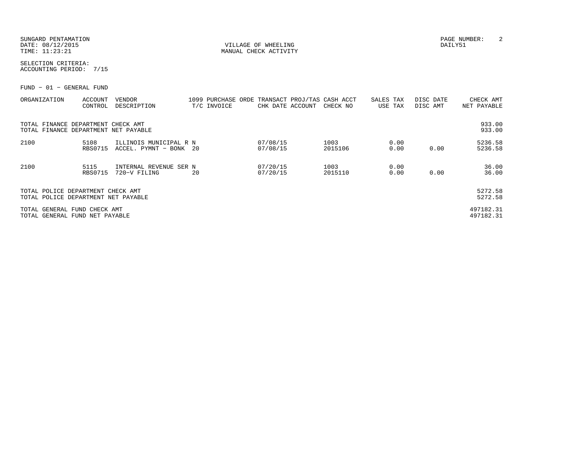SUNGARD PENTAMATION PAGE NUMBER: 2DATE:  $08/12/2015$  DAILY51

TIME:  $11:23:21$  MANUAL CHECK ACTIVITY

SELECTION CRITERIA:ACCOUNTING PERIOD: 7/15

FUND − 01 − GENERAL FUND

| ORGANIZATION                                                               | ACCOUNT<br>CONTROL     | <b>VENDOR</b><br>DESCRIPTION                     |    | 1099 PURCHASE ORDE<br>T/C INVOICE | CHK DATE ACCOUNT     | TRANSACT PROJ/TAS CASH ACCT<br>CHECK NO | SALES TAX<br>USE TAX |              | DISC DATE<br>DISC AMT |      | CHECK AMT<br>NET PAYABLE |
|----------------------------------------------------------------------------|------------------------|--------------------------------------------------|----|-----------------------------------|----------------------|-----------------------------------------|----------------------|--------------|-----------------------|------|--------------------------|
| TOTAL FINANCE DEPARTMENT CHECK AMT<br>TOTAL FINANCE DEPARTMENT NET PAYABLE |                        |                                                  |    |                                   |                      |                                         |                      |              |                       |      | 933.00<br>933.00         |
| 2100                                                                       | 5108<br><b>RBS0715</b> | ILLINOIS MUNICIPAL R N<br>ACCEL. PYMNT - BONK 20 |    |                                   | 07/08/15<br>07/08/15 | 1003<br>2015106                         |                      | 0.00<br>0.00 |                       | 0.00 | 5236.58<br>5236.58       |
| 2100                                                                       | 5115<br><b>RBS0715</b> | INTERNAL REVENUE SER N<br>720-V FILING           | 20 |                                   | 07/20/15<br>07/20/15 | 1003<br>2015110                         |                      | 0.00<br>0.00 |                       | 0.00 | 36.00<br>36.00           |
| TOTAL POLICE DEPARTMENT CHECK AMT<br>TOTAL POLICE DEPARTMENT NET PAYABLE   |                        |                                                  |    |                                   |                      |                                         |                      |              |                       |      | 5272.58<br>5272.58       |
| TOTAL GENERAL FUND CHECK AMT<br>TOTAL GENERAL FUND NET PAYABLE             |                        |                                                  |    |                                   |                      |                                         |                      |              |                       |      | 497182.31<br>497182.31   |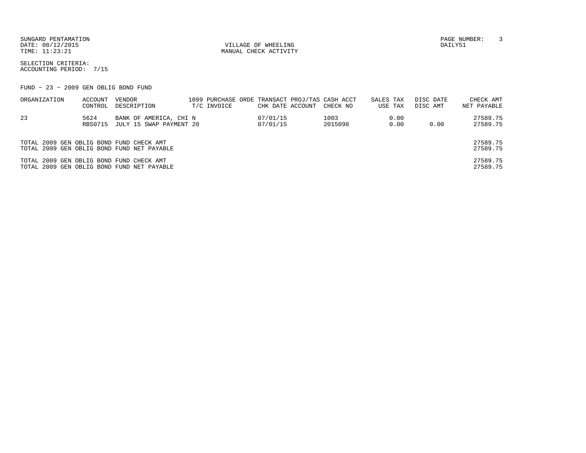SUNGARD PENTAMATION PAGE NUMBER: 3DATE:  $08/12/2015$  DAILY51

TIME:  $11:23:21$  MANUAL CHECK ACTIVITY

SELECTION CRITERIA:ACCOUNTING PERIOD: 7/15

FUND − 23 − 2009 GEN OBLIG BOND FUND

| ORGANIZATION                             | ACCOUNT<br>CONTROL | VENDOR<br>DESCRIPTION                             | T/C INVOICE | CHK DATE ACCOUNT     | 1099 PURCHASE ORDE TRANSACT PROJ/TAS CASH ACCT<br>CHECK NO | SALES TAX<br>USE TAX |              | DISC DATE<br>DISC AMT | CHECK AMT<br>NET PAYABLE |
|------------------------------------------|--------------------|---------------------------------------------------|-------------|----------------------|------------------------------------------------------------|----------------------|--------------|-----------------------|--------------------------|
| 23                                       | 5624<br>RBS0715    | BANK OF AMERICA, CHI N<br>JULY 15 SWAP PAYMENT 20 |             | 07/01/15<br>07/01/15 | 1003<br>2015098                                            |                      | 0.00<br>0.00 | 0.00                  | 27589.75<br>27589.75     |
| TOTAL 2009 GEN OBLIG BOND FUND CHECK AMT |                    | TOTAL 2009 GEN OBLIG BOND FUND NET PAYABLE        |             |                      |                                                            |                      |              |                       | 27589.75<br>27589.75     |
| TOTAL 2009 GEN OBLIG BOND FUND CHECK AMT |                    | TOTAL 2009 GEN OBLIG BOND FUND NET PAYABLE        |             |                      |                                                            |                      |              |                       | 27589.75<br>27589.75     |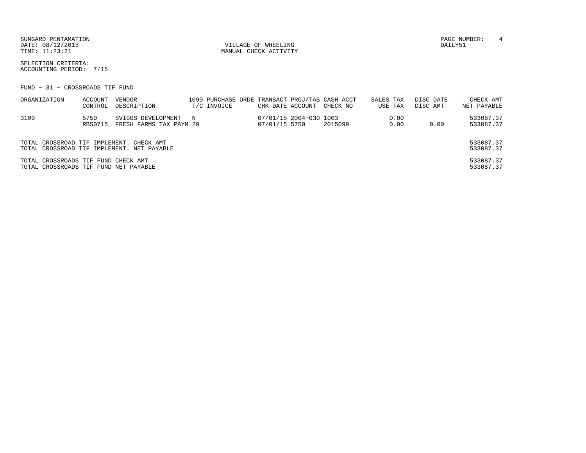SUNGARD PENTAMATION PAGE NUMBER: 4 DATE:  $08/12/2015$  DAILY51

TIME:  $11:23:21$  MANUAL CHECK ACTIVITY

SELECTION CRITERIA:ACCOUNTING PERIOD: 7/15

FUND − 31 − CROSSROADS TIF FUND

| ORGANIZATION                                                                 | ACCOUNT<br>CONTROL | VENDOR<br>DESCRIPTION                           | T/C INVOICE | CHK DATE ACCOUNT |                        | 1099 PURCHASE ORDE TRANSACT PROJ/TAS CASH ACCT<br>CHECK NO | SALES TAX | USE TAX      | DISC DATE<br>DISC AMT | CHECK AMT<br>NET PAYABLE |
|------------------------------------------------------------------------------|--------------------|-------------------------------------------------|-------------|------------------|------------------------|------------------------------------------------------------|-----------|--------------|-----------------------|--------------------------|
| 3100                                                                         | 5750<br>RBS0715    | SVIGOS DEVELOPMENT N<br>FRESH FARMS TAX PAYM 20 |             | 07/01/15 5750    | 07/01/15 2004-030 1003 | 2015099                                                    |           | 0.00<br>0.00 | 0.00                  | 533087.37<br>533087.37   |
| TOTAL CROSSROAD TIF IMPLEMENT. CHECK AMT                                     |                    | TOTAL CROSSROAD TIF IMPLEMENT. NET PAYABLE      |             |                  |                        |                                                            |           |              |                       | 533087.37<br>533087.37   |
| TOTAL CROSSROADS TIF FUND CHECK AMT<br>TOTAL CROSSROADS TIF FUND NET PAYABLE |                    |                                                 |             |                  |                        |                                                            |           |              |                       | 533087.37<br>533087.37   |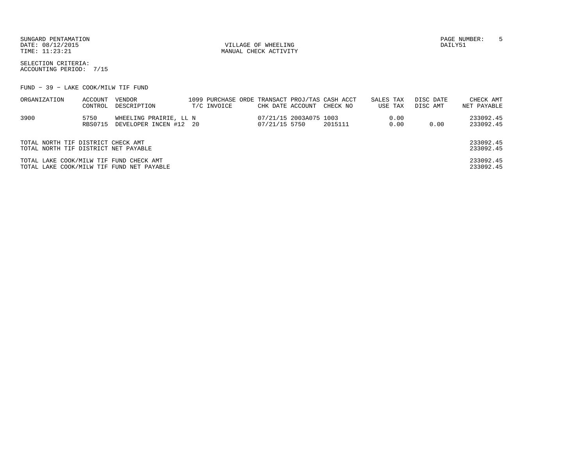SUNGARD PENTAMATION PAGE NUMBER: 5DATE:  $08/12/2015$  DAILY51

TIME:  $11:23:21$  MANUAL CHECK ACTIVITY

SELECTION CRITERIA:ACCOUNTING PERIOD: 7/15

FUND − 39 − LAKE COOK/MILW TIF FUND

| ORGANIZATION                                                               | ACCOUNT<br>CONTROL     | VENDOR<br>DESCRIPTION                            | T/C INVOICE | CHK DATE ACCOUNT |                        | 1099 PURCHASE ORDE TRANSACT PROJ/TAS CASH ACCT<br>CHECK NO | SALES TAX | USE TAX      | DISC DATE<br>DISC AMT | CHECK AMT<br>NET PAYABLE |
|----------------------------------------------------------------------------|------------------------|--------------------------------------------------|-------------|------------------|------------------------|------------------------------------------------------------|-----------|--------------|-----------------------|--------------------------|
| 3900                                                                       | 5750<br><b>RBS0715</b> | WHEELING PRAIRIE, LL N<br>DEVELOPER INCEN #12 20 |             | 07/21/15 5750    | 07/21/15 2003A075 1003 | 2015111                                                    |           | 0.00<br>0.00 | 0.00                  | 233092.45<br>233092.45   |
| TOTAL NORTH TIF DISTRICT CHECK AMT<br>TOTAL NORTH TIF DISTRICT NET PAYABLE |                        |                                                  |             |                  |                        |                                                            |           |              |                       | 233092.45<br>233092.45   |
| TOTAL LAKE COOK/MILW TIF FUND CHECK AMT                                    |                        | TOTAL LAKE COOK/MILW TIF FUND NET PAYABLE        |             |                  |                        |                                                            |           |              |                       | 233092.45<br>233092.45   |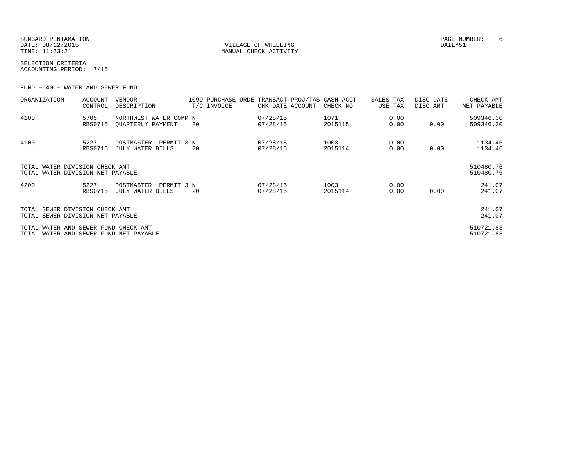SUNGARD PENTAMATION PAGE NUMBER: 6DATE:  $08/12/2015$  DAILY51

TIME:  $11:23:21$  MANUAL CHECK ACTIVITY

SELECTION CRITERIA:ACCOUNTING PERIOD: 7/15

FUND − 40 − WATER AND SEWER FUND

| ORGANIZATION                                                                   | <b>ACCOUNT</b><br>CONTROL | VENDOR<br>DESCRIPTION                        | 1099 PURCHASE ORDE<br>T/C INVOICE | CHK DATE ACCOUNT     | TRANSACT PROJ/TAS CASH ACCT<br>CHECK NO | SALES TAX<br>USE TAX | DISC DATE<br>DISC AMT | CHECK AMT<br>NET PAYABLE |
|--------------------------------------------------------------------------------|---------------------------|----------------------------------------------|-----------------------------------|----------------------|-----------------------------------------|----------------------|-----------------------|--------------------------|
| 4100                                                                           | 5705<br><b>RBS0715</b>    | NORTHWEST WATER COMM N<br>OUARTERLY PAYMENT  | 20                                | 07/28/15<br>07/28/15 | 1071<br>2015115                         | 0.00<br>0.00         | 0.00                  | 509346.30<br>509346.30   |
| 4100                                                                           | 5227<br><b>RBS0715</b>    | POSTMASTER<br>PERMIT 3 N<br>JULY WATER BILLS | 20                                | 07/28/15<br>07/28/15 | 1003<br>2015114                         | 0.00<br>0.00         | 0.00                  | 1134.46<br>1134.46       |
| TOTAL WATER DIVISION CHECK AMT<br>TOTAL WATER DIVISION NET PAYABLE             |                           |                                              |                                   |                      |                                         |                      |                       | 510480.76<br>510480.76   |
| 4200                                                                           | 5227<br><b>RBS0715</b>    | PERMIT 3 N<br>POSTMASTER<br>JULY WATER BILLS | 20                                | 07/28/15<br>07/28/15 | 1003<br>2015114                         | 0.00<br>0.00         | 0.00                  | 241.07<br>241.07         |
| TOTAL SEWER DIVISION CHECK AMT<br>TOTAL SEWER DIVISION NET PAYABLE             |                           |                                              |                                   |                      |                                         |                      |                       | 241.07<br>241.07         |
| TOTAL WATER AND SEWER FUND CHECK AMT<br>TOTAL WATER AND SEWER FUND NET PAYABLE |                           |                                              |                                   |                      |                                         |                      |                       | 510721.83<br>510721.83   |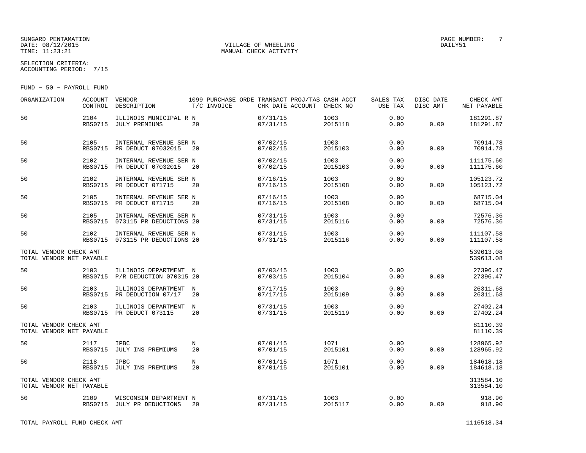## SUNGARD PENTAMATION<br>
SUNGARD PENTAMATION<br>
DATE: 08/12/2015 DATE: 08/12/2015 VILLAGE OF WHEELING DAILY51

MANUAL CHECK ACTIVITY

SELECTION CRITERIA:ACCOUNTING PERIOD: 7/15

FUND − 50 − PAYROLL FUND

| ORGANIZATION                                       | <b>ACCOUNT</b><br>CONTROL | VENDOR<br>DESCRIPTION                                     |                  | T/C INVOICE | CHK DATE ACCOUNT     | 1099 PURCHASE ORDE TRANSACT PROJ/TAS CASH ACCT<br>CHECK NO | SALES TAX<br>USE TAX | DISC DATE<br>DISC AMT | CHECK AMT<br>NET PAYABLE |
|----------------------------------------------------|---------------------------|-----------------------------------------------------------|------------------|-------------|----------------------|------------------------------------------------------------|----------------------|-----------------------|--------------------------|
| 50                                                 | 2104<br><b>RBS0715</b>    | ILLINOIS MUNICIPAL R N<br>JULY PREMIUMS                   | 20               |             | 07/31/15<br>07/31/15 | 1003<br>2015118                                            | 0.00<br>0.00         | 0.00                  | 181291.87<br>181291.87   |
| 50                                                 | 2105<br>RBS0715           | INTERNAL REVENUE SER N<br>PR DEDUCT 07032015              | 20               |             | 07/02/15<br>07/02/15 | 1003<br>2015103                                            | 0.00<br>0.00         | 0.00                  | 70914.78<br>70914.78     |
| 50                                                 | 2102<br><b>RBS0715</b>    | INTERNAL REVENUE SER N<br>PR DEDUCT 07032015              | 20               |             | 07/02/15<br>07/02/15 | 1003<br>2015103                                            | 0.00<br>0.00         | 0.00                  | 111175.60<br>111175.60   |
| 50                                                 | 2102<br><b>RBS0715</b>    | INTERNAL REVENUE SER N<br>PR DEDUCT 071715                | 20               |             | 07/16/15<br>07/16/15 | 1003<br>2015108                                            | 0.00<br>0.00         | 0.00                  | 105123.72<br>105123.72   |
| 50                                                 | 2105<br><b>RBS0715</b>    | INTERNAL REVENUE SER N<br>PR DEDUCT 071715                | 20               |             | 07/16/15<br>07/16/15 | 1003<br>2015108                                            | 0.00<br>0.00         | 0.00                  | 68715.04<br>68715.04     |
| 50                                                 | 2105                      | INTERNAL REVENUE SER N<br>RBS0715 073115 PR DEDUCTIONS 20 |                  |             | 07/31/15<br>07/31/15 | 1003<br>2015116                                            | 0.00<br>0.00         | 0.00                  | 72576.36<br>72576.36     |
| 50                                                 | 2102<br>RBS0715           | INTERNAL REVENUE SER N<br>073115 PR DEDUCTIONS 20         |                  |             | 07/31/15<br>07/31/15 | 1003<br>2015116                                            | 0.00<br>0.00         | 0.00                  | 111107.58<br>111107.58   |
| TOTAL VENDOR CHECK AMT<br>TOTAL VENDOR NET PAYABLE |                           |                                                           |                  |             |                      |                                                            |                      |                       | 539613.08<br>539613.08   |
| 50                                                 | 2103                      | ILLINOIS DEPARTMENT N<br>RBS0715 P/R DEDUCTION 070315 20  |                  |             | 07/03/15<br>07/03/15 | 1003<br>2015104                                            | 0.00<br>0.00         | 0.00                  | 27396.47<br>27396.47     |
| 50                                                 | 2103                      | ILLINOIS DEPARTMENT<br>RBS0715 PR DEDUCTION 07/17         | $_{\rm N}$<br>20 |             | 07/17/15<br>07/17/15 | 1003<br>2015109                                            | 0.00<br>0.00         | 0.00                  | 26311.68<br>26311.68     |
| 50                                                 | 2103                      | ILLINOIS DEPARTMENT<br>RBS0715 PR DEDUCT 073115           | $_{\rm N}$<br>20 |             | 07/31/15<br>07/31/15 | 1003<br>2015119                                            | 0.00<br>0.00         | 0.00                  | 27402.24<br>27402.24     |
| TOTAL VENDOR CHECK AMT<br>TOTAL VENDOR NET PAYABLE |                           |                                                           |                  |             |                      |                                                            |                      |                       | 81110.39<br>81110.39     |
| 50                                                 | 2117<br><b>RBS0715</b>    | <b>IPBC</b><br>JULY INS PREMIUMS                          | N<br>20          |             | 07/01/15<br>07/01/15 | 1071<br>2015101                                            | 0.00<br>0.00         | 0.00                  | 128965.92<br>128965.92   |
| 50                                                 | 2118                      | IPBC<br>RBS0715 JULY INS PREMIUMS                         | N<br>20          |             | 07/01/15<br>07/01/15 | 1071<br>2015101                                            | 0.00<br>0.00         | 0.00                  | 184618.18<br>184618.18   |
| TOTAL VENDOR CHECK AMT<br>TOTAL VENDOR NET PAYABLE |                           |                                                           |                  |             |                      |                                                            |                      |                       | 313584.10<br>313584.10   |
| 50                                                 | 2109<br><b>RBS0715</b>    | WISCONSIN DEPARTMENT N<br>JULY PR DEDUCTIONS              | 20               |             | 07/31/15<br>07/31/15 | 1003<br>2015117                                            | 0.00<br>0.00         | 0.00                  | 918.90<br>918.90         |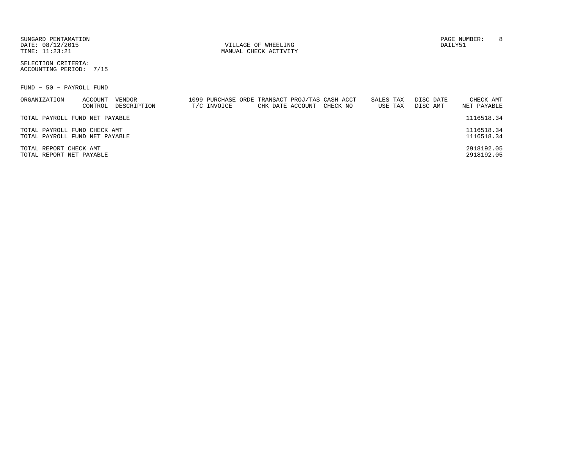| SUNGARD PENTAMATION |
|---------------------|
| DATE: 08/12/2015    |
| TIME: 11:23:21      |

SELECTION CRITERIA:ACCOUNTING PERIOD: 7/15

FUND − 50 − PAYROLL FUND

| ORGANIZATION                   | ACCOUNT | VENDOR      |             |                  | 1099 PURCHASE ORDE TRANSACT PROJ/TAS CASH ACCT | SALES TAX |         | DISC DATE | CHECK AMT   |
|--------------------------------|---------|-------------|-------------|------------------|------------------------------------------------|-----------|---------|-----------|-------------|
|                                | CONTROL | DESCRIPTION | T/C INVOICE | CHK DATE ACCOUNT | CHECK NO                                       |           | USE TAX | DISC AMT  | NET PAYABLE |
| TOTAL PAYROLL FUND NET PAYABLE |         |             |             |                  |                                                |           |         |           | 1116518.34  |
| TOTAL PAYROLL FUND CHECK AMT   |         |             |             |                  |                                                |           |         |           | 1116518.34  |
| TOTAL PAYROLL FUND NET PAYABLE |         |             |             |                  |                                                |           |         |           | 1116518.34  |
| TOTAL REPORT CHECK AMT         |         |             |             |                  |                                                |           |         |           | 2918192.05  |
| TOTAL REPORT NET PAYABLE       |         |             |             |                  |                                                |           |         |           | 2918192.05  |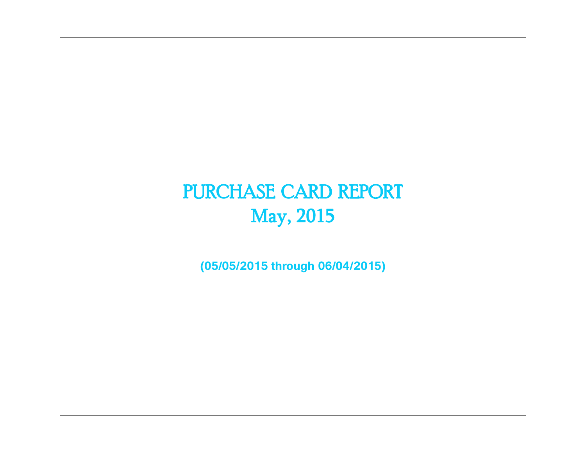# PURCHASE CARD REPORT May, 2015

**(05/05/2015 through 06/04/2015)**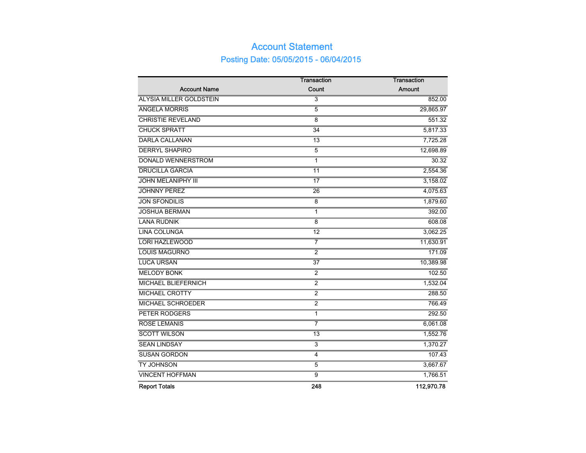# Account Statement Posting Date: 05/05/2015 - 06/04/2015

|                                | <b>Transaction</b> | <b>Transaction</b> |
|--------------------------------|--------------------|--------------------|
| <b>Account Name</b>            | Count              | Amount             |
| <b>ALYSIA MILLER GOLDSTEIN</b> | $\overline{3}$     | 852.00             |
| <b>ANGELA MORRIS</b>           | 5                  | 29,865.97          |
| <b>CHRISTIE REVELAND</b>       | $\overline{8}$     | 551.32             |
| <b>CHUCK SPRATT</b>            | $\overline{34}$    | 5,817.33           |
| <b>DARLA CALLANAN</b>          | $\overline{13}$    | 7,725.28           |
| <b>DERRYL SHAPIRO</b>          | $\overline{5}$     | 12,698.89          |
| <b>DONALD WENNERSTROM</b>      | 1                  | 30.32              |
| <b>DRUCILLA GARCIA</b>         | $\overline{11}$    | 2,554.36           |
| <b>JOHN MELANIPHY III</b>      | $\overline{17}$    | 3,158.02           |
| <b>JOHNNY PEREZ</b>            | $\overline{26}$    | 4,075.63           |
| <b>JON SFONDILIS</b>           | $\overline{8}$     | 1,879.60           |
| <b>JOSHUA BERMAN</b>           | 1                  | 392.00             |
| <b>LANA RUDNIK</b>             | $\overline{8}$     | 608.08             |
| <b>LINA COLUNGA</b>            | $\overline{12}$    | 3,062.25           |
| <b>LORI HAZLEWOOD</b>          | $\overline{7}$     | 11,630.91          |
| <b>LOUIS MAGURNO</b>           | $\overline{2}$     | 171.09             |
| <b>LUCA URSAN</b>              | $\overline{37}$    | 10,389.98          |
| <b>MELODY BONK</b>             | $\overline{2}$     | 102.50             |
| <b>MICHAEL BLIEFERNICH</b>     | $\overline{2}$     | 1,532.04           |
| <b>MICHAEL CROTTY</b>          | $\overline{2}$     | 288.50             |
| <b>MICHAEL SCHROEDER</b>       | $\overline{2}$     | 766.49             |
| PETER RODGERS                  | $\mathbf{1}$       | 292.50             |
| <b>ROSE LEMANIS</b>            | 7                  | 6,061.08           |
| <b>SCOTT WILSON</b>            | 13                 | 1,552.76           |
| <b>SEAN LINDSAY</b>            | $\overline{3}$     | 1,370.27           |
| <b>SUSAN GORDON</b>            | 4                  | 107.43             |
| <b>TY JOHNSON</b>              | $\overline{5}$     | 3,667.67           |
| <b>VINCENT HOFFMAN</b>         | $\overline{9}$     | 1,766.51           |
| <b>Report Totals</b>           | 248                | 112,970.78         |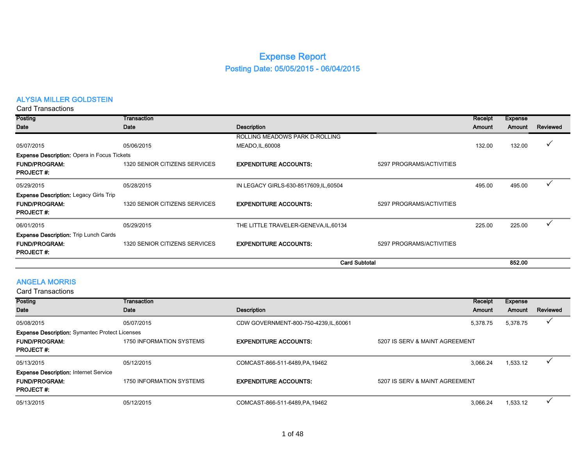# Expense Report Posting Date: 05/05/2015 - 06/04/2015

## ALYSIA MILLER GOLDSTEIN

Card Transactions

| Posting                                            | Transaction                   |                                        |                          | Receipt       | <b>Expense</b> |          |
|----------------------------------------------------|-------------------------------|----------------------------------------|--------------------------|---------------|----------------|----------|
| Date                                               | Date                          | <b>Description</b>                     |                          | <b>Amount</b> | Amount         | Reviewed |
|                                                    |                               | ROLLING MEADOWS PARK D-ROLLING         |                          |               |                |          |
| 05/07/2015                                         | 05/06/2015                    | MEADO, IL, 60008                       |                          | 132.00        | 132.00         | ✓        |
| <b>Expense Description: Opera in Focus Tickets</b> |                               |                                        |                          |               |                |          |
| <b>FUND/PROGRAM:</b>                               | 1320 SENIOR CITIZENS SERVICES | <b>EXPENDITURE ACCOUNTS:</b>           | 5297 PROGRAMS/ACTIVITIES |               |                |          |
| <b>PROJECT#:</b>                                   |                               |                                        |                          |               |                |          |
| 05/29/2015                                         | 05/28/2015                    | IN LEGACY GIRLS-630-8517609, IL, 60504 |                          | 495.00        | 495.00         |          |
| <b>Expense Description: Legacy Girls Trip</b>      |                               |                                        |                          |               |                |          |
| <b>FUND/PROGRAM:</b>                               | 1320 SENIOR CITIZENS SERVICES | <b>EXPENDITURE ACCOUNTS:</b>           | 5297 PROGRAMS/ACTIVITIES |               |                |          |
| <b>PROJECT#:</b>                                   |                               |                                        |                          |               |                |          |
| 06/01/2015                                         | 05/29/2015                    | THE LITTLE TRAVELER-GENEVA, IL, 60134  |                          | 225.00        | 225.00         |          |
| <b>Expense Description: Trip Lunch Cards</b>       |                               |                                        |                          |               |                |          |
| <b>FUND/PROGRAM:</b>                               | 1320 SENIOR CITIZENS SERVICES | <b>EXPENDITURE ACCOUNTS:</b>           | 5297 PROGRAMS/ACTIVITIES |               |                |          |
| <b>PROJECT#:</b>                                   |                               |                                        |                          |               |                |          |
|                                                    |                               | <b>Card Subtotal</b>                   |                          |               | 852.00         |          |

## ANGELA MORRIS

| Card Transactions                                     |                          |                                        |                                |          |          |
|-------------------------------------------------------|--------------------------|----------------------------------------|--------------------------------|----------|----------|
| Posting                                               | Transaction              |                                        | Receipt                        | Expense  |          |
| Date                                                  | Date                     | <b>Description</b>                     | Amount                         | Amount   | Reviewed |
| 05/08/2015                                            | 05/07/2015               | CDW GOVERNMENT-800-750-4239, IL, 60061 | 5,378.75                       | 5,378.75 |          |
| <b>Expense Description: Symantec Protect Licenses</b> |                          |                                        |                                |          |          |
| <b>FUND/PROGRAM:</b>                                  | 1750 INFORMATION SYSTEMS | <b>EXPENDITURE ACCOUNTS:</b>           | 5207 IS SERV & MAINT AGREEMENT |          |          |
| <b>PROJECT#:</b>                                      |                          |                                        |                                |          |          |
| 05/13/2015                                            | 05/12/2015               | COMCAST-866-511-6489, PA, 19462        | 3,066.24                       | 1,533.12 |          |
| <b>Expense Description: Internet Service</b>          |                          |                                        |                                |          |          |
| <b>FUND/PROGRAM:</b>                                  | 1750 INFORMATION SYSTEMS | <b>EXPENDITURE ACCOUNTS:</b>           | 5207 IS SERV & MAINT AGREEMENT |          |          |
| <b>PROJECT#:</b>                                      |                          |                                        |                                |          |          |
| 05/13/2015                                            | 05/12/2015               | COMCAST-866-511-6489, PA, 19462        | 3,066.24                       | 1,533.12 |          |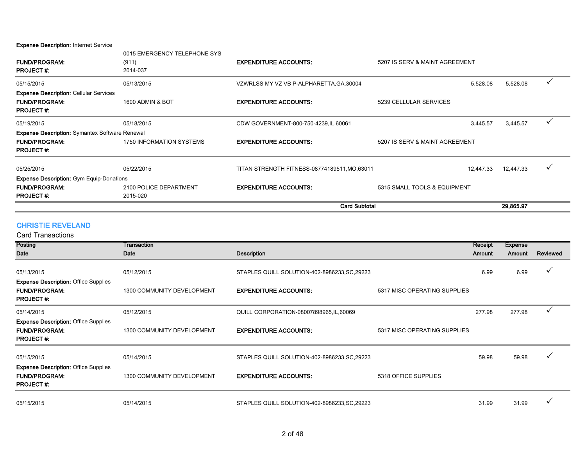Expense Description: Internet Service

|                                                                                                   |                                                   | <b>Card Subtotal</b>                          |                                | 29,865.97 |   |  |
|---------------------------------------------------------------------------------------------------|---------------------------------------------------|-----------------------------------------------|--------------------------------|-----------|---|--|
| <b>FUND/PROGRAM:</b><br><b>PROJECT#:</b>                                                          | 2100 POLICE DEPARTMENT<br>2015-020                | <b>EXPENDITURE ACCOUNTS:</b>                  | 5315 SMALL TOOLS & EQUIPMENT   |           |   |  |
| <b>Expense Description:</b> Gym Equip-Donations                                                   |                                                   |                                               |                                |           |   |  |
| 05/25/2015                                                                                        | 05/22/2015                                        | TITAN STRENGTH FITNESS-08774189511, MO, 63011 | 12,447.33                      | 12,447.33 | ✓ |  |
| <b>Expense Description:</b> Symantex Software Renewal<br><b>FUND/PROGRAM:</b><br><b>PROJECT#:</b> | 1750 INFORMATION SYSTEMS                          | <b>EXPENDITURE ACCOUNTS:</b>                  | 5207 IS SERV & MAINT AGREEMENT |           |   |  |
| 05/19/2015                                                                                        | 05/18/2015                                        | CDW GOVERNMENT-800-750-4239, IL, 60061        | 3,445.57                       | 3,445.57  | ✓ |  |
| <b>Expense Description: Cellular Services</b><br><b>FUND/PROGRAM:</b><br><b>PROJECT#:</b>         | 1600 ADMIN & BOT                                  | <b>EXPENDITURE ACCOUNTS:</b>                  | 5239 CELLULAR SERVICES         |           |   |  |
| 05/15/2015                                                                                        | 05/13/2015                                        | VZWRLSS MY VZ VB P-ALPHARETTA, GA, 30004      | 5,528.08                       | 5,528.08  |   |  |
| <b>FUND/PROGRAM:</b><br><b>PROJECT#:</b>                                                          | 0015 EMERGENCY TELEPHONE SYS<br>(911)<br>2014-037 | <b>EXPENDITURE ACCOUNTS:</b>                  | 5207 IS SERV & MAINT AGREEMENT |           |   |  |

#### CHRISTIE REVELAND

Posting Date **Transaction** Date **Date** Description Receipt Amount Expense Amount Reviewed 05/13/2015 05/12/2015 STAPLES QUILL SOLUTION-402-8986233,SC,29223 6.99 6.99 P FUND/PROGRAM: 1300 COMMUNITY DEVELOPMENT EXPENDITURE ACCOUNTS: 5317 MISC OPERATING SUPPLIES PROJECT #: 05/14/2015 05/12/2015 05/12/2015 QUILL CORPORATION-08007898965,IL,60069 277.98 277.98 277.98 <sup>2</sup> FUND/PROGRAM: 1300 COMMUNITY DEVELOPMENT EXPENDITURE ACCOUNTS: 5317 MISC OPERATING SUPPLIES PROJECT #:  $05/15/2015$   $05/14/2015$   $05/14/2015$   $05/14/2015$   $05/14/2015$   $05/14/2015$   $05/14/2015$   $05/14/2015$   $05/14/2015$   $05/14/2015$   $05/14/2015$   $05/14/2015$   $05/14/2015$   $05/14/2015$   $05/14/2015$   $05/14/2015$   $05/14/2015$  FUND/PROGRAM: 1300 COMMUNITY DEVELOPMENT EXPENDITURE ACCOUNTS: 5318 OFFICE SUPPLIES PROJECT #: 05/15/2015 05/14/2015 STAPLES QUILL SOLUTION-402-8986233,SC,29223 31.99 31.99 P Expense Description: Office Supplies Expense Description: Office Supplies Expense Description: Office Supplies Card Transactions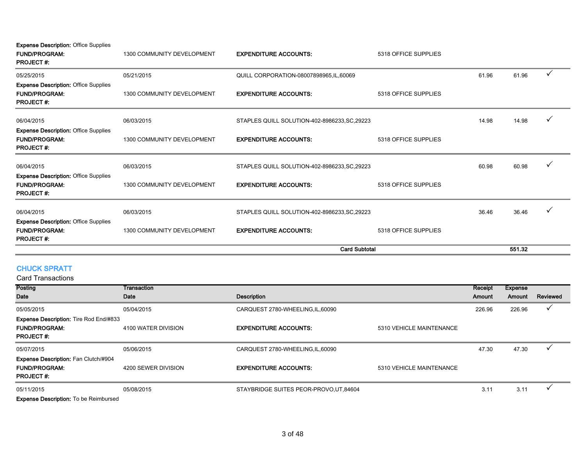**Expense Description: Office Supplies** 

| <b>FUND/PROGRAM:</b><br><b>PROJECT#:</b>                                                | 1300 COMMUNITY DEVELOPMENT | <b>EXPENDITURE ACCOUNTS:</b>                  | 5318 OFFICE SUPPLIES |        |       |              |
|-----------------------------------------------------------------------------------------|----------------------------|-----------------------------------------------|----------------------|--------|-------|--------------|
| 05/25/2015                                                                              | 05/21/2015                 | QUILL CORPORATION-08007898965, IL, 60069      |                      | 61.96  | 61.96 |              |
| <b>Expense Description: Office Supplies</b><br><b>FUND/PROGRAM:</b><br><b>PROJECT#:</b> | 1300 COMMUNITY DEVELOPMENT | <b>EXPENDITURE ACCOUNTS:</b>                  | 5318 OFFICE SUPPLIES |        |       |              |
| 06/04/2015                                                                              | 06/03/2015                 | STAPLES QUILL SOLUTION-402-8986233, SC, 29223 |                      | 14.98  | 14.98 | v            |
| <b>Expense Description: Office Supplies</b><br><b>FUND/PROGRAM:</b><br><b>PROJECT#:</b> | 1300 COMMUNITY DEVELOPMENT | <b>EXPENDITURE ACCOUNTS:</b>                  | 5318 OFFICE SUPPLIES |        |       |              |
| 06/04/2015                                                                              | 06/03/2015                 | STAPLES QUILL SOLUTION-402-8986233, SC, 29223 |                      | 60.98  | 60.98 | $\checkmark$ |
| <b>Expense Description: Office Supplies</b><br><b>FUND/PROGRAM:</b><br><b>PROJECT#:</b> | 1300 COMMUNITY DEVELOPMENT | <b>EXPENDITURE ACCOUNTS:</b>                  | 5318 OFFICE SUPPLIES |        |       |              |
| 06/04/2015                                                                              | 06/03/2015                 | STAPLES QUILL SOLUTION-402-8986233, SC, 29223 |                      | 36.46  | 36.46 |              |
| <b>Expense Description: Office Supplies</b><br><b>FUND/PROGRAM:</b><br><b>PROJECT#:</b> | 1300 COMMUNITY DEVELOPMENT | <b>EXPENDITURE ACCOUNTS:</b>                  | 5318 OFFICE SUPPLIES |        |       |              |
|                                                                                         |                            | <b>Card Subtotal</b>                          |                      | 551.32 |       |              |

## CHUCK SPRATT

Card Transactions

| <b>Posting</b>                                                                            | Transaction         |                                         |                          | Receipt       | <b>Expense</b> |          |
|-------------------------------------------------------------------------------------------|---------------------|-----------------------------------------|--------------------------|---------------|----------------|----------|
| Date                                                                                      | Date                | <b>Description</b>                      |                          | <b>Amount</b> | Amount         | Reviewed |
| 05/05/2015                                                                                | 05/04/2015          | CARQUEST 2780-WHEELING, IL, 60090       |                          | 226.96        | 226.96         |          |
| <b>Expense Description: Tire Rod End/#833</b><br><b>FUND/PROGRAM:</b><br><b>PROJECT#:</b> | 4100 WATER DIVISION | <b>EXPENDITURE ACCOUNTS:</b>            | 5310 VEHICLE MAINTENANCE |               |                |          |
| 05/07/2015                                                                                | 05/06/2015          | CARQUEST 2780-WHEELING, IL, 60090       |                          | 47.30         | 47.30          |          |
| <b>Expense Description: Fan Clutch/#904</b><br><b>FUND/PROGRAM:</b><br><b>PROJECT#:</b>   | 4200 SEWER DIVISION | <b>EXPENDITURE ACCOUNTS:</b>            | 5310 VEHICLE MAINTENANCE |               |                |          |
| 05/11/2015                                                                                | 05/08/2015          | STAYBRIDGE SUITES PEOR-PROVO, UT, 84604 |                          | 3.11          | 3.11           |          |
| <b>Expense Description: To be Reimbursed</b>                                              |                     |                                         |                          |               |                |          |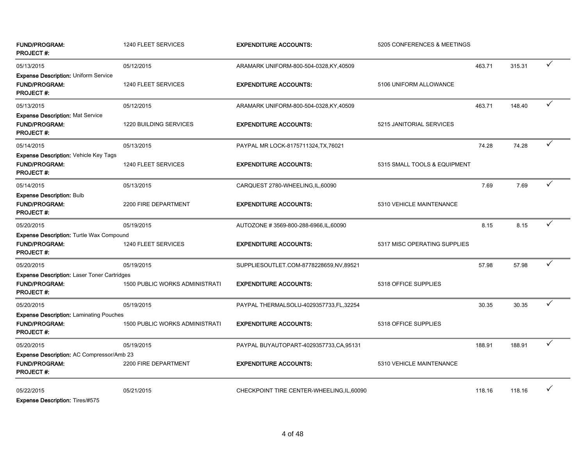| <b>FUND/PROGRAM:</b><br><b>PROJECT#:</b>                                                       | 1240 FLEET SERVICES                   | <b>EXPENDITURE ACCOUNTS:</b>               | 5205 CONFERENCES & MEETINGS  |        |        |              |
|------------------------------------------------------------------------------------------------|---------------------------------------|--------------------------------------------|------------------------------|--------|--------|--------------|
| 05/13/2015<br>Expense Description: Uniform Service                                             | 05/12/2015                            | ARAMARK UNIFORM-800-504-0328, KY, 40509    |                              | 463.71 | 315.31 | ✓            |
| <b>FUND/PROGRAM:</b><br><b>PROJECT#:</b>                                                       | 1240 FLEET SERVICES                   | <b>EXPENDITURE ACCOUNTS:</b>               | 5106 UNIFORM ALLOWANCE       |        |        |              |
| 05/13/2015                                                                                     | 05/12/2015                            | ARAMARK UNIFORM-800-504-0328, KY, 40509    |                              | 463.71 | 148.40 |              |
| <b>Expense Description: Mat Service</b><br><b>FUND/PROGRAM:</b><br><b>PROJECT#:</b>            | <b>1220 BUILDING SERVICES</b>         | <b>EXPENDITURE ACCOUNTS:</b>               | 5215 JANITORIAL SERVICES     |        |        |              |
| 05/14/2015                                                                                     | 05/13/2015                            | PAYPAL MR LOCK-8175711324, TX, 76021       |                              | 74.28  | 74.28  | ✓            |
| <b>Expense Description: Vehicle Key Tags</b><br><b>FUND/PROGRAM:</b><br><b>PROJECT#:</b>       | 1240 FLEET SERVICES                   | <b>EXPENDITURE ACCOUNTS:</b>               | 5315 SMALL TOOLS & EQUIPMENT |        |        |              |
| 05/14/2015                                                                                     | 05/13/2015                            | CARQUEST 2780-WHEELING, IL, 60090          |                              | 7.69   | 7.69   | $\checkmark$ |
| <b>Expense Description: Bulb</b><br><b>FUND/PROGRAM:</b><br><b>PROJECT#:</b>                   | 2200 FIRE DEPARTMENT                  | <b>EXPENDITURE ACCOUNTS:</b>               | 5310 VEHICLE MAINTENANCE     |        |        |              |
| 05/20/2015                                                                                     | 05/19/2015                            | AUTOZONE #3569-800-288-6966, IL, 60090     |                              | 8.15   | 8.15   | ✓            |
| Expense Description: Turtle Wax Compound<br><b>FUND/PROGRAM:</b><br><b>PROJECT#:</b>           | 1240 FLEET SERVICES                   | <b>EXPENDITURE ACCOUNTS:</b>               | 5317 MISC OPERATING SUPPLIES |        |        |              |
| 05/20/2015                                                                                     | 05/19/2015                            | SUPPLIESOUTLET.COM-8778228659,NV,89521     |                              | 57.98  | 57.98  | $\checkmark$ |
| <b>Expense Description: Laser Toner Cartridges</b><br><b>FUND/PROGRAM:</b><br><b>PROJECT#:</b> | <b>1500 PUBLIC WORKS ADMINISTRATI</b> | <b>EXPENDITURE ACCOUNTS:</b>               | 5318 OFFICE SUPPLIES         |        |        |              |
| 05/20/2015                                                                                     | 05/19/2015                            | PAYPAL THERMALSOLU-4029357733,FL,32254     |                              | 30.35  | 30.35  | ✓            |
| <b>Expense Description: Laminating Pouches</b><br><b>FUND/PROGRAM:</b><br>PROJECT #:           | <b>1500 PUBLIC WORKS ADMINISTRATI</b> | <b>EXPENDITURE ACCOUNTS:</b>               | 5318 OFFICE SUPPLIES         |        |        |              |
| 05/20/2015                                                                                     | 05/19/2015                            | PAYPAL BUYAUTOPART-4029357733,CA,95131     |                              | 188.91 | 188.91 | ✓            |
| Expense Description: AC Compressor/Amb 23<br><b>FUND/PROGRAM:</b><br><b>PROJECT#:</b>          | 2200 FIRE DEPARTMENT                  | <b>EXPENDITURE ACCOUNTS:</b>               | 5310 VEHICLE MAINTENANCE     |        |        |              |
| 05/22/2015<br>ホーム・ティー エンティブルロフロ<br>$R = 1$                                                     | 05/21/2015                            | CHECKPOINT TIRE CENTER-WHEELING, IL, 60090 |                              | 118.16 | 118.16 | ✓            |

Expense Description: Tires/#575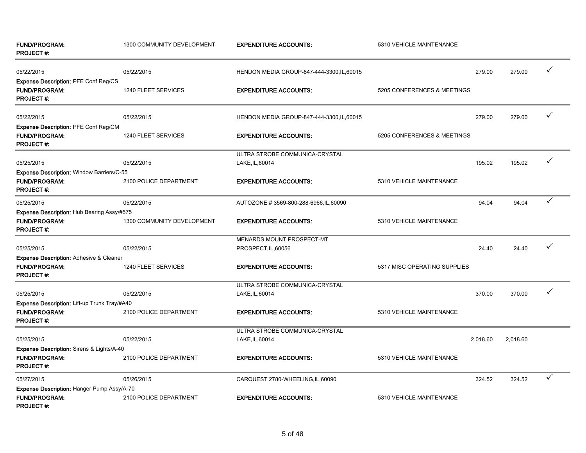| <b>FUND/PROGRAM:</b><br><b>PROJECT#:</b>                                                 | 1300 COMMUNITY DEVELOPMENT | <b>EXPENDITURE ACCOUNTS:</b>                      | 5310 VEHICLE MAINTENANCE     |          |              |
|------------------------------------------------------------------------------------------|----------------------------|---------------------------------------------------|------------------------------|----------|--------------|
| 05/22/2015                                                                               | 05/22/2015                 | HENDON MEDIA GROUP-847-444-3300, IL, 60015        | 279.00                       | 279.00   | ✓            |
| Expense Description: PFE Conf Reg/CS<br><b>FUND/PROGRAM:</b><br><b>PROJECT#:</b>         | 1240 FLEET SERVICES        | <b>EXPENDITURE ACCOUNTS:</b>                      | 5205 CONFERENCES & MEETINGS  |          |              |
| 05/22/2015                                                                               | 05/22/2015                 | HENDON MEDIA GROUP-847-444-3300, IL, 60015        | 279.00                       | 279.00   | ✓            |
| Expense Description: PFE Conf Reg/CM<br><b>FUND/PROGRAM:</b><br><b>PROJECT#:</b>         | 1240 FLEET SERVICES        | <b>EXPENDITURE ACCOUNTS:</b>                      | 5205 CONFERENCES & MEETINGS  |          |              |
| 05/25/2015                                                                               | 05/22/2015                 | ULTRA STROBE COMMUNICA-CRYSTAL<br>LAKE, IL, 60014 | 195.02                       | 195.02   | ✓            |
| Expense Description: Window Barriers/C-55<br><b>FUND/PROGRAM:</b><br><b>PROJECT#:</b>    | 2100 POLICE DEPARTMENT     | <b>EXPENDITURE ACCOUNTS:</b>                      | 5310 VEHICLE MAINTENANCE     |          |              |
| 05/25/2015                                                                               | 05/22/2015                 | AUTOZONE #3569-800-288-6966, IL, 60090            | 94.04                        | 94.04    | ✓            |
| Expense Description: Hub Bearing Assy/#575<br><b>FUND/PROGRAM:</b><br><b>PROJECT#:</b>   | 1300 COMMUNITY DEVELOPMENT | <b>EXPENDITURE ACCOUNTS:</b>                      | 5310 VEHICLE MAINTENANCE     |          |              |
| 05/25/2015                                                                               | 05/22/2015                 | MENARDS MOUNT PROSPECT-MT<br>PROSPECT, IL, 60056  | 24.40                        | 24.40    | ✓            |
| Expense Description: Adhesive & Cleaner                                                  |                            |                                                   |                              |          |              |
| <b>FUND/PROGRAM:</b><br><b>PROJECT#:</b>                                                 | 1240 FLEET SERVICES        | <b>EXPENDITURE ACCOUNTS:</b>                      | 5317 MISC OPERATING SUPPLIES |          |              |
| 05/25/2015                                                                               | 05/22/2015                 | ULTRA STROBE COMMUNICA-CRYSTAL<br>LAKE, IL, 60014 | 370.00                       | 370.00   |              |
| Expense Description: Lift-up Trunk Tray/#A40<br><b>FUND/PROGRAM:</b><br><b>PROJECT#:</b> | 2100 POLICE DEPARTMENT     | <b>EXPENDITURE ACCOUNTS:</b>                      | 5310 VEHICLE MAINTENANCE     |          |              |
| 05/25/2015                                                                               | 05/22/2015                 | ULTRA STROBE COMMUNICA-CRYSTAL<br>LAKE, IL, 60014 | 2.018.60                     | 2.018.60 |              |
| Expense Description: Sirens & Lights/A-40<br><b>FUND/PROGRAM:</b><br><b>PROJECT#:</b>    | 2100 POLICE DEPARTMENT     | <b>EXPENDITURE ACCOUNTS:</b>                      | 5310 VEHICLE MAINTENANCE     |          |              |
| 05/27/2015                                                                               | 05/26/2015                 | CARQUEST 2780-WHEELING, IL, 60090                 | 324.52                       | 324.52   | $\checkmark$ |
| Expense Description: Hanger Pump Assy/A-70<br><b>FUND/PROGRAM:</b><br><b>PROJECT#:</b>   | 2100 POLICE DEPARTMENT     | <b>EXPENDITURE ACCOUNTS:</b>                      | 5310 VEHICLE MAINTENANCE     |          |              |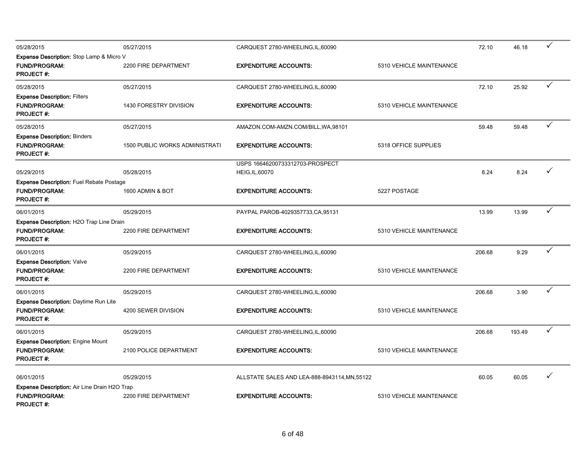| 05/28/2015                                                                                  | 05/27/2015                            | CARQUEST 2780-WHEELING, IL, 60090                         |                          | 72.10  | 46.18  | $\checkmark$ |
|---------------------------------------------------------------------------------------------|---------------------------------------|-----------------------------------------------------------|--------------------------|--------|--------|--------------|
| Expense Description: Stop Lamp & Micro V<br><b>FUND/PROGRAM:</b><br><b>PROJECT#:</b>        | 2200 FIRE DEPARTMENT                  | <b>EXPENDITURE ACCOUNTS:</b>                              | 5310 VEHICLE MAINTENANCE |        |        |              |
| 05/28/2015                                                                                  | 05/27/2015                            | CARQUEST 2780-WHEELING, IL, 60090                         |                          | 72.10  | 25.92  | $\checkmark$ |
| <b>Expense Description: Filters</b><br><b>FUND/PROGRAM:</b><br><b>PROJECT#:</b>             | 1430 FORESTRY DIVISION                | <b>EXPENDITURE ACCOUNTS:</b>                              | 5310 VEHICLE MAINTENANCE |        |        |              |
| 05/28/2015                                                                                  | 05/27/2015                            | AMAZON.COM-AMZN.COM/BILL, WA, 98101                       |                          | 59.48  | 59.48  | $\checkmark$ |
| <b>Expense Description: Binders</b><br><b>FUND/PROGRAM:</b><br><b>PROJECT #:</b>            | <b>1500 PUBLIC WORKS ADMINISTRATI</b> | <b>EXPENDITURE ACCOUNTS:</b>                              | 5318 OFFICE SUPPLIES     |        |        |              |
| 05/29/2015                                                                                  | 05/28/2015                            | USPS 16646200733312703-PROSPECT<br><b>HEIG, IL, 60070</b> |                          | 8.24   | 8.24   | ✓            |
| <b>Expense Description: Fuel Rebate Postage</b><br><b>FUND/PROGRAM:</b><br><b>PROJECT#:</b> | 1600 ADMIN & BOT                      | <b>EXPENDITURE ACCOUNTS:</b>                              | 5227 POSTAGE             |        |        |              |
| 06/01/2015                                                                                  | 05/29/2015                            | PAYPAL PAROB-4029357733, CA, 95131                        |                          | 13.99  | 13.99  | $\checkmark$ |
| Expense Description: H2O Trap Line Drain<br>FUND/PROGRAM:<br><b>PROJECT#:</b>               | 2200 FIRE DEPARTMENT                  | <b>EXPENDITURE ACCOUNTS:</b>                              | 5310 VEHICLE MAINTENANCE |        |        |              |
| 06/01/2015                                                                                  | 05/29/2015                            | CARQUEST 2780-WHEELING, IL, 60090                         |                          | 206.68 | 9.29   | $\checkmark$ |
| <b>Expense Description: Valve</b><br><b>FUND/PROGRAM:</b><br><b>PROJECT#:</b>               | 2200 FIRE DEPARTMENT                  | <b>EXPENDITURE ACCOUNTS:</b>                              | 5310 VEHICLE MAINTENANCE |        |        |              |
| 06/01/2015                                                                                  | 05/29/2015                            | CARQUEST 2780-WHEELING, IL, 60090                         |                          | 206.68 | 3.90   | $\checkmark$ |
| <b>Expense Description: Daytime Run Lite</b><br><b>FUND/PROGRAM:</b><br><b>PROJECT#:</b>    | 4200 SEWER DIVISION                   | <b>EXPENDITURE ACCOUNTS:</b>                              | 5310 VEHICLE MAINTENANCE |        |        |              |
| 06/01/2015                                                                                  | 05/29/2015                            | CARQUEST 2780-WHEELING, IL, 60090                         |                          | 206.68 | 193.49 | $\checkmark$ |
| <b>Expense Description: Engine Mount</b><br>FUND/PROGRAM:<br><b>PROJECT#:</b>               | 2100 POLICE DEPARTMENT                | <b>EXPENDITURE ACCOUNTS:</b>                              | 5310 VEHICLE MAINTENANCE |        |        |              |
| 06/01/2015                                                                                  | 05/29/2015                            | ALLSTATE SALES AND LEA-888-8943114, MN, 55122             |                          | 60.05  | 60.05  | ✓            |
| Expense Description: Air Line Drain H2O Trap<br><b>FUND/PROGRAM:</b><br><b>PROJECT#:</b>    | 2200 FIRE DEPARTMENT                  | <b>EXPENDITURE ACCOUNTS:</b>                              | 5310 VEHICLE MAINTENANCE |        |        |              |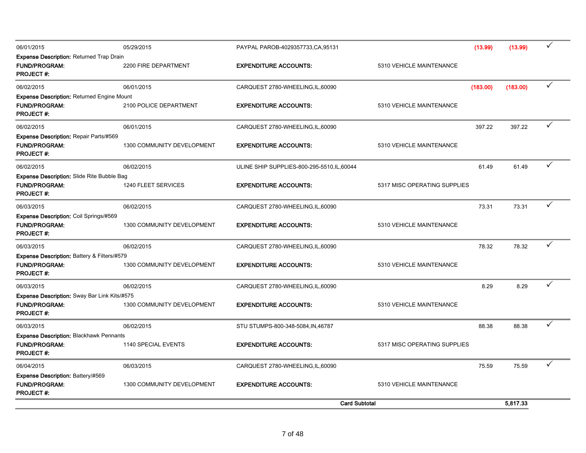| 06/01/2015                                                                                    | 05/29/2015                 | PAYPAL PAROB-4029357733, CA, 95131          |                              | (13.99)  | (13.99)  | $\checkmark$ |
|-----------------------------------------------------------------------------------------------|----------------------------|---------------------------------------------|------------------------------|----------|----------|--------------|
| <b>Expense Description: Returned Trap Drain</b><br><b>FUND/PROGRAM:</b><br><b>PROJECT#:</b>   | 2200 FIRE DEPARTMENT       | <b>EXPENDITURE ACCOUNTS:</b>                | 5310 VEHICLE MAINTENANCE     |          |          |              |
| 06/02/2015                                                                                    | 06/01/2015                 | CARQUEST 2780-WHEELING, IL, 60090           |                              | (183.00) | (183.00) | $\checkmark$ |
| Expense Description: Returned Engine Mount<br><b>FUND/PROGRAM:</b><br><b>PROJECT#:</b>        | 2100 POLICE DEPARTMENT     | <b>EXPENDITURE ACCOUNTS:</b>                | 5310 VEHICLE MAINTENANCE     |          |          |              |
| 06/02/2015                                                                                    | 06/01/2015                 | CARQUEST 2780-WHEELING, IL, 60090           |                              | 397.22   | 397.22   | $\checkmark$ |
| Expense Description: Repair Parts/#569<br><b>FUND/PROGRAM:</b><br>PROJECT #:                  | 1300 COMMUNITY DEVELOPMENT | <b>EXPENDITURE ACCOUNTS:</b>                | 5310 VEHICLE MAINTENANCE     |          |          |              |
| 06/02/2015                                                                                    | 06/02/2015                 | ULINE SHIP SUPPLIES-800-295-5510, IL, 60044 |                              | 61.49    | 61.49    | $\checkmark$ |
| <b>Expense Description: Slide Rite Bubble Bag</b><br><b>FUND/PROGRAM:</b><br><b>PROJECT#:</b> | 1240 FLEET SERVICES        | <b>EXPENDITURE ACCOUNTS:</b>                | 5317 MISC OPERATING SUPPLIES |          |          |              |
| 06/03/2015                                                                                    | 06/02/2015                 | CARQUEST 2780-WHEELING, IL, 60090           |                              | 73.31    | 73.31    | $\checkmark$ |
| Expense Description: Coil Springs/#569<br><b>FUND/PROGRAM:</b><br><b>PROJECT #:</b>           | 1300 COMMUNITY DEVELOPMENT | <b>EXPENDITURE ACCOUNTS:</b>                | 5310 VEHICLE MAINTENANCE     |          |          |              |
| 06/03/2015                                                                                    | 06/02/2015                 | CARQUEST 2780-WHEELING, IL, 60090           |                              | 78.32    | 78.32    | $\checkmark$ |
| Expense Description: Battery & Filters/#579                                                   |                            |                                             |                              |          |          |              |
| <b>FUND/PROGRAM:</b><br><b>PROJECT#:</b>                                                      | 1300 COMMUNITY DEVELOPMENT | <b>EXPENDITURE ACCOUNTS:</b>                | 5310 VEHICLE MAINTENANCE     |          |          |              |
| 06/03/2015                                                                                    | 06/02/2015                 | CARQUEST 2780-WHEELING, IL, 60090           |                              | 8.29     | 8.29     | ✓            |
| Expense Description: Sway Bar Link Kits/#575<br><b>FUND/PROGRAM:</b><br><b>PROJECT#:</b>      | 1300 COMMUNITY DEVELOPMENT | <b>EXPENDITURE ACCOUNTS:</b>                | 5310 VEHICLE MAINTENANCE     |          |          |              |
| 06/03/2015                                                                                    | 06/02/2015                 | STU STUMPS-800-348-5084, IN, 46787          |                              | 88.38    | 88.38    | $\checkmark$ |
| <b>Expense Description: Blackhawk Pennants</b><br><b>FUND/PROGRAM:</b><br><b>PROJECT #:</b>   | 1140 SPECIAL EVENTS        | <b>EXPENDITURE ACCOUNTS:</b>                | 5317 MISC OPERATING SUPPLIES |          |          |              |
| 06/04/2015                                                                                    | 06/03/2015                 | CARQUEST 2780-WHEELING, IL, 60090           |                              | 75.59    | 75.59    | ✓            |
| Expense Description: Battery/#569<br>FUND/PROGRAM:<br><b>PROJECT #:</b>                       | 1300 COMMUNITY DEVELOPMENT | <b>EXPENDITURE ACCOUNTS:</b>                | 5310 VEHICLE MAINTENANCE     |          |          |              |
|                                                                                               |                            | <b>Card Subtotal</b>                        |                              |          | 5,817.33 |              |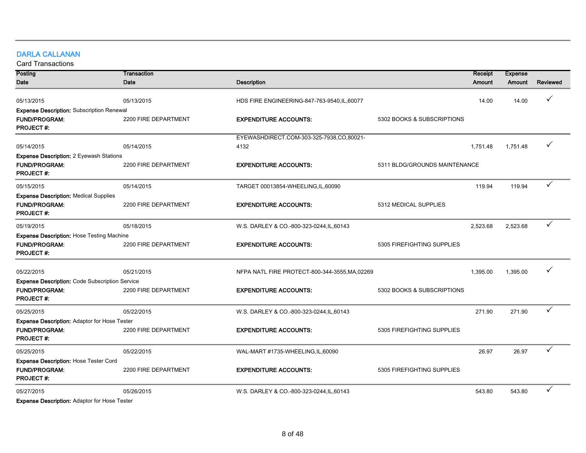# DARLA CALLANAN

Card Transactions

| Posting                                                                                  | Transaction          |                                                |                               | Receipt<br><b>Expense</b> |              |
|------------------------------------------------------------------------------------------|----------------------|------------------------------------------------|-------------------------------|---------------------------|--------------|
| Date                                                                                     | Date                 | <b>Description</b>                             | Amount                        | Amount                    | Reviewed     |
| 05/13/2015                                                                               | 05/13/2015           | HDS FIRE ENGINEERING-847-763-9540, IL, 60077   |                               | 14.00<br>14.00            | $\checkmark$ |
| <b>Expense Description: Subscription Renewal</b>                                         |                      |                                                |                               |                           |              |
| <b>FUND/PROGRAM:</b><br><b>PROJECT#:</b>                                                 | 2200 FIRE DEPARTMENT | <b>EXPENDITURE ACCOUNTS:</b>                   | 5302 BOOKS & SUBSCRIPTIONS    |                           |              |
|                                                                                          |                      | EYEWASHDIRECT.COM-303-325-7938,CO,80021-       |                               |                           |              |
| 05/14/2015                                                                               | 05/14/2015           | 4132                                           | 1,751.48                      | 1,751.48                  |              |
| <b>Expense Description: 2 Eyewash Stations</b>                                           |                      |                                                |                               |                           |              |
| <b>FUND/PROGRAM:</b><br><b>PROJECT#:</b>                                                 | 2200 FIRE DEPARTMENT | <b>EXPENDITURE ACCOUNTS:</b>                   | 5311 BLDG/GROUNDS MAINTENANCE |                           |              |
| 05/15/2015                                                                               | 05/14/2015           | TARGET 00013854-WHEELING, IL, 60090            |                               | 119.94<br>119.94          | ✓            |
| <b>Expense Description: Medical Supplies</b><br><b>FUND/PROGRAM:</b><br><b>PROJECT#:</b> | 2200 FIRE DEPARTMENT | <b>EXPENDITURE ACCOUNTS:</b>                   | 5312 MEDICAL SUPPLIES         |                           |              |
| 05/19/2015                                                                               | 05/18/2015           | W.S. DARLEY & CO.-800-323-0244, IL, 60143      | 2,523.68                      | 2,523.68                  | ✓            |
| <b>Expense Description: Hose Testing Machine</b>                                         |                      |                                                |                               |                           |              |
| <b>FUND/PROGRAM:</b><br><b>PROJECT#:</b>                                                 | 2200 FIRE DEPARTMENT | <b>EXPENDITURE ACCOUNTS:</b>                   | 5305 FIREFIGHTING SUPPLIES    |                           |              |
| 05/22/2015                                                                               | 05/21/2015           | NFPA NATL FIRE PROTECT-800-344-3555, MA, 02269 | 1,395.00                      | 1,395.00                  | ✓            |
| <b>Expense Description: Code Subscription Service</b>                                    |                      |                                                |                               |                           |              |
| <b>FUND/PROGRAM:</b><br><b>PROJECT#:</b>                                                 | 2200 FIRE DEPARTMENT | <b>EXPENDITURE ACCOUNTS:</b>                   | 5302 BOOKS & SUBSCRIPTIONS    |                           |              |
| 05/25/2015                                                                               | 05/22/2015           | W.S. DARLEY & CO.-800-323-0244, IL, 60143      |                               | 271.90<br>271.90          | ✓            |
| <b>Expense Description: Adaptor for Hose Tester</b>                                      |                      |                                                |                               |                           |              |
| <b>FUND/PROGRAM:</b><br><b>PROJECT#:</b>                                                 | 2200 FIRE DEPARTMENT | <b>EXPENDITURE ACCOUNTS:</b>                   | 5305 FIREFIGHTING SUPPLIES    |                           |              |
| 05/25/2015                                                                               | 05/22/2015           | WAL-MART #1735-WHEELING,IL,60090               |                               | 26.97<br>26.97            | $\checkmark$ |
| Expense Description: Hose Tester Cord<br><b>FUND/PROGRAM:</b><br><b>PROJECT#:</b>        | 2200 FIRE DEPARTMENT | <b>EXPENDITURE ACCOUNTS:</b>                   | 5305 FIREFIGHTING SUPPLIES    |                           |              |
| 05/27/2015                                                                               | 05/26/2015           | W.S. DARLEY & CO.-800-323-0244, IL, 60143      |                               | 543.80<br>543.80          | ✓            |
| Expanse Description: Adoptor for Hope Toptor                                             |                      |                                                |                               |                           |              |

Expense Description: Adaptor for Hose Tester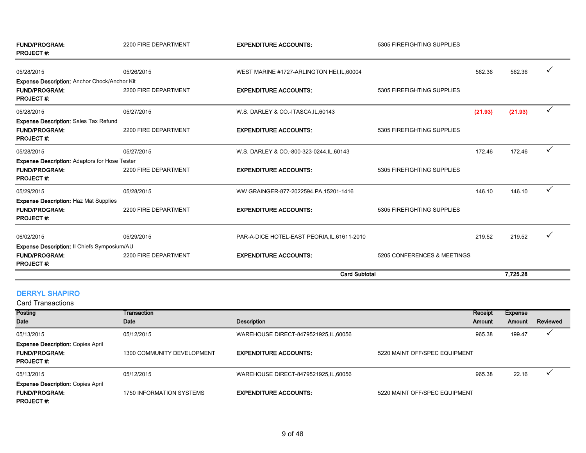| <b>FUND/PROGRAM:</b><br><b>PROJECT#:</b>                                                         | 2200 FIRE DEPARTMENT | <b>EXPENDITURE ACCOUNTS:</b>                 | 5305 FIREFIGHTING SUPPLIES  |         |          |   |
|--------------------------------------------------------------------------------------------------|----------------------|----------------------------------------------|-----------------------------|---------|----------|---|
| 05/28/2015                                                                                       | 05/26/2015           | WEST MARINE #1727-ARLINGTON HEI, IL, 60004   |                             | 562.36  | 562.36   | ✓ |
| Expense Description: Anchor Chock/Anchor Kit<br><b>FUND/PROGRAM:</b><br><b>PROJECT#:</b>         | 2200 FIRE DEPARTMENT | <b>EXPENDITURE ACCOUNTS:</b>                 | 5305 FIREFIGHTING SUPPLIES  |         |          |   |
| 05/28/2015                                                                                       | 05/27/2015           | W.S. DARLEY & CO.-ITASCA, IL, 60143          |                             | (21.93) | (21.93)  | ✓ |
| <b>Expense Description: Sales Tax Refund</b><br><b>FUND/PROGRAM:</b><br><b>PROJECT#:</b>         | 2200 FIRE DEPARTMENT | <b>EXPENDITURE ACCOUNTS:</b>                 | 5305 FIREFIGHTING SUPPLIES  |         |          |   |
| 05/28/2015                                                                                       | 05/27/2015           | W.S. DARLEY & CO.-800-323-0244, IL, 60143    |                             | 172.46  | 172.46   |   |
| <b>Expense Description: Adaptors for Hose Tester</b><br><b>FUND/PROGRAM:</b><br><b>PROJECT#:</b> | 2200 FIRE DEPARTMENT | <b>EXPENDITURE ACCOUNTS:</b>                 | 5305 FIREFIGHTING SUPPLIES  |         |          |   |
| 05/29/2015                                                                                       | 05/28/2015           | WW GRAINGER-877-2022594, PA, 15201-1416      |                             | 146.10  | 146.10   |   |
| <b>Expense Description: Haz Mat Supplies</b><br><b>FUND/PROGRAM:</b><br><b>PROJECT#:</b>         | 2200 FIRE DEPARTMENT | <b>EXPENDITURE ACCOUNTS:</b>                 | 5305 FIREFIGHTING SUPPLIES  |         |          |   |
| 06/02/2015<br>Expense Description: Il Chiefs Symposium/AU                                        | 05/29/2015           | PAR-A-DICE HOTEL-EAST PEORIA, IL, 61611-2010 |                             | 219.52  | 219.52   | ✓ |
| <b>FUND/PROGRAM:</b><br><b>PROJECT#:</b>                                                         | 2200 FIRE DEPARTMENT | <b>EXPENDITURE ACCOUNTS:</b>                 | 5205 CONFERENCES & MEETINGS |         |          |   |
|                                                                                                  |                      | <b>Card Subtotal</b>                         |                             |         | 7,725.28 |   |

## DERRYL SHAPIRO

| Card Transactions                        |                            |                                        |                               |         |         |          |
|------------------------------------------|----------------------------|----------------------------------------|-------------------------------|---------|---------|----------|
| <b>Posting</b>                           | Transaction                |                                        |                               | Receipt | Expense |          |
| Date                                     | Date                       | <b>Description</b>                     |                               | Amount  | Amount  | Reviewed |
| 05/13/2015                               | 05/12/2015                 | WAREHOUSE DIRECT-8479521925, IL, 60056 |                               | 965.38  | 199.47  |          |
| <b>Expense Description: Copies April</b> |                            |                                        |                               |         |         |          |
| <b>FUND/PROGRAM:</b>                     | 1300 COMMUNITY DEVELOPMENT | <b>EXPENDITURE ACCOUNTS:</b>           | 5220 MAINT OFF/SPEC EQUIPMENT |         |         |          |
| <b>PROJECT#:</b>                         |                            |                                        |                               |         |         |          |
| 05/13/2015                               | 05/12/2015                 | WAREHOUSE DIRECT-8479521925, IL, 60056 |                               | 965.38  | 22.16   |          |
| <b>Expense Description: Copies April</b> |                            |                                        |                               |         |         |          |
| <b>FUND/PROGRAM:</b>                     | 1750 INFORMATION SYSTEMS   | <b>EXPENDITURE ACCOUNTS:</b>           | 5220 MAINT OFF/SPEC EQUIPMENT |         |         |          |
| <b>PROJECT#:</b>                         |                            |                                        |                               |         |         |          |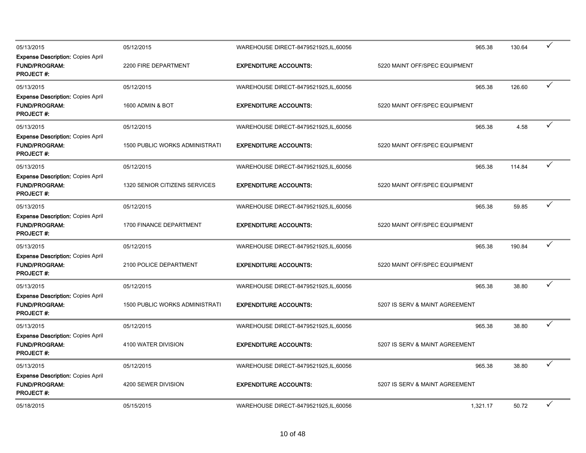| 05/13/2015                                                                           | 05/12/2015                            | WAREHOUSE DIRECT-8479521925, IL, 60056 | 965.38                         | 130.64 | $\checkmark$ |  |
|--------------------------------------------------------------------------------------|---------------------------------------|----------------------------------------|--------------------------------|--------|--------------|--|
| <b>Expense Description: Copies April</b><br><b>FUND/PROGRAM:</b><br><b>PROJECT#:</b> | 2200 FIRE DEPARTMENT                  | <b>EXPENDITURE ACCOUNTS:</b>           | 5220 MAINT OFF/SPEC EQUIPMENT  |        |              |  |
| 05/13/2015                                                                           | 05/12/2015                            | WAREHOUSE DIRECT-8479521925, IL, 60056 | 965.38                         | 126.60 | ✓            |  |
| <b>Expense Description: Copies April</b><br><b>FUND/PROGRAM:</b><br><b>PROJECT#:</b> | 1600 ADMIN & BOT                      | <b>EXPENDITURE ACCOUNTS:</b>           | 5220 MAINT OFF/SPEC EQUIPMENT  |        |              |  |
| 05/13/2015                                                                           | 05/12/2015                            | WAREHOUSE DIRECT-8479521925, IL, 60056 | 965.38                         | 4.58   | $\checkmark$ |  |
| <b>Expense Description: Copies April</b><br><b>FUND/PROGRAM:</b><br><b>PROJECT#:</b> | 1500 PUBLIC WORKS ADMINISTRATI        | <b>EXPENDITURE ACCOUNTS:</b>           | 5220 MAINT OFF/SPEC EQUIPMENT  |        |              |  |
| 05/13/2015                                                                           | 05/12/2015                            | WAREHOUSE DIRECT-8479521925, IL, 60056 | 965.38                         | 114.84 | $\checkmark$ |  |
| <b>Expense Description: Copies April</b><br><b>FUND/PROGRAM:</b><br>PROJECT#:        | 1320 SENIOR CITIZENS SERVICES         | <b>EXPENDITURE ACCOUNTS:</b>           | 5220 MAINT OFF/SPEC EQUIPMENT  |        |              |  |
| 05/13/2015                                                                           | 05/12/2015                            | WAREHOUSE DIRECT-8479521925, IL, 60056 | 965.38                         | 59.85  | ✓            |  |
| <b>Expense Description: Copies April</b><br><b>FUND/PROGRAM:</b><br><b>PROJECT#:</b> | 1700 FINANCE DEPARTMENT               | <b>EXPENDITURE ACCOUNTS:</b>           | 5220 MAINT OFF/SPEC EQUIPMENT  |        |              |  |
| 05/13/2015                                                                           | 05/12/2015                            | WAREHOUSE DIRECT-8479521925, IL, 60056 | 965.38                         | 190.84 | $\checkmark$ |  |
| <b>Expense Description: Copies April</b><br><b>FUND/PROGRAM:</b><br><b>PROJECT#:</b> | 2100 POLICE DEPARTMENT                | <b>EXPENDITURE ACCOUNTS:</b>           | 5220 MAINT OFF/SPEC EQUIPMENT  |        |              |  |
| 05/13/2015                                                                           | 05/12/2015                            | WAREHOUSE DIRECT-8479521925, IL, 60056 | 965.38                         | 38.80  | $\checkmark$ |  |
| <b>Expense Description: Copies April</b><br><b>FUND/PROGRAM:</b><br><b>PROJECT#:</b> | <b>1500 PUBLIC WORKS ADMINISTRATI</b> | <b>EXPENDITURE ACCOUNTS:</b>           | 5207 IS SERV & MAINT AGREEMENT |        |              |  |
| 05/13/2015                                                                           | 05/12/2015                            | WAREHOUSE DIRECT-8479521925, IL, 60056 | 965.38                         | 38.80  | $\checkmark$ |  |
| <b>Expense Description: Copies April</b><br><b>FUND/PROGRAM:</b><br><b>PROJECT#:</b> | 4100 WATER DIVISION                   | <b>EXPENDITURE ACCOUNTS:</b>           | 5207 IS SERV & MAINT AGREEMENT |        |              |  |
| 05/13/2015                                                                           | 05/12/2015                            | WAREHOUSE DIRECT-8479521925, IL, 60056 | 965.38                         | 38.80  | $\checkmark$ |  |
| <b>Expense Description: Copies April</b><br><b>FUND/PROGRAM:</b><br><b>PROJECT#:</b> | 4200 SEWER DIVISION                   | <b>EXPENDITURE ACCOUNTS:</b>           | 5207 IS SERV & MAINT AGREEMENT |        |              |  |
| 05/18/2015                                                                           | 05/15/2015                            | WAREHOUSE DIRECT-8479521925, IL, 60056 | 1,321.17                       | 50.72  | ✓            |  |
|                                                                                      |                                       |                                        |                                |        |              |  |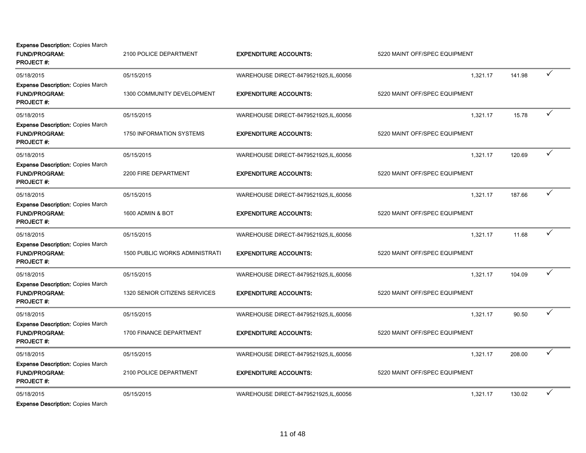Expense Description: Copies March

| <b>FUND/PROGRAM:</b><br><b>PROJECT#:</b>                                              | 2100 POLICE DEPARTMENT                | <b>EXPENDITURE ACCOUNTS:</b>           | 5220 MAINT OFF/SPEC EQUIPMENT |        |              |
|---------------------------------------------------------------------------------------|---------------------------------------|----------------------------------------|-------------------------------|--------|--------------|
| 05/18/2015                                                                            | 05/15/2015                            | WAREHOUSE DIRECT-8479521925, IL, 60056 | 1,321.17                      | 141.98 | ✓            |
| <b>Expense Description: Copies March</b><br><b>FUND/PROGRAM:</b><br><b>PROJECT #:</b> | 1300 COMMUNITY DEVELOPMENT            | <b>EXPENDITURE ACCOUNTS:</b>           | 5220 MAINT OFF/SPEC EQUIPMENT |        |              |
| 05/18/2015                                                                            | 05/15/2015                            | WAREHOUSE DIRECT-8479521925, IL, 60056 | 1,321.17                      | 15.78  | ✓            |
| <b>Expense Description: Copies March</b><br><b>FUND/PROGRAM:</b><br><b>PROJECT#:</b>  | <b>1750 INFORMATION SYSTEMS</b>       | <b>EXPENDITURE ACCOUNTS:</b>           | 5220 MAINT OFF/SPEC EQUIPMENT |        |              |
| 05/18/2015                                                                            | 05/15/2015                            | WAREHOUSE DIRECT-8479521925, IL, 60056 | 1,321.17                      | 120.69 | ✓            |
| <b>Expense Description: Copies March</b><br><b>FUND/PROGRAM:</b><br><b>PROJECT#:</b>  | 2200 FIRE DEPARTMENT                  | <b>EXPENDITURE ACCOUNTS:</b>           | 5220 MAINT OFF/SPEC EQUIPMENT |        |              |
| 05/18/2015                                                                            | 05/15/2015                            | WAREHOUSE DIRECT-8479521925, IL, 60056 | 1,321.17                      | 187.66 | $\checkmark$ |
| <b>Expense Description: Copies March</b><br><b>FUND/PROGRAM:</b><br><b>PROJECT#:</b>  | 1600 ADMIN & BOT                      | <b>EXPENDITURE ACCOUNTS:</b>           | 5220 MAINT OFF/SPEC EQUIPMENT |        |              |
| 05/18/2015                                                                            | 05/15/2015                            | WAREHOUSE DIRECT-8479521925, IL, 60056 | 1,321.17                      | 11.68  | $\checkmark$ |
| <b>Expense Description: Copies March</b><br><b>FUND/PROGRAM:</b><br><b>PROJECT#:</b>  | <b>1500 PUBLIC WORKS ADMINISTRATI</b> | <b>EXPENDITURE ACCOUNTS:</b>           | 5220 MAINT OFF/SPEC EQUIPMENT |        |              |
| 05/18/2015                                                                            | 05/15/2015                            | WAREHOUSE DIRECT-8479521925, IL, 60056 | 1,321.17                      | 104.09 | ✓            |
| <b>Expense Description: Copies March</b><br><b>FUND/PROGRAM:</b><br><b>PROJECT#:</b>  | 1320 SENIOR CITIZENS SERVICES         | <b>EXPENDITURE ACCOUNTS:</b>           | 5220 MAINT OFF/SPEC EQUIPMENT |        |              |
| 05/18/2015                                                                            | 05/15/2015                            | WAREHOUSE DIRECT-8479521925, IL, 60056 | 1,321.17                      | 90.50  | $\checkmark$ |
| <b>Expense Description: Copies March</b><br><b>FUND/PROGRAM:</b><br>PROJECT #:        | 1700 FINANCE DEPARTMENT               | <b>EXPENDITURE ACCOUNTS:</b>           | 5220 MAINT OFF/SPEC EQUIPMENT |        |              |
| 05/18/2015                                                                            | 05/15/2015                            | WAREHOUSE DIRECT-8479521925,IL,60056   | 1.321.17                      | 208.00 | ✓            |
| <b>Expense Description: Copies March</b><br>FUND/PROGRAM:<br><b>PROJECT #:</b>        | 2100 POLICE DEPARTMENT                | <b>EXPENDITURE ACCOUNTS:</b>           | 5220 MAINT OFF/SPEC EQUIPMENT |        |              |
| 05/18/2015                                                                            | 05/15/2015                            | WAREHOUSE DIRECT-8479521925, IL, 60056 | 1,321.17                      | 130.02 | ✓            |
|                                                                                       |                                       |                                        |                               |        |              |

Expense Description: Copies March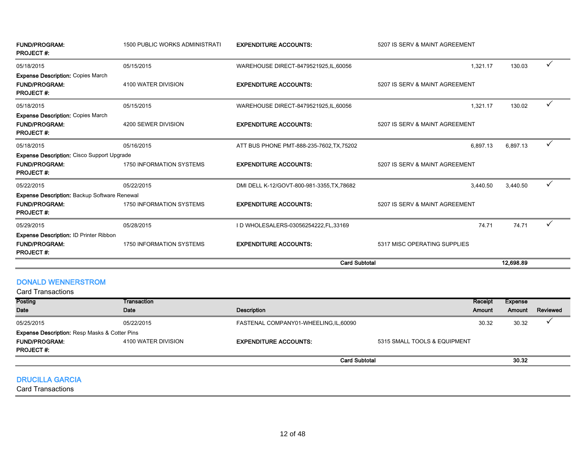| <b>FUND/PROGRAM:</b><br><b>PROJECT#:</b>                                                        | <b>1500 PUBLIC WORKS ADMINISTRATI</b> | <b>EXPENDITURE ACCOUNTS:</b>               | 5207 IS SERV & MAINT AGREEMENT |           |              |
|-------------------------------------------------------------------------------------------------|---------------------------------------|--------------------------------------------|--------------------------------|-----------|--------------|
| 05/18/2015                                                                                      | 05/15/2015                            | WAREHOUSE DIRECT-8479521925, IL, 60056     | 1,321.17                       | 130.03    | $\checkmark$ |
| <b>Expense Description: Copies March</b><br><b>FUND/PROGRAM:</b><br><b>PROJECT#:</b>            | 4100 WATER DIVISION                   | <b>EXPENDITURE ACCOUNTS:</b>               | 5207 IS SERV & MAINT AGREEMENT |           |              |
| 05/18/2015                                                                                      | 05/15/2015                            | WAREHOUSE DIRECT-8479521925, IL, 60056     | 1,321.17                       | 130.02    | ✓            |
| <b>Expense Description: Copies March</b><br><b>FUND/PROGRAM:</b><br><b>PROJECT#:</b>            | 4200 SEWER DIVISION                   | <b>EXPENDITURE ACCOUNTS:</b>               | 5207 IS SERV & MAINT AGREEMENT |           |              |
| 05/18/2015                                                                                      | 05/16/2015                            | ATT BUS PHONE PMT-888-235-7602, TX, 75202  | 6,897.13                       | 6,897.13  |              |
| <b>Expense Description:</b> Cisco Support Upgrade<br><b>FUND/PROGRAM:</b><br><b>PROJECT#:</b>   | 1750 INFORMATION SYSTEMS              | <b>EXPENDITURE ACCOUNTS:</b>               | 5207 IS SERV & MAINT AGREEMENT |           |              |
| 05/22/2015                                                                                      | 05/22/2015                            | DMI DELL K-12/GOVT-800-981-3355, TX, 78682 | 3,440.50                       | 3,440.50  | ✓            |
| <b>Expense Description: Backup Software Renewal</b><br><b>FUND/PROGRAM:</b><br><b>PROJECT#:</b> | 1750 INFORMATION SYSTEMS              | <b>EXPENDITURE ACCOUNTS:</b>               | 5207 IS SERV & MAINT AGREEMENT |           |              |
| 05/29/2015                                                                                      | 05/28/2015                            | I D WHOLESALERS-03056254222, FL, 33169     | 74.71                          | 74.71     |              |
| <b>Expense Description: ID Printer Ribbon</b><br><b>FUND/PROGRAM:</b><br><b>PROJECT#:</b>       | 1750 INFORMATION SYSTEMS              | <b>EXPENDITURE ACCOUNTS:</b>               | 5317 MISC OPERATING SUPPLIES   |           |              |
|                                                                                                 |                                       | <b>Card Subtotal</b>                       |                                | 12.698.89 |              |

## DONALD WENNERSTROM

| <b>Card Transactions</b>                                 |                     |                                      |                              |         |          |
|----------------------------------------------------------|---------------------|--------------------------------------|------------------------------|---------|----------|
| <b>Posting</b>                                           | Transaction         |                                      | Receipt                      | Expense |          |
| <b>Date</b>                                              | Date                | <b>Description</b>                   | Amount                       | Amount  | Reviewed |
| 05/25/2015                                               | 05/22/2015          | FASTENAL COMPANY01-WHEELING,IL,60090 | 30.32                        | 30.32   |          |
| <b>Expense Description: Resp Masks &amp; Cotter Pins</b> |                     |                                      |                              |         |          |
| <b>FUND/PROGRAM:</b>                                     | 4100 WATER DIVISION | <b>EXPENDITURE ACCOUNTS:</b>         | 5315 SMALL TOOLS & EQUIPMENT |         |          |
| <b>PROJECT#:</b>                                         |                     |                                      |                              |         |          |
|                                                          |                     |                                      | <b>Card Subtotal</b>         | 30.32   |          |

## DRUCILLA GARCIA

Card Transactions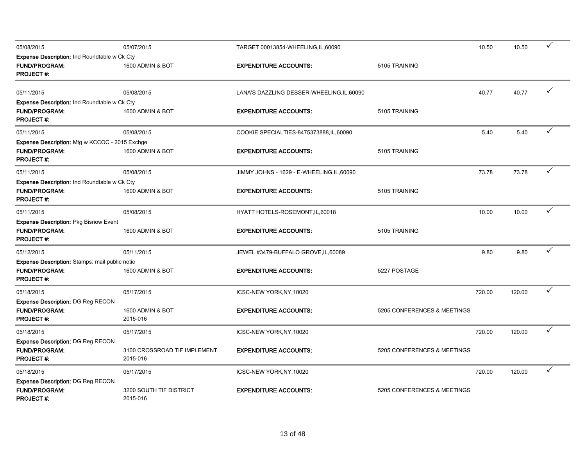| 05/08/2015                                            | 05/07/2015                                | TARGET 00013854-WHEELING, IL, 60090        |                             | 10.50  | 10.50  | ✓            |
|-------------------------------------------------------|-------------------------------------------|--------------------------------------------|-----------------------------|--------|--------|--------------|
| Expense Description: Ind Roundtable w Ck Cty          |                                           |                                            |                             |        |        |              |
| <b>FUND/PROGRAM:</b><br><b>PROJECT#:</b>              | 1600 ADMIN & BOT                          | <b>EXPENDITURE ACCOUNTS:</b>               | 5105 TRAINING               |        |        |              |
| 05/11/2015                                            | 05/08/2015                                | LANA'S DAZZLING DESSER-WHEELING, IL, 60090 |                             | 40.77  | 40.77  |              |
| <b>Expense Description: Ind Roundtable w Ck Cty</b>   |                                           |                                            |                             |        |        |              |
| <b>FUND/PROGRAM:</b><br><b>PROJECT#:</b>              | 1600 ADMIN & BOT                          | <b>EXPENDITURE ACCOUNTS:</b>               | 5105 TRAINING               |        |        |              |
| 05/11/2015                                            | 05/08/2015                                | COOKIE SPECIALTIES-8475373888, IL, 60090   |                             | 5.40   | 5.40   | ✓            |
| <b>Expense Description:</b> Mtg w KCCOC - 2015 Exchge |                                           |                                            |                             |        |        |              |
| <b>FUND/PROGRAM:</b><br><b>PROJECT#:</b>              | 1600 ADMIN & BOT                          | <b>EXPENDITURE ACCOUNTS:</b>               | 5105 TRAINING               |        |        |              |
| 05/11/2015                                            | 05/08/2015                                | JIMMY JOHNS - 1629 - E-WHEELING, IL, 60090 |                             | 73.78  | 73.78  | ✓            |
| <b>Expense Description: Ind Roundtable w Ck Cty</b>   |                                           |                                            |                             |        |        |              |
| <b>FUND/PROGRAM:</b><br><b>PROJECT#:</b>              | 1600 ADMIN & BOT                          | <b>EXPENDITURE ACCOUNTS:</b>               | 5105 TRAINING               |        |        |              |
| 05/11/2015                                            | 05/08/2015                                | HYATT HOTELS-ROSEMONT, IL, 60018           |                             | 10.00  | 10.00  |              |
| Expense Description: Pkg Bisnow Event                 |                                           |                                            |                             |        |        |              |
| <b>FUND/PROGRAM:</b><br><b>PROJECT #:</b>             | 1600 ADMIN & BOT                          | <b>EXPENDITURE ACCOUNTS:</b>               | 5105 TRAINING               |        |        |              |
| 05/12/2015                                            | 05/11/2015                                | JEWEL #3479-BUFFALO GROVE, IL, 60089       |                             | 9.80   | 9.80   | $\checkmark$ |
| Expense Description: Stamps: mail public notic        |                                           |                                            |                             |        |        |              |
| <b>FUND/PROGRAM:</b><br><b>PROJECT#:</b>              | 1600 ADMIN & BOT                          | <b>EXPENDITURE ACCOUNTS:</b>               | 5227 POSTAGE                |        |        |              |
| 05/18/2015                                            | 05/17/2015                                | ICSC-NEW YORK, NY, 10020                   |                             | 720.00 | 120.00 | $\checkmark$ |
| <b>Expense Description: DG Reg RECON</b>              |                                           |                                            |                             |        |        |              |
| <b>FUND/PROGRAM:</b><br><b>PROJECT#:</b>              | 1600 ADMIN & BOT<br>2015-016              | <b>EXPENDITURE ACCOUNTS:</b>               | 5205 CONFERENCES & MEETINGS |        |        |              |
| 05/18/2015                                            | 05/17/2015                                | ICSC-NEW YORK, NY, 10020                   |                             | 720.00 | 120.00 | ✓            |
| <b>Expense Description: DG Reg RECON</b>              |                                           |                                            |                             |        |        |              |
| <b>FUND/PROGRAM:</b><br><b>PROJECT#:</b>              | 3100 CROSSROAD TIF IMPLEMENT.<br>2015-016 | <b>EXPENDITURE ACCOUNTS:</b>               | 5205 CONFERENCES & MEETINGS |        |        |              |
| 05/18/2015                                            | 05/17/2015                                | ICSC-NEW YORK, NY, 10020                   |                             | 720.00 | 120.00 | ✓            |
| <b>Expense Description: DG Reg RECON</b>              |                                           |                                            |                             |        |        |              |
| <b>FUND/PROGRAM:</b><br><b>PROJECT#:</b>              | 3200 SOUTH TIF DISTRICT<br>2015-016       | <b>EXPENDITURE ACCOUNTS:</b>               | 5205 CONFERENCES & MEETINGS |        |        |              |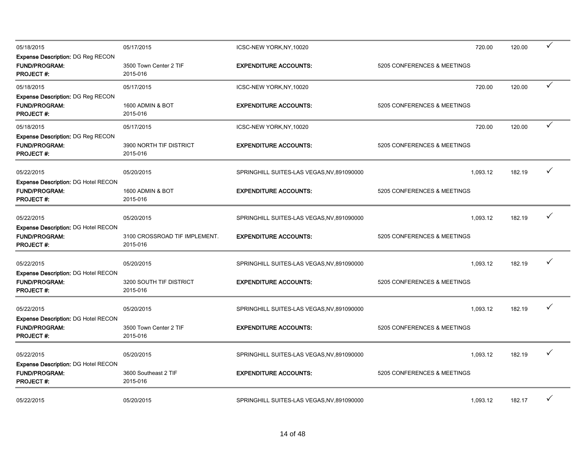| 05/18/2015                                                                             | 05/17/2015                                | ICSC-NEW YORK, NY, 10020                   | 720.00                      | 120.00 | ✓            |
|----------------------------------------------------------------------------------------|-------------------------------------------|--------------------------------------------|-----------------------------|--------|--------------|
| <b>Expense Description: DG Reg RECON</b><br><b>FUND/PROGRAM:</b><br><b>PROJECT#:</b>   | 3500 Town Center 2 TIF<br>2015-016        | <b>EXPENDITURE ACCOUNTS:</b>               | 5205 CONFERENCES & MEETINGS |        |              |
| 05/18/2015                                                                             | 05/17/2015                                | ICSC-NEW YORK, NY, 10020                   | 720.00                      | 120.00 | $\checkmark$ |
| <b>Expense Description: DG Reg RECON</b><br><b>FUND/PROGRAM:</b><br><b>PROJECT#:</b>   | 1600 ADMIN & BOT<br>2015-016              | <b>EXPENDITURE ACCOUNTS:</b>               | 5205 CONFERENCES & MEETINGS |        |              |
| 05/18/2015                                                                             | 05/17/2015                                | ICSC-NEW YORK, NY, 10020                   | 720.00                      | 120.00 | $\checkmark$ |
| Expense Description: DG Reg RECON<br><b>FUND/PROGRAM:</b><br><b>PROJECT#:</b>          | 3900 NORTH TIF DISTRICT<br>2015-016       | <b>EXPENDITURE ACCOUNTS:</b>               | 5205 CONFERENCES & MEETINGS |        |              |
| 05/22/2015                                                                             | 05/20/2015                                | SPRINGHILL SUITES-LAS VEGAS, NV, 891090000 | 1,093.12                    | 182.19 | ✓            |
| <b>Expense Description: DG Hotel RECON</b><br><b>FUND/PROGRAM:</b><br><b>PROJECT#:</b> | 1600 ADMIN & BOT<br>2015-016              | <b>EXPENDITURE ACCOUNTS:</b>               | 5205 CONFERENCES & MEETINGS |        |              |
| 05/22/2015                                                                             | 05/20/2015                                | SPRINGHILL SUITES-LAS VEGAS, NV, 891090000 | 1,093.12                    | 182.19 | ✓            |
| <b>Expense Description: DG Hotel RECON</b><br><b>FUND/PROGRAM:</b><br><b>PROJECT#:</b> | 3100 CROSSROAD TIF IMPLEMENT.<br>2015-016 | <b>EXPENDITURE ACCOUNTS:</b>               | 5205 CONFERENCES & MEETINGS |        |              |
| 05/22/2015                                                                             | 05/20/2015                                | SPRINGHILL SUITES-LAS VEGAS, NV, 891090000 | 1,093.12                    | 182.19 | ✓            |
| <b>Expense Description: DG Hotel RECON</b><br><b>FUND/PROGRAM:</b><br><b>PROJECT#:</b> | 3200 SOUTH TIF DISTRICT<br>2015-016       | <b>EXPENDITURE ACCOUNTS:</b>               | 5205 CONFERENCES & MEETINGS |        |              |
| 05/22/2015                                                                             | 05/20/2015                                | SPRINGHILL SUITES-LAS VEGAS, NV, 891090000 | 1,093.12                    | 182.19 | ✓            |
| <b>Expense Description: DG Hotel RECON</b><br><b>FUND/PROGRAM:</b><br><b>PROJECT#:</b> | 3500 Town Center 2 TIF<br>2015-016        | <b>EXPENDITURE ACCOUNTS:</b>               | 5205 CONFERENCES & MEETINGS |        |              |
| 05/22/2015                                                                             | 05/20/2015                                | SPRINGHILL SUITES-LAS VEGAS, NV, 891090000 | 1,093.12                    | 182.19 | ✓            |
| <b>Expense Description: DG Hotel RECON</b><br><b>FUND/PROGRAM:</b><br><b>PROJECT#:</b> | 3600 Southeast 2 TIF<br>2015-016          | <b>EXPENDITURE ACCOUNTS:</b>               | 5205 CONFERENCES & MEETINGS |        |              |
| 05/22/2015                                                                             | 05/20/2015                                | SPRINGHILL SUITES-LAS VEGAS, NV, 891090000 | 1,093.12                    | 182.17 | ✓            |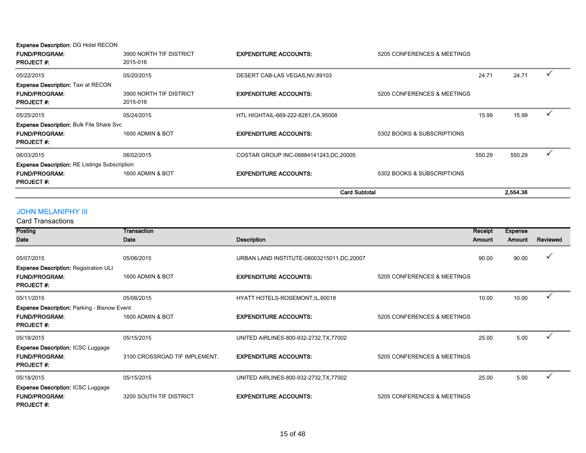| <b>Expense Description: DG Hotel RECON</b><br><b>FUND/PROGRAM:</b><br><b>PROJECT#:</b>      | 3900 NORTH TIF DISTRICT<br>2015-016 | <b>EXPENDITURE ACCOUNTS:</b>            | 5205 CONFERENCES & MEETINGS |        |          |  |
|---------------------------------------------------------------------------------------------|-------------------------------------|-----------------------------------------|-----------------------------|--------|----------|--|
| 05/22/2015                                                                                  | 05/20/2015                          | DESERT CAB-LAS VEGAS, NV, 89103         |                             | 24.71  | 24.71    |  |
| <b>Expense Description: Taxi at RECON</b><br><b>FUND/PROGRAM:</b><br><b>PROJECT#:</b>       | 3900 NORTH TIF DISTRICT<br>2015-016 | <b>EXPENDITURE ACCOUNTS:</b>            | 5205 CONFERENCES & MEETINGS |        |          |  |
| 05/25/2015                                                                                  | 05/24/2015                          | HTL HIGHTAIL-669-222-8281, CA, 95008    |                             | 15.99  | 15.99    |  |
| <b>Expense Description: Bulk File Share Svc</b><br><b>FUND/PROGRAM:</b><br><b>PROJECT#:</b> | 1600 ADMIN & BOT                    | <b>EXPENDITURE ACCOUNTS:</b>            | 5302 BOOKS & SUBSCRIPTIONS  |        |          |  |
| 06/03/2015                                                                                  | 06/02/2015                          | COSTAR GROUP INC-08884141243, DC, 20005 |                             | 550.29 | 550.29   |  |
| <b>Expense Description: RE Listings Subscription</b>                                        |                                     |                                         |                             |        |          |  |
| <b>FUND/PROGRAM:</b><br><b>PROJECT#:</b>                                                    | 1600 ADMIN & BOT                    | <b>EXPENDITURE ACCOUNTS:</b>            | 5302 BOOKS & SUBSCRIPTIONS  |        |          |  |
|                                                                                             |                                     | <b>Card Subtotal</b>                    |                             |        | 2.554.36 |  |

# JOHN MELANIPHY III

Card Transactions

| Posting                                                                                        | Transaction                   |                                             |                             | Receipt | <b>Expense</b> |          |
|------------------------------------------------------------------------------------------------|-------------------------------|---------------------------------------------|-----------------------------|---------|----------------|----------|
| Date                                                                                           | Date                          | <b>Description</b>                          |                             | Amount  | Amount         | Reviewed |
| 05/07/2015                                                                                     | 05/06/2015                    | URBAN LAND INSTITUTE-08003215011, DC, 20007 |                             | 90.00   | 90.00          | ✓        |
| <b>Expense Description: Registration ULI</b><br><b>FUND/PROGRAM:</b><br><b>PROJECT#:</b>       | 1600 ADMIN & BOT              | <b>EXPENDITURE ACCOUNTS:</b>                | 5205 CONFERENCES & MEETINGS |         |                |          |
| 05/11/2015                                                                                     | 05/08/2015                    | HYATT HOTELS-ROSEMONT, IL, 60018            |                             | 10.00   | 10.00          |          |
| <b>Expense Description: Parking - Bisnow Event</b><br><b>FUND/PROGRAM:</b><br><b>PROJECT#:</b> | 1600 ADMIN & BOT              | <b>EXPENDITURE ACCOUNTS:</b>                | 5205 CONFERENCES & MEETINGS |         |                |          |
| 05/18/2015<br><b>Expense Description: ICSC Luggage</b>                                         | 05/15/2015                    | UNITED AIRLINES-800-932-2732, TX, 77002     |                             | 25.00   | 5.00           |          |
| <b>FUND/PROGRAM:</b><br><b>PROJECT#:</b>                                                       | 3100 CROSSROAD TIF IMPLEMENT. | <b>EXPENDITURE ACCOUNTS:</b>                | 5205 CONFERENCES & MEETINGS |         |                |          |
| 05/18/2015                                                                                     | 05/15/2015                    | UNITED AIRLINES-800-932-2732, TX, 77002     |                             | 25.00   | 5.00           |          |
| <b>Expense Description: ICSC Luggage</b><br><b>FUND/PROGRAM:</b><br><b>PROJECT#:</b>           | 3200 SOUTH TIF DISTRICT       | <b>EXPENDITURE ACCOUNTS:</b>                | 5205 CONFERENCES & MEETINGS |         |                |          |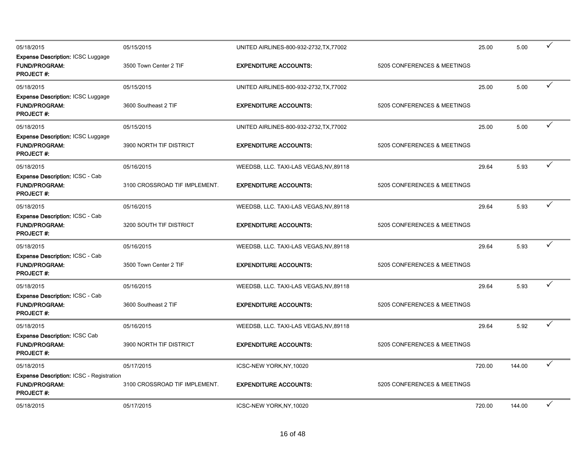| 05/18/2015                                                                                  | 05/15/2015                    | UNITED AIRLINES-800-932-2732, TX, 77002 |                             | 25.00  | 5.00   | ✓            |
|---------------------------------------------------------------------------------------------|-------------------------------|-----------------------------------------|-----------------------------|--------|--------|--------------|
| <b>Expense Description: ICSC Luggage</b><br><b>FUND/PROGRAM:</b><br><b>PROJECT#:</b>        | 3500 Town Center 2 TIF        | <b>EXPENDITURE ACCOUNTS:</b>            | 5205 CONFERENCES & MEETINGS |        |        |              |
| 05/18/2015                                                                                  | 05/15/2015                    | UNITED AIRLINES-800-932-2732, TX, 77002 |                             | 25.00  | 5.00   | $\checkmark$ |
| Expense Description: ICSC Luggage<br><b>FUND/PROGRAM:</b><br><b>PROJECT#:</b>               | 3600 Southeast 2 TIF          | <b>EXPENDITURE ACCOUNTS:</b>            | 5205 CONFERENCES & MEETINGS |        |        |              |
| 05/18/2015                                                                                  | 05/15/2015                    | UNITED AIRLINES-800-932-2732, TX, 77002 |                             | 25.00  | 5.00   | ✓            |
| <b>Expense Description: ICSC Luggage</b><br><b>FUND/PROGRAM:</b><br><b>PROJECT #:</b>       | 3900 NORTH TIF DISTRICT       | <b>EXPENDITURE ACCOUNTS:</b>            | 5205 CONFERENCES & MEETINGS |        |        |              |
| 05/18/2015                                                                                  | 05/16/2015                    | WEEDSB, LLC. TAXI-LAS VEGAS, NV, 89118  |                             | 29.64  | 5.93   | $\checkmark$ |
| Expense Description: ICSC - Cab<br><b>FUND/PROGRAM:</b><br>PROJECT #:                       | 3100 CROSSROAD TIF IMPLEMENT. | <b>EXPENDITURE ACCOUNTS:</b>            | 5205 CONFERENCES & MEETINGS |        |        |              |
| 05/18/2015                                                                                  | 05/16/2015                    | WEEDSB, LLC. TAXI-LAS VEGAS, NV, 89118  |                             | 29.64  | 5.93   | ✓            |
| Expense Description: ICSC - Cab<br><b>FUND/PROGRAM:</b><br><b>PROJECT#:</b>                 | 3200 SOUTH TIF DISTRICT       | <b>EXPENDITURE ACCOUNTS:</b>            | 5205 CONFERENCES & MEETINGS |        |        |              |
| 05/18/2015                                                                                  | 05/16/2015                    | WEEDSB, LLC. TAXI-LAS VEGAS, NV, 89118  |                             | 29.64  | 5.93   | ✓            |
| Expense Description: ICSC - Cab<br><b>FUND/PROGRAM:</b><br><b>PROJECT#:</b>                 | 3500 Town Center 2 TIF        | <b>EXPENDITURE ACCOUNTS:</b>            | 5205 CONFERENCES & MEETINGS |        |        |              |
| 05/18/2015                                                                                  | 05/16/2015                    | WEEDSB, LLC. TAXI-LAS VEGAS, NV, 89118  |                             | 29.64  | 5.93   | $\checkmark$ |
| <b>Expense Description: ICSC - Cab</b><br><b>FUND/PROGRAM:</b><br><b>PROJECT#:</b>          | 3600 Southeast 2 TIF          | <b>EXPENDITURE ACCOUNTS:</b>            | 5205 CONFERENCES & MEETINGS |        |        |              |
| 05/18/2015                                                                                  | 05/16/2015                    | WEEDSB, LLC. TAXI-LAS VEGAS, NV, 89118  |                             | 29.64  | 5.92   | ✓            |
| Expense Description: ICSC Cab<br><b>FUND/PROGRAM:</b><br><b>PROJECT#:</b>                   | 3900 NORTH TIF DISTRICT       | <b>EXPENDITURE ACCOUNTS:</b>            | 5205 CONFERENCES & MEETINGS |        |        |              |
| 05/18/2015                                                                                  | 05/17/2015                    | ICSC-NEW YORK, NY, 10020                |                             | 720.00 | 144.00 | $\checkmark$ |
| <b>Expense Description: ICSC - Registration</b><br><b>FUND/PROGRAM:</b><br><b>PROJECT#:</b> | 3100 CROSSROAD TIF IMPLEMENT. | <b>EXPENDITURE ACCOUNTS:</b>            | 5205 CONFERENCES & MEETINGS |        |        |              |
| 05/18/2015                                                                                  | 05/17/2015                    | ICSC-NEW YORK, NY, 10020                |                             | 720.00 | 144.00 | ✓            |
|                                                                                             |                               |                                         |                             |        |        |              |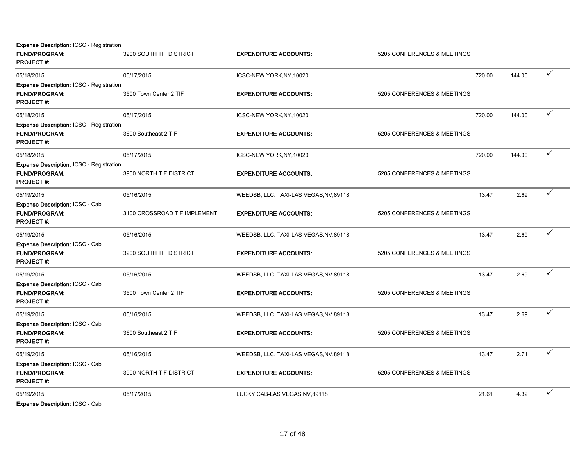**Expense Description: ICSC - Registration** 

| <b>FUND/PROGRAM:</b><br><b>PROJECT#:</b>                                                    | 3200 SOUTH TIF DISTRICT       | <b>EXPENDITURE ACCOUNTS:</b>           | 5205 CONFERENCES & MEETINGS |        |        |              |
|---------------------------------------------------------------------------------------------|-------------------------------|----------------------------------------|-----------------------------|--------|--------|--------------|
| 05/18/2015                                                                                  | 05/17/2015                    | ICSC-NEW YORK, NY, 10020               |                             | 720.00 | 144.00 | ✓            |
| <b>Expense Description: ICSC - Registration</b><br><b>FUND/PROGRAM:</b><br><b>PROJECT#:</b> | 3500 Town Center 2 TIF        | <b>EXPENDITURE ACCOUNTS:</b>           | 5205 CONFERENCES & MEETINGS |        |        |              |
| 05/18/2015                                                                                  | 05/17/2015                    | ICSC-NEW YORK, NY, 10020               |                             | 720.00 | 144.00 | $\checkmark$ |
| <b>Expense Description: ICSC - Registration</b><br><b>FUND/PROGRAM:</b><br><b>PROJECT#:</b> | 3600 Southeast 2 TIF          | <b>EXPENDITURE ACCOUNTS:</b>           | 5205 CONFERENCES & MEETINGS |        |        |              |
| 05/18/2015                                                                                  | 05/17/2015                    | ICSC-NEW YORK, NY, 10020               |                             | 720.00 | 144.00 | $\checkmark$ |
| Expense Description: ICSC - Registration<br>FUND/PROGRAM:<br>PROJECT#:                      | 3900 NORTH TIF DISTRICT       | <b>EXPENDITURE ACCOUNTS:</b>           | 5205 CONFERENCES & MEETINGS |        |        |              |
| 05/19/2015                                                                                  | 05/16/2015                    | WEEDSB, LLC. TAXI-LAS VEGAS, NV, 89118 |                             | 13.47  | 2.69   | ✓            |
| <b>Expense Description: ICSC - Cab</b><br><b>FUND/PROGRAM:</b><br><b>PROJECT#:</b>          | 3100 CROSSROAD TIF IMPLEMENT. | <b>EXPENDITURE ACCOUNTS:</b>           | 5205 CONFERENCES & MEETINGS |        |        |              |
| 05/19/2015                                                                                  | 05/16/2015                    | WEEDSB, LLC. TAXI-LAS VEGAS, NV, 89118 |                             | 13.47  | 2.69   | ✓            |
| Expense Description: ICSC - Cab<br><b>FUND/PROGRAM:</b><br><b>PROJECT#:</b>                 | 3200 SOUTH TIF DISTRICT       | <b>EXPENDITURE ACCOUNTS:</b>           | 5205 CONFERENCES & MEETINGS |        |        |              |
| 05/19/2015                                                                                  | 05/16/2015                    | WEEDSB, LLC. TAXI-LAS VEGAS, NV, 89118 |                             | 13.47  | 2.69   | ✓            |
| Expense Description: ICSC - Cab<br><b>FUND/PROGRAM:</b><br>PROJECT#:                        | 3500 Town Center 2 TIF        | <b>EXPENDITURE ACCOUNTS:</b>           | 5205 CONFERENCES & MEETINGS |        |        |              |
| 05/19/2015                                                                                  | 05/16/2015                    | WEEDSB, LLC. TAXI-LAS VEGAS, NV, 89118 |                             | 13.47  | 2.69   | $\checkmark$ |
| <b>Expense Description: ICSC - Cab</b><br><b>FUND/PROGRAM:</b><br><b>PROJECT#:</b>          | 3600 Southeast 2 TIF          | <b>EXPENDITURE ACCOUNTS:</b>           | 5205 CONFERENCES & MEETINGS |        |        |              |
| 05/19/2015                                                                                  | 05/16/2015                    | WEEDSB, LLC. TAXI-LAS VEGAS, NV, 89118 |                             | 13.47  | 2.71   | $\checkmark$ |
| Expense Description: ICSC - Cab<br>FUND/PROGRAM:<br><b>PROJECT#:</b>                        | 3900 NORTH TIF DISTRICT       | <b>EXPENDITURE ACCOUNTS:</b>           | 5205 CONFERENCES & MEETINGS |        |        |              |
| 05/19/2015<br>Evnance Description: ICCC Cob                                                 | 05/17/2015                    | LUCKY CAB-LAS VEGAS, NV, 89118         |                             | 21.61  | 4.32   | ✓            |

Expense Description: ICSC - Cab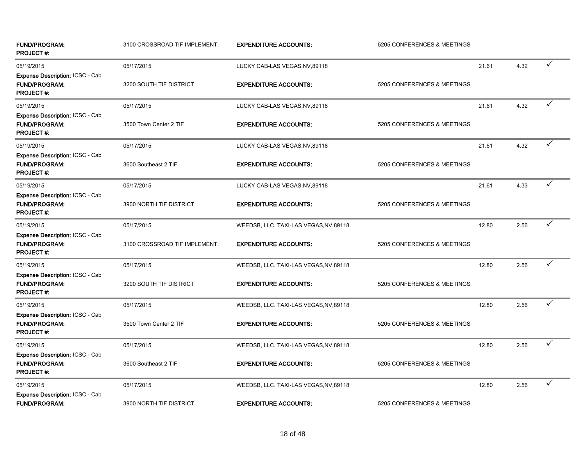| <b>FUND/PROGRAM:</b><br><b>PROJECT#:</b>                                           | 3100 CROSSROAD TIF IMPLEMENT. | <b>EXPENDITURE ACCOUNTS:</b>           | 5205 CONFERENCES & MEETINGS |       |      |              |
|------------------------------------------------------------------------------------|-------------------------------|----------------------------------------|-----------------------------|-------|------|--------------|
| 05/19/2015<br><b>Expense Description: ICSC - Cab</b>                               | 05/17/2015                    | LUCKY CAB-LAS VEGAS, NV, 89118         |                             | 21.61 | 4.32 | ✓            |
| <b>FUND/PROGRAM:</b><br><b>PROJECT#:</b>                                           | 3200 SOUTH TIF DISTRICT       | <b>EXPENDITURE ACCOUNTS:</b>           | 5205 CONFERENCES & MEETINGS |       |      |              |
| 05/19/2015                                                                         | 05/17/2015                    | LUCKY CAB-LAS VEGAS, NV, 89118         |                             | 21.61 | 4.32 | ✓            |
| Expense Description: ICSC - Cab<br><b>FUND/PROGRAM:</b><br><b>PROJECT#:</b>        | 3500 Town Center 2 TIF        | <b>EXPENDITURE ACCOUNTS:</b>           | 5205 CONFERENCES & MEETINGS |       |      |              |
| 05/19/2015                                                                         | 05/17/2015                    | LUCKY CAB-LAS VEGAS, NV, 89118         |                             | 21.61 | 4.32 | ✓            |
| <b>Expense Description: ICSC - Cab</b><br><b>FUND/PROGRAM:</b><br><b>PROJECT#:</b> | 3600 Southeast 2 TIF          | <b>EXPENDITURE ACCOUNTS:</b>           | 5205 CONFERENCES & MEETINGS |       |      |              |
| 05/19/2015                                                                         | 05/17/2015                    | LUCKY CAB-LAS VEGAS, NV, 89118         |                             | 21.61 | 4.33 | $\checkmark$ |
| Expense Description: ICSC - Cab<br><b>FUND/PROGRAM:</b><br><b>PROJECT#:</b>        | 3900 NORTH TIF DISTRICT       | <b>EXPENDITURE ACCOUNTS:</b>           | 5205 CONFERENCES & MEETINGS |       |      |              |
| 05/19/2015                                                                         | 05/17/2015                    | WEEDSB, LLC. TAXI-LAS VEGAS, NV, 89118 |                             | 12.80 | 2.56 | ✓            |
| Expense Description: ICSC - Cab<br><b>FUND/PROGRAM:</b><br><b>PROJECT#:</b>        | 3100 CROSSROAD TIF IMPLEMENT. | <b>EXPENDITURE ACCOUNTS:</b>           | 5205 CONFERENCES & MEETINGS |       |      |              |
| 05/19/2015                                                                         | 05/17/2015                    | WEEDSB, LLC. TAXI-LAS VEGAS, NV, 89118 |                             | 12.80 | 2.56 | $\checkmark$ |
| <b>Expense Description: ICSC - Cab</b><br><b>FUND/PROGRAM:</b><br><b>PROJECT#:</b> | 3200 SOUTH TIF DISTRICT       | <b>EXPENDITURE ACCOUNTS:</b>           | 5205 CONFERENCES & MEETINGS |       |      |              |
| 05/19/2015                                                                         | 05/17/2015                    | WEEDSB, LLC. TAXI-LAS VEGAS, NV, 89118 |                             | 12.80 | 2.56 | ✓            |
| Expense Description: ICSC - Cab<br><b>FUND/PROGRAM:</b><br><b>PROJECT#:</b>        | 3500 Town Center 2 TIF        | <b>EXPENDITURE ACCOUNTS:</b>           | 5205 CONFERENCES & MEETINGS |       |      |              |
| 05/19/2015                                                                         | 05/17/2015                    | WEEDSB, LLC. TAXI-LAS VEGAS, NV, 89118 |                             | 12.80 | 2.56 | ✓            |
| Expense Description: ICSC - Cab<br><b>FUND/PROGRAM:</b><br><b>PROJECT#:</b>        | 3600 Southeast 2 TIF          | <b>EXPENDITURE ACCOUNTS:</b>           | 5205 CONFERENCES & MEETINGS |       |      |              |
| 05/19/2015                                                                         | 05/17/2015                    | WEEDSB, LLC. TAXI-LAS VEGAS, NV, 89118 |                             | 12.80 | 2.56 | $\checkmark$ |
| <b>Expense Description: ICSC - Cab</b><br>FUND/PROGRAM:                            | 3900 NORTH TIF DISTRICT       | <b>EXPENDITURE ACCOUNTS:</b>           | 5205 CONFERENCES & MEETINGS |       |      |              |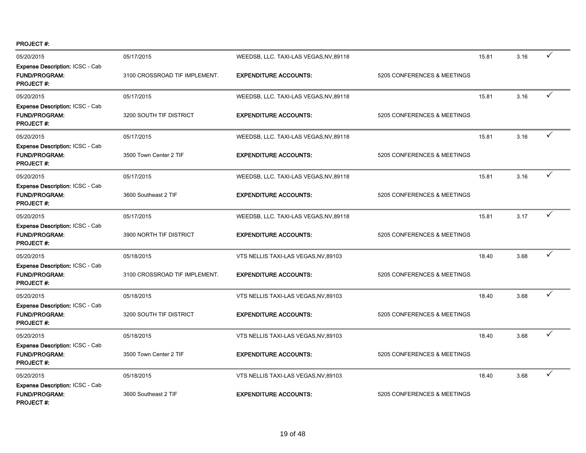PROJECT #:

| 05/20/2015                                                                         | 05/17/2015                    | WEEDSB, LLC. TAXI-LAS VEGAS, NV, 89118 |                             | 15.81 | 3.16 | ✓            |
|------------------------------------------------------------------------------------|-------------------------------|----------------------------------------|-----------------------------|-------|------|--------------|
| <b>Expense Description: ICSC - Cab</b><br><b>FUND/PROGRAM:</b><br><b>PROJECT#:</b> | 3100 CROSSROAD TIF IMPLEMENT. | <b>EXPENDITURE ACCOUNTS:</b>           | 5205 CONFERENCES & MEETINGS |       |      |              |
| 05/20/2015                                                                         | 05/17/2015                    | WEEDSB, LLC. TAXI-LAS VEGAS, NV, 89118 |                             | 15.81 | 3.16 | ✓            |
| <b>Expense Description: ICSC - Cab</b><br><b>FUND/PROGRAM:</b><br><b>PROJECT#:</b> | 3200 SOUTH TIF DISTRICT       | <b>EXPENDITURE ACCOUNTS:</b>           | 5205 CONFERENCES & MEETINGS |       |      |              |
| 05/20/2015                                                                         | 05/17/2015                    | WEEDSB, LLC. TAXI-LAS VEGAS, NV, 89118 |                             | 15.81 | 3.16 | ✓            |
| Expense Description: ICSC - Cab<br><b>FUND/PROGRAM:</b><br><b>PROJECT #:</b>       | 3500 Town Center 2 TIF        | <b>EXPENDITURE ACCOUNTS:</b>           | 5205 CONFERENCES & MEETINGS |       |      |              |
| 05/20/2015                                                                         | 05/17/2015                    | WEEDSB, LLC. TAXI-LAS VEGAS, NV, 89118 |                             | 15.81 | 3.16 | ✓            |
| <b>Expense Description: ICSC - Cab</b><br><b>FUND/PROGRAM:</b><br><b>PROJECT#:</b> | 3600 Southeast 2 TIF          | <b>EXPENDITURE ACCOUNTS:</b>           | 5205 CONFERENCES & MEETINGS |       |      |              |
| 05/20/2015                                                                         | 05/17/2015                    | WEEDSB, LLC. TAXI-LAS VEGAS, NV, 89118 |                             | 15.81 | 3.17 | ✓            |
| <b>Expense Description: ICSC - Cab</b><br><b>FUND/PROGRAM:</b><br><b>PROJECT#:</b> | 3900 NORTH TIF DISTRICT       | <b>EXPENDITURE ACCOUNTS:</b>           | 5205 CONFERENCES & MEETINGS |       |      |              |
| 05/20/2015                                                                         | 05/18/2015                    | VTS NELLIS TAXI-LAS VEGAS, NV, 89103   |                             | 18.40 | 3.68 | ✓            |
| Expense Description: ICSC - Cab<br><b>FUND/PROGRAM:</b><br><b>PROJECT#:</b>        | 3100 CROSSROAD TIF IMPLEMENT. | <b>EXPENDITURE ACCOUNTS:</b>           | 5205 CONFERENCES & MEETINGS |       |      |              |
| 05/20/2015                                                                         | 05/18/2015                    | VTS NELLIS TAXI-LAS VEGAS, NV, 89103   |                             | 18.40 | 3.68 | $\checkmark$ |
| <b>Expense Description: ICSC - Cab</b><br><b>FUND/PROGRAM:</b><br><b>PROJECT#:</b> | 3200 SOUTH TIF DISTRICT       | <b>EXPENDITURE ACCOUNTS:</b>           | 5205 CONFERENCES & MEETINGS |       |      |              |
| 05/20/2015                                                                         | 05/18/2015                    | VTS NELLIS TAXI-LAS VEGAS, NV, 89103   |                             | 18.40 | 3.68 | $\checkmark$ |
| Expense Description: ICSC - Cab<br><b>FUND/PROGRAM:</b><br><b>PROJECT#:</b>        | 3500 Town Center 2 TIF        | <b>EXPENDITURE ACCOUNTS:</b>           | 5205 CONFERENCES & MEETINGS |       |      |              |
| 05/20/2015                                                                         | 05/18/2015                    | VTS NELLIS TAXI-LAS VEGAS, NV, 89103   |                             | 18.40 | 3.68 | ✓            |
| Expense Description: ICSC - Cab<br><b>FUND/PROGRAM:</b><br><b>PROJECT#:</b>        | 3600 Southeast 2 TIF          | <b>EXPENDITURE ACCOUNTS:</b>           | 5205 CONFERENCES & MEETINGS |       |      |              |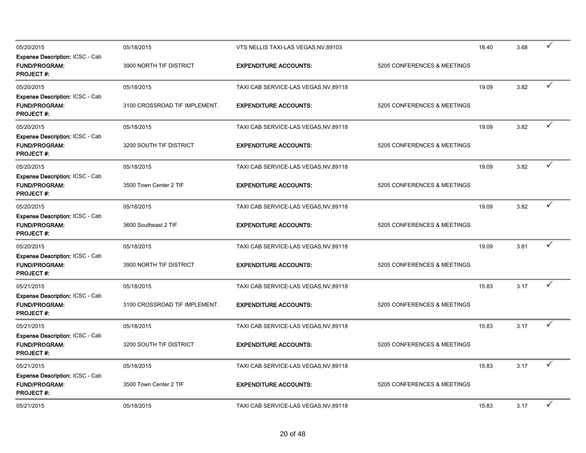| 05/20/2015                                                                         | 05/18/2015                    | VTS NELLIS TAXI-LAS VEGAS, NV, 89103  |                             | 18.40 | 3.68 | $\checkmark$ |
|------------------------------------------------------------------------------------|-------------------------------|---------------------------------------|-----------------------------|-------|------|--------------|
| Expense Description: ICSC - Cab<br><b>FUND/PROGRAM:</b><br><b>PROJECT#:</b>        | 3900 NORTH TIF DISTRICT       | <b>EXPENDITURE ACCOUNTS:</b>          | 5205 CONFERENCES & MEETINGS |       |      |              |
| 05/20/2015                                                                         | 05/18/2015                    | TAXI CAB SERVICE-LAS VEGAS, NV, 89118 |                             | 19.09 | 3.82 | ✓            |
| Expense Description: ICSC - Cab<br><b>FUND/PROGRAM:</b><br><b>PROJECT#:</b>        | 3100 CROSSROAD TIF IMPLEMENT. | <b>EXPENDITURE ACCOUNTS:</b>          | 5205 CONFERENCES & MEETINGS |       |      |              |
| 05/20/2015                                                                         | 05/18/2015                    | TAXI CAB SERVICE-LAS VEGAS, NV, 89118 |                             | 19.09 | 3.82 | $\checkmark$ |
| <b>Expense Description: ICSC - Cab</b><br><b>FUND/PROGRAM:</b><br><b>PROJECT#:</b> | 3200 SOUTH TIF DISTRICT       | <b>EXPENDITURE ACCOUNTS:</b>          | 5205 CONFERENCES & MEETINGS |       |      |              |
| 05/20/2015                                                                         | 05/18/2015                    | TAXI CAB SERVICE-LAS VEGAS, NV, 89118 |                             | 19.09 | 3.82 | $\checkmark$ |
| Expense Description: ICSC - Cab<br><b>FUND/PROGRAM:</b><br>PROJECT#:               | 3500 Town Center 2 TIF        | <b>EXPENDITURE ACCOUNTS:</b>          | 5205 CONFERENCES & MEETINGS |       |      |              |
| 05/20/2015                                                                         | 05/18/2015                    | TAXI CAB SERVICE-LAS VEGAS, NV, 89118 |                             | 19.09 | 3.82 | ✓            |
| <b>Expense Description: ICSC - Cab</b><br><b>FUND/PROGRAM:</b><br><b>PROJECT#:</b> | 3600 Southeast 2 TIF          | <b>EXPENDITURE ACCOUNTS:</b>          | 5205 CONFERENCES & MEETINGS |       |      |              |
| 05/20/2015                                                                         | 05/18/2015                    | TAXI CAB SERVICE-LAS VEGAS, NV, 89118 |                             | 19.09 | 3.81 | ✓            |
| Expense Description: ICSC - Cab<br><b>FUND/PROGRAM:</b><br><b>PROJECT#:</b>        | 3900 NORTH TIF DISTRICT       | <b>EXPENDITURE ACCOUNTS:</b>          | 5205 CONFERENCES & MEETINGS |       |      |              |
| 05/21/2015                                                                         | 05/18/2015                    | TAXI CAB SERVICE-LAS VEGAS, NV, 89118 |                             | 15.83 | 3.17 | ✓            |
| <b>Expense Description: ICSC - Cab</b><br><b>FUND/PROGRAM:</b><br><b>PROJECT#:</b> | 3100 CROSSROAD TIF IMPLEMENT. | <b>EXPENDITURE ACCOUNTS:</b>          | 5205 CONFERENCES & MEETINGS |       |      |              |
| 05/21/2015                                                                         | 05/18/2015                    | TAXI CAB SERVICE-LAS VEGAS, NV, 89118 |                             | 15.83 | 3.17 | ✓            |
| <b>Expense Description: ICSC - Cab</b><br><b>FUND/PROGRAM:</b><br><b>PROJECT#:</b> | 3200 SOUTH TIF DISTRICT       | <b>EXPENDITURE ACCOUNTS:</b>          | 5205 CONFERENCES & MEETINGS |       |      |              |
| 05/21/2015                                                                         | 05/18/2015                    | TAXI CAB SERVICE-LAS VEGAS, NV, 89118 |                             | 15.83 | 3.17 | ✓            |
| <b>Expense Description: ICSC - Cab</b><br><b>FUND/PROGRAM:</b><br><b>PROJECT#:</b> | 3500 Town Center 2 TIF        | <b>EXPENDITURE ACCOUNTS:</b>          | 5205 CONFERENCES & MEETINGS |       |      |              |
| 05/21/2015                                                                         | 05/18/2015                    | TAXI CAB SERVICE-LAS VEGAS, NV, 89118 |                             | 15.83 | 3.17 | ✓            |
|                                                                                    |                               |                                       |                             |       |      |              |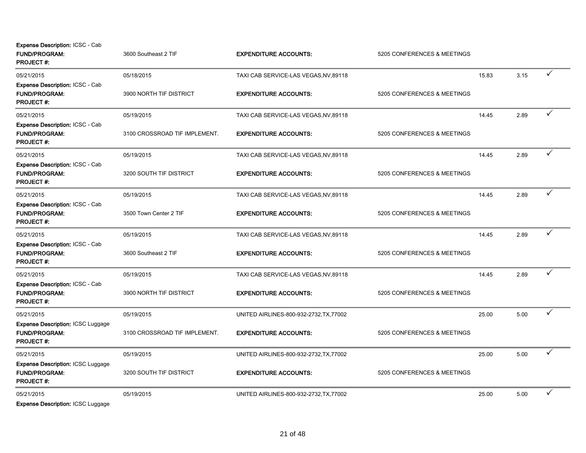| Expense Description: ICSC - Cab<br><b>FUND/PROGRAM:</b><br><b>PROJECT#:</b>          | 3600 Southeast 2 TIF          | <b>EXPENDITURE ACCOUNTS:</b>            | 5205 CONFERENCES & MEETINGS |       |      |   |
|--------------------------------------------------------------------------------------|-------------------------------|-----------------------------------------|-----------------------------|-------|------|---|
| 05/21/2015                                                                           | 05/18/2015                    | TAXI CAB SERVICE-LAS VEGAS, NV, 89118   |                             | 15.83 | 3.15 | ✓ |
| Expense Description: ICSC - Cab<br><b>FUND/PROGRAM:</b><br><b>PROJECT#:</b>          | 3900 NORTH TIF DISTRICT       | <b>EXPENDITURE ACCOUNTS:</b>            | 5205 CONFERENCES & MEETINGS |       |      |   |
| 05/21/2015                                                                           | 05/19/2015                    | TAXI CAB SERVICE-LAS VEGAS, NV, 89118   |                             | 14.45 | 2.89 | ✓ |
| Expense Description: ICSC - Cab<br><b>FUND/PROGRAM:</b><br>PROJECT#:                 | 3100 CROSSROAD TIF IMPLEMENT. | <b>EXPENDITURE ACCOUNTS:</b>            | 5205 CONFERENCES & MEETINGS |       |      |   |
| 05/21/2015                                                                           | 05/19/2015                    | TAXI CAB SERVICE-LAS VEGAS, NV, 89118   |                             | 14.45 | 2.89 | ✓ |
| Expense Description: ICSC - Cab<br><b>FUND/PROGRAM:</b><br><b>PROJECT#:</b>          | 3200 SOUTH TIF DISTRICT       | <b>EXPENDITURE ACCOUNTS:</b>            | 5205 CONFERENCES & MEETINGS |       |      |   |
| 05/21/2015                                                                           | 05/19/2015                    | TAXI CAB SERVICE-LAS VEGAS, NV, 89118   |                             | 14.45 | 2.89 | ✓ |
| Expense Description: ICSC - Cab<br><b>FUND/PROGRAM:</b><br><b>PROJECT#:</b>          | 3500 Town Center 2 TIF        | <b>EXPENDITURE ACCOUNTS:</b>            | 5205 CONFERENCES & MEETINGS |       |      |   |
| 05/21/2015                                                                           | 05/19/2015                    | TAXI CAB SERVICE-LAS VEGAS, NV, 89118   |                             | 14.45 | 2.89 | ✓ |
| <b>Expense Description: ICSC - Cab</b><br><b>FUND/PROGRAM:</b><br><b>PROJECT#:</b>   | 3600 Southeast 2 TIF          | <b>EXPENDITURE ACCOUNTS:</b>            | 5205 CONFERENCES & MEETINGS |       |      |   |
| 05/21/2015                                                                           | 05/19/2015                    | TAXI CAB SERVICE-LAS VEGAS, NV, 89118   |                             | 14.45 | 2.89 | ✓ |
| Expense Description: ICSC - Cab<br><b>FUND/PROGRAM:</b><br>PROJECT#:                 | 3900 NORTH TIF DISTRICT       | <b>EXPENDITURE ACCOUNTS:</b>            | 5205 CONFERENCES & MEETINGS |       |      |   |
| 05/21/2015                                                                           | 05/19/2015                    | UNITED AIRLINES-800-932-2732, TX, 77002 |                             | 25.00 | 5.00 | ✓ |
| <b>Expense Description: ICSC Luggage</b><br><b>FUND/PROGRAM:</b><br><b>PROJECT#:</b> | 3100 CROSSROAD TIF IMPLEMENT. | <b>EXPENDITURE ACCOUNTS:</b>            | 5205 CONFERENCES & MEETINGS |       |      |   |
| 05/21/2015                                                                           | 05/19/2015                    | UNITED AIRLINES-800-932-2732, TX, 77002 |                             | 25.00 | 5.00 | ✓ |
| <b>Expense Description: ICSC Luggage</b><br>FUND/PROGRAM:<br><b>PROJECT#:</b>        | 3200 SOUTH TIF DISTRICT       | <b>EXPENDITURE ACCOUNTS:</b>            | 5205 CONFERENCES & MEETINGS |       |      |   |
| 05/21/2015                                                                           | 05/19/2015                    | UNITED AIRLINES-800-932-2732, TX, 77002 |                             | 25.00 | 5.00 | ✓ |
| $\sim$ $\sim$ $\sim$                                                                 |                               |                                         |                             |       |      |   |

Expense Description: ICSC Luggage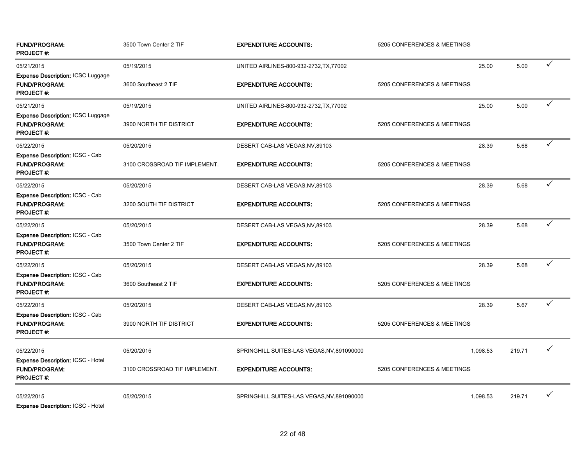| <b>FUND/PROGRAM:</b><br><b>PROJECT#:</b>                                             | 3500 Town Center 2 TIF        | <b>EXPENDITURE ACCOUNTS:</b>               | 5205 CONFERENCES & MEETINGS |          |        |   |
|--------------------------------------------------------------------------------------|-------------------------------|--------------------------------------------|-----------------------------|----------|--------|---|
| 05/21/2015                                                                           | 05/19/2015                    | UNITED AIRLINES-800-932-2732, TX, 77002    |                             | 25.00    | 5.00   | ✓ |
| <b>Expense Description: ICSC Luggage</b><br><b>FUND/PROGRAM:</b><br><b>PROJECT#:</b> | 3600 Southeast 2 TIF          | <b>EXPENDITURE ACCOUNTS:</b>               | 5205 CONFERENCES & MEETINGS |          |        |   |
| 05/21/2015                                                                           | 05/19/2015                    | UNITED AIRLINES-800-932-2732, TX, 77002    |                             | 25.00    | 5.00   | ✓ |
| Expense Description: ICSC Luggage<br><b>FUND/PROGRAM:</b><br><b>PROJECT#:</b>        | 3900 NORTH TIF DISTRICT       | <b>EXPENDITURE ACCOUNTS:</b>               | 5205 CONFERENCES & MEETINGS |          |        |   |
| 05/22/2015                                                                           | 05/20/2015                    | DESERT CAB-LAS VEGAS, NV, 89103            |                             | 28.39    | 5.68   | ✓ |
| Expense Description: ICSC - Cab<br><b>FUND/PROGRAM:</b><br><b>PROJECT#:</b>          | 3100 CROSSROAD TIF IMPLEMENT. | <b>EXPENDITURE ACCOUNTS:</b>               | 5205 CONFERENCES & MEETINGS |          |        |   |
| 05/22/2015                                                                           | 05/20/2015                    | DESERT CAB-LAS VEGAS, NV, 89103            |                             | 28.39    | 5.68   | ✓ |
| <b>Expense Description: ICSC - Cab</b><br><b>FUND/PROGRAM:</b><br><b>PROJECT#:</b>   | 3200 SOUTH TIF DISTRICT       | <b>EXPENDITURE ACCOUNTS:</b>               | 5205 CONFERENCES & MEETINGS |          |        |   |
| 05/22/2015                                                                           | 05/20/2015                    | DESERT CAB-LAS VEGAS, NV, 89103            |                             | 28.39    | 5.68   | ✓ |
| Expense Description: ICSC - Cab<br><b>FUND/PROGRAM:</b><br><b>PROJECT#:</b>          | 3500 Town Center 2 TIF        | <b>EXPENDITURE ACCOUNTS:</b>               | 5205 CONFERENCES & MEETINGS |          |        |   |
| 05/22/2015                                                                           | 05/20/2015                    | DESERT CAB-LAS VEGAS, NV, 89103            |                             | 28.39    | 5.68   | ✓ |
| <b>Expense Description: ICSC - Cab</b><br><b>FUND/PROGRAM:</b><br>PROJECT #:         | 3600 Southeast 2 TIF          | <b>EXPENDITURE ACCOUNTS:</b>               | 5205 CONFERENCES & MEETINGS |          |        |   |
| 05/22/2015                                                                           | 05/20/2015                    | DESERT CAB-LAS VEGAS, NV, 89103            |                             | 28.39    | 5.67   | ✓ |
| <b>Expense Description: ICSC - Cab</b><br><b>FUND/PROGRAM:</b><br><b>PROJECT #:</b>  | 3900 NORTH TIF DISTRICT       | <b>EXPENDITURE ACCOUNTS:</b>               | 5205 CONFERENCES & MEETINGS |          |        |   |
| 05/22/2015                                                                           | 05/20/2015                    | SPRINGHILL SUITES-LAS VEGAS, NV, 891090000 |                             | 1,098.53 | 219.71 | ✓ |
| <b>Expense Description: ICSC - Hotel</b><br><b>FUND/PROGRAM:</b><br><b>PROJECT#:</b> | 3100 CROSSROAD TIF IMPLEMENT. | <b>EXPENDITURE ACCOUNTS:</b>               | 5205 CONFERENCES & MEETINGS |          |        |   |
| 05/22/2015<br><b>Expense Description: ICSC - Hotel</b>                               | 05/20/2015                    | SPRINGHILL SUITES-LAS VEGAS, NV, 891090000 |                             | 1,098.53 | 219.71 | ✓ |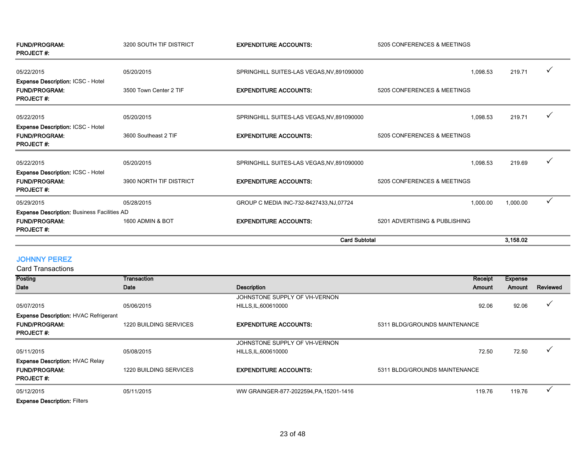|                                                                                      |                         | <b>Card Subtotal</b>                       |                               | 3.158.02 |              |
|--------------------------------------------------------------------------------------|-------------------------|--------------------------------------------|-------------------------------|----------|--------------|
| <b>FUND/PROGRAM:</b><br><b>PROJECT#:</b>                                             | 1600 ADMIN & BOT        | <b>EXPENDITURE ACCOUNTS:</b>               | 5201 ADVERTISING & PUBLISHING |          |              |
| Expense Description: Business Facilities AD                                          |                         |                                            |                               |          |              |
| 05/29/2015                                                                           | 05/28/2015              | GROUP C MEDIA INC-732-8427433, NJ, 07724   | 1,000.00                      | 1,000.00 | $\checkmark$ |
| <b>Expense Description: ICSC - Hotel</b><br><b>FUND/PROGRAM:</b><br><b>PROJECT#:</b> | 3900 NORTH TIF DISTRICT | <b>EXPENDITURE ACCOUNTS:</b>               | 5205 CONFERENCES & MEETINGS   |          |              |
| 05/22/2015                                                                           | 05/20/2015              | SPRINGHILL SUITES-LAS VEGAS, NV, 891090000 | 1,098.53                      | 219.69   | $\checkmark$ |
| <b>Expense Description: ICSC - Hotel</b><br><b>FUND/PROGRAM:</b><br><b>PROJECT#:</b> | 3600 Southeast 2 TIF    | <b>EXPENDITURE ACCOUNTS:</b>               | 5205 CONFERENCES & MEETINGS   |          |              |
| 05/22/2015                                                                           | 05/20/2015              | SPRINGHILL SUITES-LAS VEGAS, NV, 891090000 | 1,098.53                      | 219.71   | ✓            |
| Expense Description: ICSC - Hotel<br><b>FUND/PROGRAM:</b><br><b>PROJECT#:</b>        | 3500 Town Center 2 TIF  | <b>EXPENDITURE ACCOUNTS:</b>               | 5205 CONFERENCES & MEETINGS   |          |              |
| 05/22/2015                                                                           | 05/20/2015              | SPRINGHILL SUITES-LAS VEGAS, NV, 891090000 | 1,098.53                      | 219.71   | $\checkmark$ |
| <b>FUND/PROGRAM:</b><br><b>PROJECT#:</b>                                             | 3200 SOUTH TIF DISTRICT | <b>EXPENDITURE ACCOUNTS:</b>               | 5205 CONFERENCES & MEETINGS   |          |              |

# JOHNNY PEREZ

| Posting                                      | Transaction                   |                                         | Receipt                       | <b>Expense</b> |              |
|----------------------------------------------|-------------------------------|-----------------------------------------|-------------------------------|----------------|--------------|
| Date                                         | Date                          | <b>Description</b>                      | Amount                        | Amount         | Reviewed     |
|                                              |                               | JOHNSTONE SUPPLY OF VH-VERNON           |                               |                |              |
| 05/07/2015                                   | 05/06/2015                    | HILLS, IL, 600610000                    | 92.06                         | 92.06          | ✓            |
| <b>Expense Description: HVAC Refrigerant</b> |                               |                                         |                               |                |              |
| <b>FUND/PROGRAM:</b>                         | 1220 BUILDING SERVICES        | <b>EXPENDITURE ACCOUNTS:</b>            | 5311 BLDG/GROUNDS MAINTENANCE |                |              |
| <b>PROJECT#:</b>                             |                               |                                         |                               |                |              |
|                                              |                               | JOHNSTONE SUPPLY OF VH-VERNON           |                               |                |              |
| 05/11/2015                                   | 05/08/2015                    | HILLS, IL, 600610000                    | 72.50                         | 72.50          | $\checkmark$ |
| <b>Expense Description: HVAC Relay</b>       |                               |                                         |                               |                |              |
| <b>FUND/PROGRAM:</b>                         | <b>1220 BUILDING SERVICES</b> | <b>EXPENDITURE ACCOUNTS:</b>            | 5311 BLDG/GROUNDS MAINTENANCE |                |              |
| <b>PROJECT#:</b>                             |                               |                                         |                               |                |              |
| 05/12/2015                                   | 05/11/2015                    | WW GRAINGER-877-2022594, PA, 15201-1416 | 119.76                        | 119.76         |              |
| <b>Expense Description: Filters</b>          |                               |                                         |                               |                |              |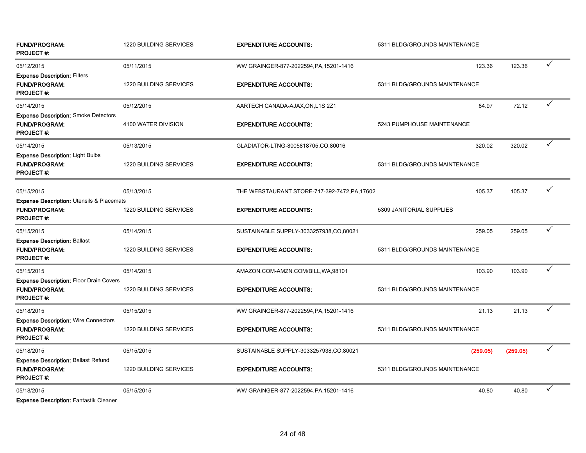| <b>FUND/PROGRAM:</b><br><b>PROJECT#:</b>                                                         | 1220 BUILDING SERVICES | <b>EXPENDITURE ACCOUNTS:</b>                  | 5311 BLDG/GROUNDS MAINTENANCE |          |              |
|--------------------------------------------------------------------------------------------------|------------------------|-----------------------------------------------|-------------------------------|----------|--------------|
| 05/12/2015                                                                                       | 05/11/2015             | WW GRAINGER-877-2022594, PA, 15201-1416       | 123.36                        | 123.36   | ✓            |
| <b>Expense Description: Filters</b><br><b>FUND/PROGRAM:</b><br><b>PROJECT#:</b>                  | 1220 BUILDING SERVICES | <b>EXPENDITURE ACCOUNTS:</b>                  | 5311 BLDG/GROUNDS MAINTENANCE |          |              |
| 05/14/2015                                                                                       | 05/12/2015             | AARTECH CANADA-AJAX, ON, L1S 2Z1              | 84.97                         | 72.12    | ✓            |
| <b>Expense Description: Smoke Detectors</b><br><b>FUND/PROGRAM:</b><br><b>PROJECT#:</b>          | 4100 WATER DIVISION    | <b>EXPENDITURE ACCOUNTS:</b>                  | 5243 PUMPHOUSE MAINTENANCE    |          |              |
| 05/14/2015                                                                                       | 05/13/2015             | GLADIATOR-LTNG-8005818705,CO,80016            | 320.02                        | 320.02   | $\checkmark$ |
| Expense Description: Light Bulbs<br><b>FUND/PROGRAM:</b><br><b>PROJECT#:</b>                     | 1220 BUILDING SERVICES | <b>EXPENDITURE ACCOUNTS:</b>                  | 5311 BLDG/GROUNDS MAINTENANCE |          |              |
| 05/15/2015                                                                                       | 05/13/2015             | THE WEBSTAURANT STORE-717-392-7472, PA, 17602 | 105.37                        | 105.37   | ✓            |
| <b>Expense Description: Utensils &amp; Placemats</b><br><b>FUND/PROGRAM:</b><br><b>PROJECT#:</b> | 1220 BUILDING SERVICES | <b>EXPENDITURE ACCOUNTS:</b>                  | 5309 JANITORIAL SUPPLIES      |          |              |
| 05/15/2015                                                                                       | 05/14/2015             | SUSTAINABLE SUPPLY-3033257938,CO,80021        | 259.05                        | 259.05   | ✓            |
| <b>Expense Description: Ballast</b><br><b>FUND/PROGRAM:</b><br><b>PROJECT#:</b>                  | 1220 BUILDING SERVICES | <b>EXPENDITURE ACCOUNTS:</b>                  | 5311 BLDG/GROUNDS MAINTENANCE |          |              |
| 05/15/2015                                                                                       | 05/14/2015             | AMAZON.COM-AMZN.COM/BILL, WA, 98101           | 103.90                        | 103.90   | $\checkmark$ |
| <b>Expense Description: Floor Drain Covers</b><br><b>FUND/PROGRAM:</b><br><b>PROJECT #:</b>      | 1220 BUILDING SERVICES | <b>EXPENDITURE ACCOUNTS:</b>                  | 5311 BLDG/GROUNDS MAINTENANCE |          |              |
| 05/18/2015                                                                                       | 05/15/2015             | WW GRAINGER-877-2022594, PA, 15201-1416       | 21.13                         | 21.13    | ✓            |
| <b>Expense Description: Wire Connectors</b><br><b>FUND/PROGRAM:</b><br><b>PROJECT#:</b>          | 1220 BUILDING SERVICES | <b>EXPENDITURE ACCOUNTS:</b>                  | 5311 BLDG/GROUNDS MAINTENANCE |          |              |
| 05/18/2015                                                                                       | 05/15/2015             | SUSTAINABLE SUPPLY-3033257938,CO,80021        | (259.05)                      | (259.05) | ✓            |
| <b>Expense Description: Ballast Refund</b><br><b>FUND/PROGRAM:</b><br><b>PROJECT#:</b>           | 1220 BUILDING SERVICES | <b>EXPENDITURE ACCOUNTS:</b>                  | 5311 BLDG/GROUNDS MAINTENANCE |          |              |
| 05/18/2015                                                                                       | 05/15/2015             | WW GRAINGER-877-2022594, PA, 15201-1416       | 40.80                         | 40.80    | $\checkmark$ |

Expense Description: Fantastik Cleaner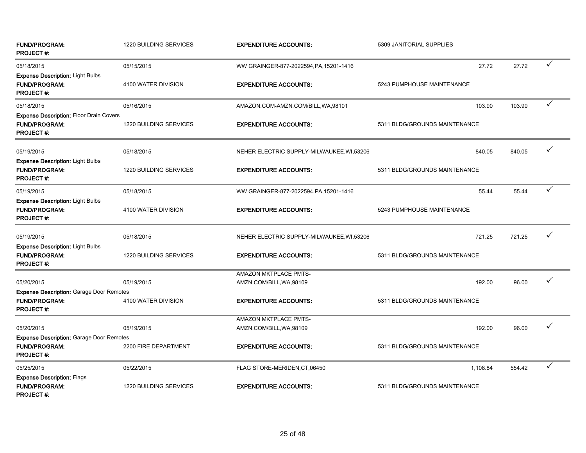| <b>FUND/PROGRAM:</b><br><b>PROJECT#:</b>                                                    | 1220 BUILDING SERVICES | <b>EXPENDITURE ACCOUNTS:</b>              | 5309 JANITORIAL SUPPLIES      |        |              |
|---------------------------------------------------------------------------------------------|------------------------|-------------------------------------------|-------------------------------|--------|--------------|
| 05/18/2015                                                                                  | 05/15/2015             | WW GRAINGER-877-2022594, PA, 15201-1416   | 27.72                         | 27.72  | ✓            |
| <b>Expense Description: Light Bulbs</b><br><b>FUND/PROGRAM:</b><br><b>PROJECT#:</b>         | 4100 WATER DIVISION    | <b>EXPENDITURE ACCOUNTS:</b>              | 5243 PUMPHOUSE MAINTENANCE    |        |              |
| 05/18/2015                                                                                  | 05/16/2015             | AMAZON.COM-AMZN.COM/BILL, WA, 98101       | 103.90                        | 103.90 | $\checkmark$ |
| <b>Expense Description: Floor Drain Covers</b><br><b>FUND/PROGRAM:</b><br><b>PROJECT#:</b>  | 1220 BUILDING SERVICES | <b>EXPENDITURE ACCOUNTS:</b>              | 5311 BLDG/GROUNDS MAINTENANCE |        |              |
| 05/19/2015                                                                                  | 05/18/2015             | NEHER ELECTRIC SUPPLY-MILWAUKEE, WI,53206 | 840.05                        | 840.05 | ✓            |
| Expense Description: Light Bulbs<br>FUND/PROGRAM:<br><b>PROJECT#:</b>                       | 1220 BUILDING SERVICES | <b>EXPENDITURE ACCOUNTS:</b>              | 5311 BLDG/GROUNDS MAINTENANCE |        |              |
| 05/19/2015                                                                                  | 05/18/2015             | WW GRAINGER-877-2022594, PA, 15201-1416   | 55.44                         | 55.44  | ✓            |
| <b>Expense Description: Light Bulbs</b><br><b>FUND/PROGRAM:</b><br><b>PROJECT#:</b>         | 4100 WATER DIVISION    | <b>EXPENDITURE ACCOUNTS:</b>              | 5243 PUMPHOUSE MAINTENANCE    |        |              |
| 05/19/2015                                                                                  | 05/18/2015             | NEHER ELECTRIC SUPPLY-MILWAUKEE, WI,53206 | 721.25                        | 721.25 | ✓            |
| <b>Expense Description: Light Bulbs</b><br><b>FUND/PROGRAM:</b><br><b>PROJECT#:</b>         | 1220 BUILDING SERVICES | <b>EXPENDITURE ACCOUNTS:</b>              | 5311 BLDG/GROUNDS MAINTENANCE |        |              |
|                                                                                             |                        | AMAZON MKTPLACE PMTS-                     |                               |        |              |
| 05/20/2015                                                                                  | 05/19/2015             | AMZN.COM/BILL, WA, 98109                  | 192.00                        | 96.00  | ✓            |
| <b>Expense Description: Garage Door Remotes</b><br><b>FUND/PROGRAM:</b><br>PROJECT #:       | 4100 WATER DIVISION    | <b>EXPENDITURE ACCOUNTS:</b>              | 5311 BLDG/GROUNDS MAINTENANCE |        |              |
|                                                                                             |                        | AMAZON MKTPLACE PMTS-                     |                               |        |              |
| 05/20/2015                                                                                  | 05/19/2015             | AMZN.COM/BILL, WA, 98109                  | 192.00                        | 96.00  | ✓            |
| <b>Expense Description: Garage Door Remotes</b><br><b>FUND/PROGRAM:</b><br><b>PROJECT#:</b> | 2200 FIRE DEPARTMENT   | <b>EXPENDITURE ACCOUNTS:</b>              | 5311 BLDG/GROUNDS MAINTENANCE |        |              |
| 05/25/2015                                                                                  | 05/22/2015             | FLAG STORE-MERIDEN, CT, 06450             | 1,108.84                      | 554.42 | ✓            |
| <b>Expense Description: Flags</b><br><b>FUND/PROGRAM:</b><br><b>PROJECT#:</b>               | 1220 BUILDING SERVICES | <b>EXPENDITURE ACCOUNTS:</b>              | 5311 BLDG/GROUNDS MAINTENANCE |        |              |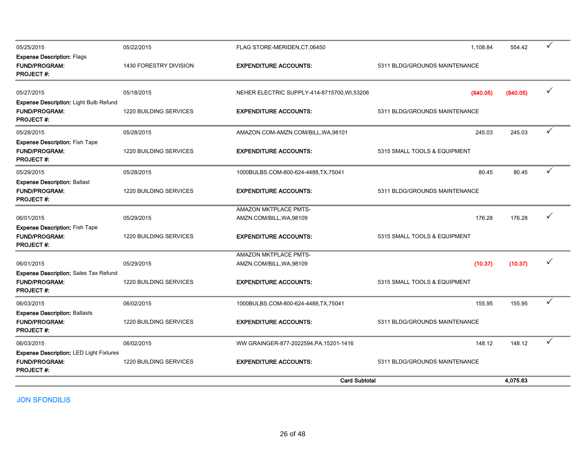|                                                                                          |                        | <b>Card Subtotal</b>                              |                               | 4.075.63 |              |
|------------------------------------------------------------------------------------------|------------------------|---------------------------------------------------|-------------------------------|----------|--------------|
| <b>Expense Description: LED Light Fixtures</b><br>FUND/PROGRAM:<br><b>PROJECT#:</b>      | 1220 BUILDING SERVICES | <b>EXPENDITURE ACCOUNTS:</b>                      | 5311 BLDG/GROUNDS MAINTENANCE |          |              |
| 06/03/2015                                                                               | 06/02/2015             | WW GRAINGER-877-2022594, PA, 15201-1416           | 148.12                        | 148.12   | ✓            |
| <b>Expense Description: Ballasts</b><br><b>FUND/PROGRAM:</b><br><b>PROJECT#:</b>         | 1220 BUILDING SERVICES | <b>EXPENDITURE ACCOUNTS:</b>                      | 5311 BLDG/GROUNDS MAINTENANCE |          |              |
| 06/03/2015                                                                               | 06/02/2015             | 1000BULBS.COM-800-624-4488,TX,75041               | 155.95                        | 155.95   | $\checkmark$ |
| <b>Expense Description: Sales Tax Refund</b><br><b>FUND/PROGRAM:</b><br><b>PROJECT#:</b> | 1220 BUILDING SERVICES | <b>EXPENDITURE ACCOUNTS:</b>                      | 5315 SMALL TOOLS & EQUIPMENT  |          |              |
| 06/01/2015                                                                               | 05/29/2015             | AMAZON MKTPLACE PMTS-<br>AMZN.COM/BILL, WA, 98109 | (10.37)                       | (10.37)  | $\checkmark$ |
| <b>Expense Description: Fish Tape</b><br><b>FUND/PROGRAM:</b><br><b>PROJECT#:</b>        | 1220 BUILDING SERVICES | <b>EXPENDITURE ACCOUNTS:</b>                      | 5315 SMALL TOOLS & EQUIPMENT  |          |              |
| 06/01/2015                                                                               | 05/29/2015             | AMAZON MKTPLACE PMTS-<br>AMZN.COM/BILL, WA, 98109 | 176.28                        | 176.28   | ✓            |
| <b>Expense Description: Ballast</b><br><b>FUND/PROGRAM:</b><br>PROJECT #:                | 1220 BUILDING SERVICES | <b>EXPENDITURE ACCOUNTS:</b>                      | 5311 BLDG/GROUNDS MAINTENANCE |          |              |
| 05/29/2015                                                                               | 05/28/2015             | 1000BULBS.COM-800-624-4488,TX,75041               | 80.45                         | 80.45    | $\checkmark$ |
| Expense Description: Fish Tape<br><b>FUND/PROGRAM:</b><br><b>PROJECT#:</b>               | 1220 BUILDING SERVICES | <b>EXPENDITURE ACCOUNTS:</b>                      | 5315 SMALL TOOLS & EQUIPMENT  |          |              |
| 05/28/2015                                                                               | 05/28/2015             | AMAZON.COM-AMZN.COM/BILL, WA, 98101               | 245.03                        | 245.03   | $\checkmark$ |
| Expense Description: Light Bulb Refund<br><b>FUND/PROGRAM:</b><br><b>PROJECT#:</b>       | 1220 BUILDING SERVICES | <b>EXPENDITURE ACCOUNTS:</b>                      | 5311 BLDG/GROUNDS MAINTENANCE |          |              |
| 05/27/2015                                                                               | 05/18/2015             | NEHER ELECTRIC SUPPLY-414-8715700, WI,53206       | (840.05)                      | (840.05) | $\checkmark$ |
| <b>Expense Description: Flags</b><br><b>FUND/PROGRAM:</b><br><b>PROJECT#:</b>            | 1430 FORESTRY DIVISION | <b>EXPENDITURE ACCOUNTS:</b>                      | 5311 BLDG/GROUNDS MAINTENANCE |          |              |
| 05/25/2015                                                                               | 05/22/2015             | FLAG STORE-MERIDEN, CT, 06450                     | 1,108.84                      | 554.42   | $\checkmark$ |
|                                                                                          |                        |                                                   |                               |          |              |

JON SFONDILIS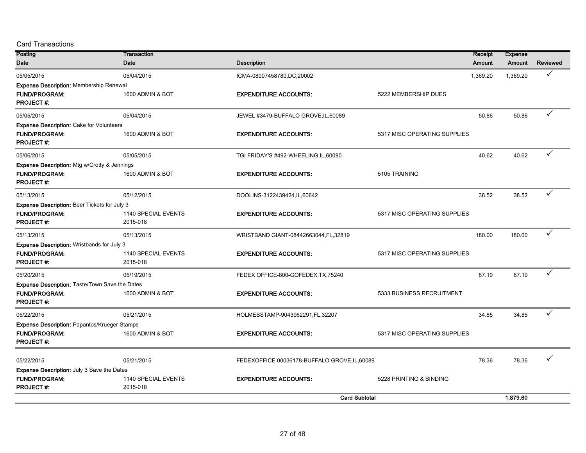| Posting                                             | Transaction         |                                               |                              | Receipt  | <b>Expense</b> |              |
|-----------------------------------------------------|---------------------|-----------------------------------------------|------------------------------|----------|----------------|--------------|
| Date                                                | Date                | <b>Description</b>                            |                              | Amount   | Amount         | Reviewed     |
| 05/05/2015                                          | 05/04/2015          | ICMA-08007458780,DC,20002                     |                              | 1,369.20 | 1.369.20       | ✓            |
| <b>Expense Description: Membership Renewal</b>      |                     |                                               |                              |          |                |              |
| <b>FUND/PROGRAM:</b><br><b>PROJECT#:</b>            | 1600 ADMIN & BOT    | <b>EXPENDITURE ACCOUNTS:</b>                  | 5222 MEMBERSHIP DUES         |          |                |              |
| 05/05/2015                                          | 05/04/2015          | JEWEL #3479-BUFFALO GROVE, IL, 60089          |                              | 50.86    | 50.86          | ✓            |
| <b>Expense Description: Cake for Volunteers</b>     |                     |                                               |                              |          |                |              |
| <b>FUND/PROGRAM:</b><br><b>PROJECT#:</b>            | 1600 ADMIN & BOT    | <b>EXPENDITURE ACCOUNTS:</b>                  | 5317 MISC OPERATING SUPPLIES |          |                |              |
| 05/06/2015                                          | 05/05/2015          | TGI FRIDAY'S #492-WHEELING, IL, 60090         |                              | 40.62    | 40.62          | ✓            |
| Expense Description: Mtg w/Crotty & Jennings        |                     |                                               |                              |          |                |              |
| <b>FUND/PROGRAM:</b><br><b>PROJECT#:</b>            | 1600 ADMIN & BOT    | <b>EXPENDITURE ACCOUNTS:</b>                  | 5105 TRAINING                |          |                |              |
| 05/13/2015                                          | 05/12/2015          | DOOLINS-3122439424,IL,60642                   |                              | 38.52    | 38.52          | ✓            |
| <b>Expense Description: Beer Tickets for July 3</b> |                     |                                               |                              |          |                |              |
| <b>FUND/PROGRAM:</b>                                | 1140 SPECIAL EVENTS | <b>EXPENDITURE ACCOUNTS:</b>                  | 5317 MISC OPERATING SUPPLIES |          |                |              |
| <b>PROJECT#:</b>                                    | 2015-018            |                                               |                              |          |                |              |
| 05/13/2015                                          | 05/13/2015          | WRISTBAND GIANT-08442663044, FL, 32819        |                              | 180.00   | 180.00         | $\checkmark$ |
| <b>Expense Description: Wristbands for July 3</b>   |                     |                                               |                              |          |                |              |
| <b>FUND/PROGRAM:</b>                                | 1140 SPECIAL EVENTS | <b>EXPENDITURE ACCOUNTS:</b>                  | 5317 MISC OPERATING SUPPLIES |          |                |              |
| <b>PROJECT#:</b>                                    | 2015-018            |                                               |                              |          |                |              |
| 05/20/2015                                          | 05/19/2015          | FEDEX OFFICE-800-GOFEDEX, TX, 75240           |                              | 87.19    | 87.19          | ✓            |
| Expense Description: Taste/Town Save the Dates      |                     |                                               |                              |          |                |              |
| <b>FUND/PROGRAM:</b><br><b>PROJECT#:</b>            | 1600 ADMIN & BOT    | <b>EXPENDITURE ACCOUNTS:</b>                  | 5333 BUSINESS RECRUITMENT    |          |                |              |
| 05/22/2015                                          | 05/21/2015          | HOLMESSTAMP-9043962291,FL,32207               |                              | 34.85    | 34.85          | ✓            |
| Expense Description: Papantos/Krueger Stamps        |                     |                                               |                              |          |                |              |
| <b>FUND/PROGRAM:</b><br><b>PROJECT#:</b>            | 1600 ADMIN & BOT    | <b>EXPENDITURE ACCOUNTS:</b>                  | 5317 MISC OPERATING SUPPLIES |          |                |              |
| 05/22/2015                                          | 05/21/2015          | FEDEXOFFICE 00036178-BUFFALO GROVE, IL, 60089 |                              | 78.36    | 78.36          |              |
| <b>Expense Description: July 3 Save the Dates</b>   |                     |                                               |                              |          |                |              |
| FUND/PROGRAM:                                       | 1140 SPECIAL EVENTS | <b>EXPENDITURE ACCOUNTS:</b>                  | 5228 PRINTING & BINDING      |          |                |              |
| <b>PROJECT#:</b>                                    | 2015-018            |                                               |                              |          |                |              |
|                                                     |                     |                                               | <b>Card Subtotal</b>         |          | 1,879.60       |              |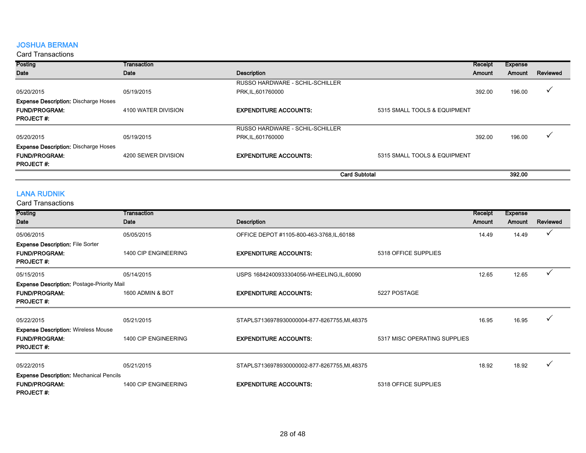#### JOSHUA BERMAN

#### Card Transactions

| <b>Posting</b>                              | Transaction         |                                 |                              | Receipt       | Expense |          |
|---------------------------------------------|---------------------|---------------------------------|------------------------------|---------------|---------|----------|
| Date                                        | Date                | Description                     |                              | <b>Amount</b> | Amount  | Reviewed |
|                                             |                     | RUSSO HARDWARE - SCHIL-SCHILLER |                              |               |         |          |
| 05/20/2015                                  | 05/19/2015          | PRK, IL, 601760000              |                              | 392.00        | 196.00  |          |
| <b>Expense Description: Discharge Hoses</b> |                     |                                 |                              |               |         |          |
| <b>FUND/PROGRAM:</b>                        | 4100 WATER DIVISION | <b>EXPENDITURE ACCOUNTS:</b>    | 5315 SMALL TOOLS & EQUIPMENT |               |         |          |
| <b>PROJECT#:</b>                            |                     |                                 |                              |               |         |          |
|                                             |                     | RUSSO HARDWARE - SCHIL-SCHILLER |                              |               |         |          |
| 05/20/2015                                  | 05/19/2015          | PRK, IL, 601760000              |                              | 392.00        | 196.00  |          |
| <b>Expense Description: Discharge Hoses</b> |                     |                                 |                              |               |         |          |
| <b>FUND/PROGRAM:</b>                        | 4200 SEWER DIVISION | <b>EXPENDITURE ACCOUNTS:</b>    | 5315 SMALL TOOLS & EQUIPMENT |               |         |          |
| <b>PROJECT#:</b>                            |                     |                                 |                              |               |         |          |
|                                             |                     | <b>Card Subtotal</b>            |                              |               | 392.00  |          |

# LANA RUDNIK

| Posting                                           | Transaction          |                                             |                              | Receipt | <b>Expense</b> |          |
|---------------------------------------------------|----------------------|---------------------------------------------|------------------------------|---------|----------------|----------|
| Date                                              | Date                 | Description                                 |                              | Amount  | Amount         | Reviewed |
| 05/06/2015                                        | 05/05/2015           | OFFICE DEPOT #1105-800-463-3768, IL, 60188  |                              | 14.49   | 14.49          |          |
| <b>Expense Description: File Sorter</b>           |                      |                                             |                              |         |                |          |
| <b>FUND/PROGRAM:</b>                              | 1400 CIP ENGINEERING | <b>EXPENDITURE ACCOUNTS:</b>                | 5318 OFFICE SUPPLIES         |         |                |          |
| <b>PROJECT#:</b>                                  |                      |                                             |                              |         |                |          |
| 05/15/2015                                        | 05/14/2015           | USPS 16842400933304056-WHEELING, IL, 60090  |                              | 12.65   | 12.65          | ✓        |
| <b>Expense Description: Postage-Priority Mail</b> |                      |                                             |                              |         |                |          |
| <b>FUND/PROGRAM:</b>                              | 1600 ADMIN & BOT     | <b>EXPENDITURE ACCOUNTS:</b>                | 5227 POSTAGE                 |         |                |          |
| <b>PROJECT#:</b>                                  |                      |                                             |                              |         |                |          |
| 05/22/2015                                        | 05/21/2015           | STAPLS7136978930000004-877-8267755,MI,48375 |                              | 16.95   | 16.95          |          |
| <b>Expense Description: Wireless Mouse</b>        |                      |                                             |                              |         |                |          |
| <b>FUND/PROGRAM:</b>                              | 1400 CIP ENGINEERING | <b>EXPENDITURE ACCOUNTS:</b>                | 5317 MISC OPERATING SUPPLIES |         |                |          |
| <b>PROJECT#:</b>                                  |                      |                                             |                              |         |                |          |
| 05/22/2015                                        | 05/21/2015           | STAPLS7136978930000002-877-8267755,MI,48375 |                              | 18.92   | 18.92          |          |
| <b>Expense Description: Mechanical Pencils</b>    |                      |                                             |                              |         |                |          |
| <b>FUND/PROGRAM:</b>                              | 1400 CIP ENGINEERING | <b>EXPENDITURE ACCOUNTS:</b>                | 5318 OFFICE SUPPLIES         |         |                |          |
| <b>PROJECT#:</b>                                  |                      |                                             |                              |         |                |          |
|                                                   |                      |                                             |                              |         |                |          |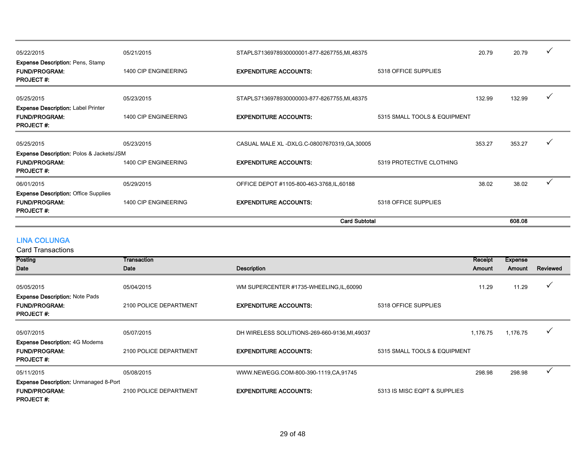| 05/22/2015                                                                              | 05/21/2015           | STAPLS7136978930000001-877-8267755,MI,48375   |                              | 20.79  | 20.79  | ✓            |
|-----------------------------------------------------------------------------------------|----------------------|-----------------------------------------------|------------------------------|--------|--------|--------------|
| <b>Expense Description: Pens, Stamp</b><br><b>FUND/PROGRAM:</b><br><b>PROJECT#:</b>     | 1400 CIP ENGINEERING | <b>EXPENDITURE ACCOUNTS:</b>                  | 5318 OFFICE SUPPLIES         |        |        |              |
| 05/25/2015                                                                              | 05/23/2015           | STAPLS7136978930000003-877-8267755,MI,48375   |                              | 132.99 | 132.99 |              |
| <b>Expense Description: Label Printer</b><br><b>FUND/PROGRAM:</b><br><b>PROJECT#:</b>   | 1400 CIP ENGINEERING | <b>EXPENDITURE ACCOUNTS:</b>                  | 5315 SMALL TOOLS & EQUIPMENT |        |        |              |
| 05/25/2015                                                                              | 05/23/2015           | CASUAL MALE XL -DXLG.C-08007670319, GA, 30005 |                              | 353.27 | 353.27 |              |
| Expense Description: Polos & Jackets/JSM<br><b>FUND/PROGRAM:</b><br><b>PROJECT#:</b>    | 1400 CIP ENGINEERING | <b>EXPENDITURE ACCOUNTS:</b>                  | 5319 PROTECTIVE CLOTHING     |        |        |              |
| 06/01/2015                                                                              | 05/29/2015           | OFFICE DEPOT #1105-800-463-3768, IL, 60188    |                              | 38.02  | 38.02  | $\checkmark$ |
| <b>Expense Description: Office Supplies</b><br><b>FUND/PROGRAM:</b><br><b>PROJECT#:</b> | 1400 CIP ENGINEERING | <b>EXPENDITURE ACCOUNTS:</b>                  | 5318 OFFICE SUPPLIES         |        |        |              |
|                                                                                         |                      |                                               | <b>Card Subtotal</b>         |        | 608.08 |              |

# LINA COLUNGA

| Posting                                      | Transaction            |                                               |                              | Receipt  | <b>Expense</b> |          |
|----------------------------------------------|------------------------|-----------------------------------------------|------------------------------|----------|----------------|----------|
|                                              |                        |                                               |                              |          |                |          |
| Date                                         | Date                   | Description                                   |                              | Amount   | Amount         | Reviewed |
|                                              |                        |                                               |                              |          |                |          |
| 05/05/2015                                   | 05/04/2015             | WM SUPERCENTER #1735-WHEELING, IL, 60090      |                              | 11.29    | 11.29          | ✓        |
| <b>Expense Description: Note Pads</b>        |                        |                                               |                              |          |                |          |
| <b>FUND/PROGRAM:</b>                         | 2100 POLICE DEPARTMENT | <b>EXPENDITURE ACCOUNTS:</b>                  | 5318 OFFICE SUPPLIES         |          |                |          |
| <b>PROJECT#:</b>                             |                        |                                               |                              |          |                |          |
|                                              |                        |                                               |                              |          |                |          |
| 05/07/2015                                   | 05/07/2015             | DH WIRELESS SOLUTIONS-269-660-9136, MI, 49037 |                              | 1,176.75 | 1,176.75       |          |
| <b>Expense Description: 4G Modems</b>        |                        |                                               |                              |          |                |          |
| <b>FUND/PROGRAM:</b>                         | 2100 POLICE DEPARTMENT | <b>EXPENDITURE ACCOUNTS:</b>                  | 5315 SMALL TOOLS & EQUIPMENT |          |                |          |
| <b>PROJECT#:</b>                             |                        |                                               |                              |          |                |          |
| 05/11/2015                                   | 05/08/2015             | WWW.NEWEGG.COM-800-390-1119,CA,91745          |                              | 298.98   | 298.98         |          |
| <b>Expense Description: Unmanaged 8-Port</b> |                        |                                               |                              |          |                |          |
| <b>FUND/PROGRAM:</b>                         | 2100 POLICE DEPARTMENT | <b>EXPENDITURE ACCOUNTS:</b>                  | 5313 IS MISC EQPT & SUPPLIES |          |                |          |
| <b>PROJECT#:</b>                             |                        |                                               |                              |          |                |          |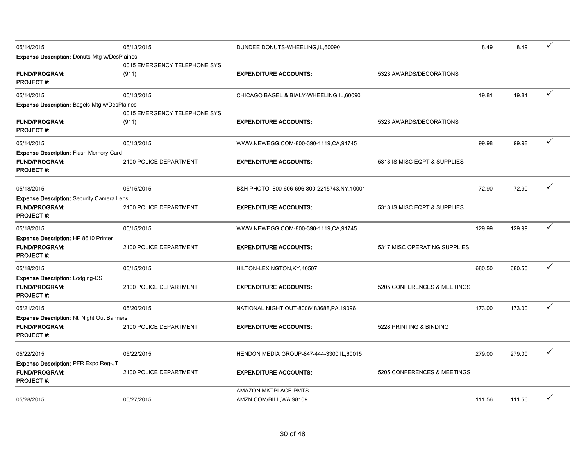| 05/14/2015                                                               | 05/13/2015                                                                                                                                                                                                                                                                                                                                                                                                                                                                                                    | DUNDEE DONUTS-WHEELING, IL, 60090          |                             | 8.49   | 8.49   | ✓            |
|--------------------------------------------------------------------------|---------------------------------------------------------------------------------------------------------------------------------------------------------------------------------------------------------------------------------------------------------------------------------------------------------------------------------------------------------------------------------------------------------------------------------------------------------------------------------------------------------------|--------------------------------------------|-----------------------------|--------|--------|--------------|
| <b>Expense Description: Donuts-Mtg w/DesPlaines</b>                      |                                                                                                                                                                                                                                                                                                                                                                                                                                                                                                               |                                            |                             |        |        |              |
|                                                                          | 0015 EMERGENCY TELEPHONE SYS                                                                                                                                                                                                                                                                                                                                                                                                                                                                                  |                                            |                             |        |        |              |
| <b>FUND/PROGRAM:</b><br><b>PROJECT#:</b>                                 | (911)                                                                                                                                                                                                                                                                                                                                                                                                                                                                                                         | <b>EXPENDITURE ACCOUNTS:</b>               | 5323 AWARDS/DECORATIONS     |        |        |              |
|                                                                          |                                                                                                                                                                                                                                                                                                                                                                                                                                                                                                               |                                            |                             |        |        | $\checkmark$ |
| 05/14/2015                                                               | 05/13/2015                                                                                                                                                                                                                                                                                                                                                                                                                                                                                                    | CHICAGO BAGEL & BIALY-WHEELING, IL, 60090  |                             | 19.81  | 19.81  |              |
| <b>Expense Description: Bagels-Mtg w/DesPlaines</b>                      | 0015 EMERGENCY TELEPHONE SYS                                                                                                                                                                                                                                                                                                                                                                                                                                                                                  |                                            |                             |        |        |              |
| <b>FUND/PROGRAM:</b>                                                     | (911)                                                                                                                                                                                                                                                                                                                                                                                                                                                                                                         | <b>EXPENDITURE ACCOUNTS:</b>               | 5323 AWARDS/DECORATIONS     |        |        |              |
| <b>PROJECT#:</b>                                                         | 05/13/2015<br>99.98<br>99.98<br>WWW.NEWEGG.COM-800-390-1119,CA,91745<br><b>EXPENDITURE ACCOUNTS:</b><br>2100 POLICE DEPARTMENT<br>5313 IS MISC EQPT & SUPPLIES<br>05/15/2015<br>72.90<br>72.90<br>B&H PHOTO, 800-606-696-800-2215743, NY, 10001<br><b>EXPENDITURE ACCOUNTS:</b><br>2100 POLICE DEPARTMENT<br>5313 IS MISC EQPT & SUPPLIES<br>129.99<br>129.99<br>05/15/2015<br>WWW.NEWEGG.COM-800-390-1119,CA,91745<br>2100 POLICE DEPARTMENT<br><b>EXPENDITURE ACCOUNTS:</b><br>5317 MISC OPERATING SUPPLIES |                                            |                             |        |        |              |
| 05/14/2015                                                               |                                                                                                                                                                                                                                                                                                                                                                                                                                                                                                               |                                            |                             |        |        | ✓            |
| <b>Expense Description: Flash Memory Card</b>                            |                                                                                                                                                                                                                                                                                                                                                                                                                                                                                                               |                                            |                             |        |        |              |
| <b>FUND/PROGRAM:</b>                                                     |                                                                                                                                                                                                                                                                                                                                                                                                                                                                                                               |                                            |                             |        |        |              |
| <b>PROJECT#:</b>                                                         |                                                                                                                                                                                                                                                                                                                                                                                                                                                                                                               |                                            |                             |        |        |              |
|                                                                          |                                                                                                                                                                                                                                                                                                                                                                                                                                                                                                               |                                            |                             |        |        | ✓            |
| 05/18/2015                                                               |                                                                                                                                                                                                                                                                                                                                                                                                                                                                                                               |                                            |                             |        |        |              |
| <b>Expense Description: Security Camera Lens</b><br><b>FUND/PROGRAM:</b> |                                                                                                                                                                                                                                                                                                                                                                                                                                                                                                               |                                            |                             |        |        |              |
| <b>PROJECT#:</b>                                                         |                                                                                                                                                                                                                                                                                                                                                                                                                                                                                                               |                                            |                             |        |        |              |
|                                                                          |                                                                                                                                                                                                                                                                                                                                                                                                                                                                                                               |                                            |                             |        |        | $\checkmark$ |
| 05/18/2015                                                               |                                                                                                                                                                                                                                                                                                                                                                                                                                                                                                               |                                            |                             |        |        |              |
| Expense Description: HP 8610 Printer<br><b>FUND/PROGRAM:</b>             |                                                                                                                                                                                                                                                                                                                                                                                                                                                                                                               |                                            |                             |        |        |              |
| <b>PROJECT#:</b>                                                         |                                                                                                                                                                                                                                                                                                                                                                                                                                                                                                               |                                            |                             |        |        |              |
|                                                                          |                                                                                                                                                                                                                                                                                                                                                                                                                                                                                                               |                                            |                             |        |        | ✓            |
| 05/18/2015<br><b>Expense Description: Lodging-DS</b>                     | 05/15/2015                                                                                                                                                                                                                                                                                                                                                                                                                                                                                                    | HILTON-LEXINGTON, KY, 40507                |                             | 680.50 | 680.50 |              |
| <b>FUND/PROGRAM:</b>                                                     | 2100 POLICE DEPARTMENT                                                                                                                                                                                                                                                                                                                                                                                                                                                                                        | <b>EXPENDITURE ACCOUNTS:</b>               | 5205 CONFERENCES & MEETINGS |        |        |              |
| <b>PROJECT#:</b>                                                         |                                                                                                                                                                                                                                                                                                                                                                                                                                                                                                               |                                            |                             |        |        |              |
| 05/21/2015                                                               | 05/20/2015                                                                                                                                                                                                                                                                                                                                                                                                                                                                                                    | NATIONAL NIGHT OUT-8006483688, PA, 19096   |                             | 173.00 | 173.00 | ✓            |
| <b>Expense Description: Ntl Night Out Banners</b>                        |                                                                                                                                                                                                                                                                                                                                                                                                                                                                                                               |                                            |                             |        |        |              |
| <b>FUND/PROGRAM:</b>                                                     | 2100 POLICE DEPARTMENT                                                                                                                                                                                                                                                                                                                                                                                                                                                                                        | <b>EXPENDITURE ACCOUNTS:</b>               | 5228 PRINTING & BINDING     |        |        |              |
| <b>PROJECT#:</b>                                                         |                                                                                                                                                                                                                                                                                                                                                                                                                                                                                                               |                                            |                             |        |        |              |
|                                                                          |                                                                                                                                                                                                                                                                                                                                                                                                                                                                                                               |                                            |                             |        |        |              |
| 05/22/2015                                                               | 05/22/2015                                                                                                                                                                                                                                                                                                                                                                                                                                                                                                    | HENDON MEDIA GROUP-847-444-3300, IL, 60015 |                             | 279.00 | 279.00 | ✓            |
| <b>Expense Description: PFR Expo Reg-JT</b>                              |                                                                                                                                                                                                                                                                                                                                                                                                                                                                                                               |                                            |                             |        |        |              |
| <b>FUND/PROGRAM:</b><br>PROJECT #:                                       | 2100 POLICE DEPARTMENT                                                                                                                                                                                                                                                                                                                                                                                                                                                                                        | <b>EXPENDITURE ACCOUNTS:</b>               | 5205 CONFERENCES & MEETINGS |        |        |              |
|                                                                          |                                                                                                                                                                                                                                                                                                                                                                                                                                                                                                               | AMAZON MKTPLACE PMTS-                      |                             |        |        |              |
| 05/28/2015                                                               | 05/27/2015                                                                                                                                                                                                                                                                                                                                                                                                                                                                                                    | AMZN.COM/BILL, WA, 98109                   |                             | 111.56 | 111.56 | ✓            |
|                                                                          |                                                                                                                                                                                                                                                                                                                                                                                                                                                                                                               |                                            |                             |        |        |              |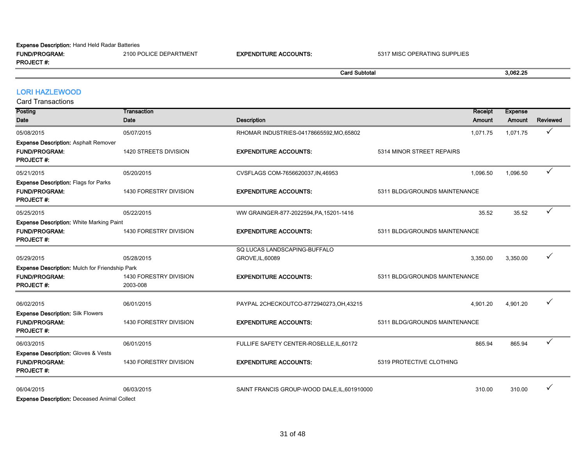#### Expense Description: Hand Held Radar Batteries

|                            |                |             | l Subtota                     | 3.062.25 |
|----------------------------|----------------|-------------|-------------------------------|----------|
| <b>PROJECT#:</b>           |                |             |                               |          |
| <b>ELIND/DDO</b><br>OGRAM. | <b>\RTMENT</b> | <b>UNTS</b> | <b>SUPPLIES</b><br>531<br>IN( |          |

#### LORI HAZLEWOOD

Card Transactions

| <b>Posting</b><br>Date                                                                      | Transaction<br>Date                | <b>Description</b>                               | Receipt<br>Amount             | <b>Expense</b><br>Amount | <b>Reviewed</b> |
|---------------------------------------------------------------------------------------------|------------------------------------|--------------------------------------------------|-------------------------------|--------------------------|-----------------|
|                                                                                             |                                    |                                                  |                               |                          |                 |
| 05/08/2015                                                                                  | 05/07/2015                         | RHOMAR INDUSTRIES-04178665592, MO, 65802         | 1,071.75                      | 1,071.75                 | ✓               |
| <b>Expense Description: Asphalt Remover</b><br><b>FUND/PROGRAM:</b><br><b>PROJECT#:</b>     | 1420 STREETS DIVISION              | <b>EXPENDITURE ACCOUNTS:</b>                     | 5314 MINOR STREET REPAIRS     |                          |                 |
| 05/21/2015                                                                                  | 05/20/2015                         | CVSFLAGS COM-7656620037, IN, 46953               | 1,096.50                      | 1,096.50                 | ✓               |
| <b>Expense Description: Flags for Parks</b><br><b>FUND/PROGRAM:</b><br><b>PROJECT#:</b>     | 1430 FORESTRY DIVISION             | <b>EXPENDITURE ACCOUNTS:</b>                     | 5311 BLDG/GROUNDS MAINTENANCE |                          |                 |
| 05/25/2015                                                                                  | 05/22/2015                         | WW GRAINGER-877-2022594, PA, 15201-1416          | 35.52                         | 35.52                    | $\checkmark$    |
| <b>Expense Description: White Marking Paint</b><br><b>FUND/PROGRAM:</b><br><b>PROJECT#:</b> | 1430 FORESTRY DIVISION             | <b>EXPENDITURE ACCOUNTS:</b>                     | 5311 BLDG/GROUNDS MAINTENANCE |                          |                 |
| 05/29/2015                                                                                  | 05/28/2015                         | SQ LUCAS LANDSCAPING-BUFFALO<br>GROVE, IL, 60089 | 3,350.00                      | 3,350.00                 |                 |
| <b>Expense Description: Mulch for Friendship Park</b>                                       |                                    |                                                  |                               |                          |                 |
| <b>FUND/PROGRAM:</b><br><b>PROJECT#:</b>                                                    | 1430 FORESTRY DIVISION<br>2003-008 | <b>EXPENDITURE ACCOUNTS:</b>                     | 5311 BLDG/GROUNDS MAINTENANCE |                          |                 |
| 06/02/2015                                                                                  | 06/01/2015                         | PAYPAL 2CHECKOUTCO-8772940273, OH, 43215         | 4,901.20                      | 4,901.20                 |                 |
| <b>Expense Description: Silk Flowers</b><br><b>FUND/PROGRAM:</b><br><b>PROJECT#:</b>        | 1430 FORESTRY DIVISION             | <b>EXPENDITURE ACCOUNTS:</b>                     | 5311 BLDG/GROUNDS MAINTENANCE |                          |                 |
| 06/03/2015                                                                                  | 06/01/2015                         | FULLIFE SAFETY CENTER-ROSELLE, IL, 60172         | 865.94                        | 865.94                   | ✓               |
| <b>Expense Description: Gloves &amp; Vests</b><br><b>FUND/PROGRAM:</b><br><b>PROJECT#:</b>  | 1430 FORESTRY DIVISION             | <b>EXPENDITURE ACCOUNTS:</b>                     | 5319 PROTECTIVE CLOTHING      |                          |                 |
| 06/04/2015<br>Evnesse Description: Descosed Animal Collect                                  | 06/03/2015                         | SAINT FRANCIS GROUP-WOOD DALE, IL, 601910000     | 310.00                        | 310.00                   |                 |

Expense Description: Deceased Animal Collect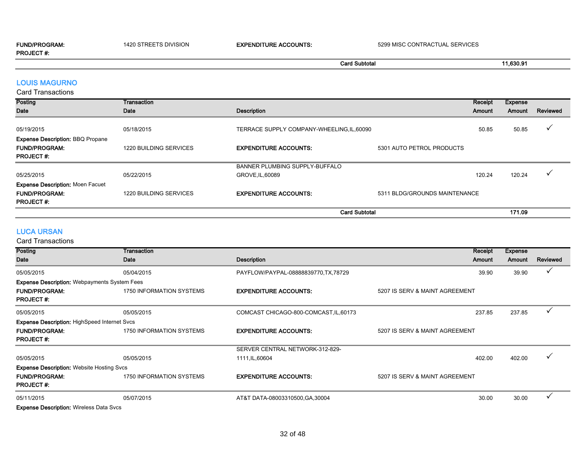| <b>FUND/PROGRAM:</b> | 1420 STREETS DIVISION | <b>EXPENDITURE ACCOUNTS:</b> | 5299 MISC CONTRACTUAL SERVICES |
|----------------------|-----------------------|------------------------------|--------------------------------|
| <b>PROJECT#:</b>     |                       |                              |                                |

# Card Subtotal 11,630.91

### LOUIS MAGURNO

| <b>Card Transactions</b>                |                        |                                            |                               |         |                |          |
|-----------------------------------------|------------------------|--------------------------------------------|-------------------------------|---------|----------------|----------|
| <b>Posting</b>                          | Transaction            |                                            |                               | Receipt | <b>Expense</b> |          |
| Date                                    | Date                   | <b>Description</b>                         |                               | Amount  | Amount         | Reviewed |
| 05/19/2015                              | 05/18/2015             | TERRACE SUPPLY COMPANY-WHEELING, IL, 60090 |                               | 50.85   | 50.85          |          |
| <b>Expense Description: BBQ Propane</b> |                        |                                            |                               |         |                |          |
| <b>FUND/PROGRAM:</b>                    | 1220 BUILDING SERVICES | <b>EXPENDITURE ACCOUNTS:</b>               | 5301 AUTO PETROL PRODUCTS     |         |                |          |
| <b>PROJECT#:</b>                        |                        |                                            |                               |         |                |          |
|                                         |                        | BANNER PLUMBING SUPPLY-BUFFALO             |                               |         |                |          |
| 05/25/2015                              | 05/22/2015             | GROVE, IL, 60089                           |                               | 120.24  | 120.24         |          |
| <b>Expense Description: Moen Facuet</b> |                        |                                            |                               |         |                |          |
| <b>FUND/PROGRAM:</b>                    | 1220 BUILDING SERVICES | <b>EXPENDITURE ACCOUNTS:</b>               | 5311 BLDG/GROUNDS MAINTENANCE |         |                |          |
| <b>PROJECT#:</b>                        |                        |                                            |                               |         |                |          |
|                                         |                        |                                            | <b>Card Subtotal</b>          |         | 171.09         |          |

#### LUCA URSAN

| Posting                                             | Transaction              |                                        | Receipt                        | <b>Expense</b> |                          |
|-----------------------------------------------------|--------------------------|----------------------------------------|--------------------------------|----------------|--------------------------|
| Date                                                | Date                     | <b>Description</b>                     | Amount                         | Amount         | Reviewed                 |
| 05/05/2015                                          | 05/04/2015               | PAYFLOW/PAYPAL-08888839770, TX, 78729  | 39.90                          | 39.90          | ✓                        |
| <b>Expense Description: Webpayments System Fees</b> |                          |                                        |                                |                |                          |
| <b>FUND/PROGRAM:</b><br><b>PROJECT#:</b>            | 1750 INFORMATION SYSTEMS | <b>EXPENDITURE ACCOUNTS:</b>           | 5207 IS SERV & MAINT AGREEMENT |                |                          |
|                                                     |                          |                                        |                                |                |                          |
| 05/05/2015                                          | 05/05/2015               | COMCAST CHICAGO-800-COMCAST, IL, 60173 | 237.85                         | 237.85         | $\checkmark$             |
| <b>Expense Description: HighSpeed Internet Svcs</b> |                          |                                        |                                |                |                          |
| <b>FUND/PROGRAM:</b>                                | 1750 INFORMATION SYSTEMS | <b>EXPENDITURE ACCOUNTS:</b>           | 5207 IS SERV & MAINT AGREEMENT |                |                          |
| <b>PROJECT#:</b>                                    |                          |                                        |                                |                |                          |
|                                                     |                          | SERVER CENTRAL NETWORK-312-829-        |                                |                |                          |
| 05/05/2015                                          | 05/05/2015               | 1111, IL, 60604                        | 402.00                         | 402.00         | $\overline{\phantom{a}}$ |
| <b>Expense Description: Website Hosting Svcs</b>    |                          |                                        |                                |                |                          |
| <b>FUND/PROGRAM:</b>                                | 1750 INFORMATION SYSTEMS | <b>EXPENDITURE ACCOUNTS:</b>           | 5207 IS SERV & MAINT AGREEMENT |                |                          |
| <b>PROJECT#:</b>                                    |                          |                                        |                                |                |                          |
| 05/11/2015                                          | 05/07/2015               | AT&T DATA-08003310500, GA, 30004       | 30.00                          | 30.00          | $\checkmark$             |
| <b>Expense Description: Wireless Data Svcs</b>      |                          |                                        |                                |                |                          |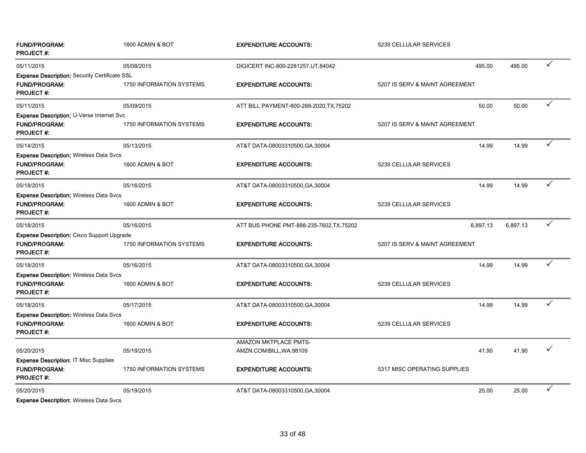| <b>FUND/PROGRAM:</b><br><b>PROJECT#:</b>                                                         | 1600 ADMIN & BOT         | <b>EXPENDITURE ACCOUNTS:</b>                             | 5239 CELLULAR SERVICES         |          |              |
|--------------------------------------------------------------------------------------------------|--------------------------|----------------------------------------------------------|--------------------------------|----------|--------------|
| 05/11/2015                                                                                       | 05/08/2015               | DIGICERT INC-800-2281257, UT, 84042                      | 495.00                         | 495.00   | $\checkmark$ |
| <b>Expense Description: Security Certificate SSL</b><br><b>FUND/PROGRAM:</b><br><b>PROJECT#:</b> | 1750 INFORMATION SYSTEMS | <b>EXPENDITURE ACCOUNTS:</b>                             | 5207 IS SERV & MAINT AGREEMENT |          |              |
| 05/11/2015                                                                                       | 05/09/2015               | ATT BILL PAYMENT-800-288-2020, TX, 75202                 | 50.00                          | 50.00    | $\checkmark$ |
| Expense Description: U-Verse Internet Svc<br><b>FUND/PROGRAM:</b><br><b>PROJECT#:</b>            | 1750 INFORMATION SYSTEMS | <b>EXPENDITURE ACCOUNTS:</b>                             | 5207 IS SERV & MAINT AGREEMENT |          |              |
| 05/14/2015                                                                                       | 05/13/2015               | AT&T DATA-08003310500, GA, 30004                         | 14.99                          | 14.99    | ✓            |
| <b>Expense Description: Wireless Data Svcs</b><br><b>FUND/PROGRAM:</b><br><b>PROJECT#:</b>       | 1600 ADMIN & BOT         | <b>EXPENDITURE ACCOUNTS:</b>                             | 5239 CELLULAR SERVICES         |          |              |
| 05/18/2015                                                                                       | 05/16/2015               | AT&T DATA-08003310500, GA, 30004                         | 14.99                          | 14.99    | ✓            |
| <b>Expense Description: Wireless Data Svcs</b><br><b>FUND/PROGRAM:</b><br><b>PROJECT#:</b>       | 1600 ADMIN & BOT         | <b>EXPENDITURE ACCOUNTS:</b>                             | 5239 CELLULAR SERVICES         |          |              |
| 05/18/2015                                                                                       | 05/16/2015               | ATT BUS PHONE PMT-888-235-7602, TX, 75202                | 6,897.13                       | 6,897.13 | $\checkmark$ |
| <b>Expense Description:</b> Cisco Support Upgrade<br><b>FUND/PROGRAM:</b><br><b>PROJECT#:</b>    | 1750 INFORMATION SYSTEMS | <b>EXPENDITURE ACCOUNTS:</b>                             | 5207 IS SERV & MAINT AGREEMENT |          |              |
| 05/18/2015                                                                                       | 05/16/2015               | AT&T DATA-08003310500, GA, 30004                         | 14.99                          | 14.99    | ✓            |
| Expense Description: Wireless Data Svcs<br><b>FUND/PROGRAM:</b><br><b>PROJECT#:</b>              | 1600 ADMIN & BOT         | <b>EXPENDITURE ACCOUNTS:</b>                             | 5239 CELLULAR SERVICES         |          |              |
| 05/18/2015                                                                                       | 05/17/2015               | AT&T DATA-08003310500, GA, 30004                         | 14.99                          | 14.99    | $\checkmark$ |
| <b>Expense Description: Wireless Data Svcs</b><br><b>FUND/PROGRAM:</b><br><b>PROJECT#:</b>       | 1600 ADMIN & BOT         | <b>EXPENDITURE ACCOUNTS:</b>                             | 5239 CELLULAR SERVICES         |          |              |
| 05/20/2015<br><b>Expense Description: IT Misc Supplies</b>                                       | 05/19/2015               | <b>AMAZON MKTPLACE PMTS-</b><br>AMZN.COM/BILL, WA, 98109 | 41.90                          | 41.90    | ✓            |
| <b>FUND/PROGRAM:</b><br><b>PROJECT#:</b>                                                         | 1750 INFORMATION SYSTEMS | <b>EXPENDITURE ACCOUNTS:</b>                             | 5317 MISC OPERATING SUPPLIES   |          |              |
| 05/20/2015                                                                                       | 05/19/2015               | AT&T DATA-08003310500, GA, 30004                         | 25.00                          | 25.00    | ✓            |
|                                                                                                  |                          |                                                          |                                |          |              |

Expense Description: Wireless Data Svcs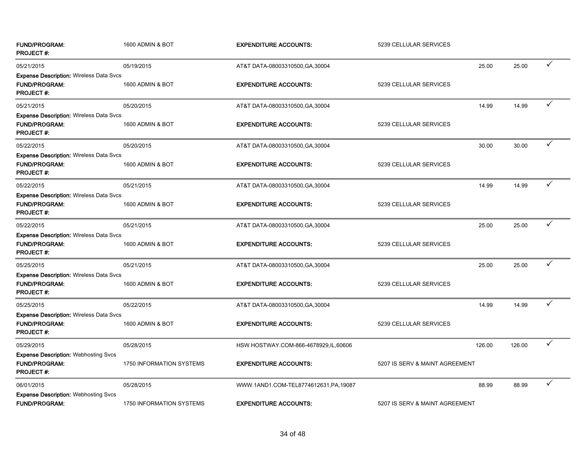| <b>FUND/PROGRAM:</b><br><b>PROJECT#:</b>                                                   | 1600 ADMIN & BOT         | <b>EXPENDITURE ACCOUNTS:</b>         | 5239 CELLULAR SERVICES         |        |        |   |
|--------------------------------------------------------------------------------------------|--------------------------|--------------------------------------|--------------------------------|--------|--------|---|
| 05/21/2015                                                                                 | 05/19/2015               | AT&T DATA-08003310500, GA, 30004     |                                | 25.00  | 25.00  | ✓ |
| <b>Expense Description: Wireless Data Svcs</b><br><b>FUND/PROGRAM:</b><br><b>PROJECT#:</b> | 1600 ADMIN & BOT         | <b>EXPENDITURE ACCOUNTS:</b>         | 5239 CELLULAR SERVICES         |        |        |   |
| 05/21/2015                                                                                 | 05/20/2015               | AT&T DATA-08003310500, GA, 30004     |                                | 14.99  | 14.99  | ✓ |
| <b>Expense Description: Wireless Data Svcs</b><br>FUND/PROGRAM:<br><b>PROJECT#:</b>        | 1600 ADMIN & BOT         | <b>EXPENDITURE ACCOUNTS:</b>         | 5239 CELLULAR SERVICES         |        |        |   |
| 05/22/2015                                                                                 | 05/20/2015               | AT&T DATA-08003310500, GA, 30004     |                                | 30.00  | 30.00  | ✓ |
| <b>Expense Description: Wireless Data Svcs</b><br><b>FUND/PROGRAM:</b><br><b>PROJECT#:</b> | 1600 ADMIN & BOT         | <b>EXPENDITURE ACCOUNTS:</b>         | 5239 CELLULAR SERVICES         |        |        |   |
| 05/22/2015                                                                                 | 05/21/2015               | AT&T DATA-08003310500, GA, 30004     |                                | 14.99  | 14.99  | ✓ |
| <b>Expense Description: Wireless Data Svcs</b><br><b>FUND/PROGRAM:</b><br><b>PROJECT#:</b> | 1600 ADMIN & BOT         | <b>EXPENDITURE ACCOUNTS:</b>         | 5239 CELLULAR SERVICES         |        |        |   |
| 05/22/2015                                                                                 | 05/21/2015               | AT&T DATA-08003310500, GA, 30004     |                                | 25.00  | 25.00  |   |
| <b>Expense Description: Wireless Data Svcs</b><br><b>FUND/PROGRAM:</b><br>PROJECT#:        | 1600 ADMIN & BOT         | <b>EXPENDITURE ACCOUNTS:</b>         | 5239 CELLULAR SERVICES         |        |        |   |
| 05/25/2015                                                                                 | 05/21/2015               | AT&T DATA-08003310500, GA, 30004     |                                | 25.00  | 25.00  | ✓ |
| Expense Description: Wireless Data Svcs<br><b>FUND/PROGRAM:</b><br><b>PROJECT#:</b>        | 1600 ADMIN & BOT         | <b>EXPENDITURE ACCOUNTS:</b>         | 5239 CELLULAR SERVICES         |        |        |   |
| 05/25/2015                                                                                 | 05/22/2015               | AT&T DATA-08003310500, GA, 30004     |                                | 14.99  | 14.99  | ✓ |
| <b>Expense Description: Wireless Data Svcs</b><br><b>FUND/PROGRAM:</b><br><b>PROJECT#:</b> | 1600 ADMIN & BOT         | <b>EXPENDITURE ACCOUNTS:</b>         | 5239 CELLULAR SERVICES         |        |        |   |
| 05/29/2015                                                                                 | 05/28/2015               | HSW HOSTWAY.COM-866-4678929,IL,60606 |                                | 126.00 | 126.00 | ✓ |
| <b>Expense Description: Webhosting Svcs</b><br><b>FUND/PROGRAM:</b><br><b>PROJECT#:</b>    | 1750 INFORMATION SYSTEMS | <b>EXPENDITURE ACCOUNTS:</b>         | 5207 IS SERV & MAINT AGREEMENT |        |        |   |
| 06/01/2015                                                                                 | 05/28/2015               | WWW.1AND1.COM-TEL8774612631,PA,19087 |                                | 88.99  | 88.99  | ✓ |
| <b>Expense Description: Webhosting Svcs</b><br><b>FUND/PROGRAM:</b>                        | 1750 INFORMATION SYSTEMS | <b>EXPENDITURE ACCOUNTS:</b>         | 5207 IS SERV & MAINT AGREEMENT |        |        |   |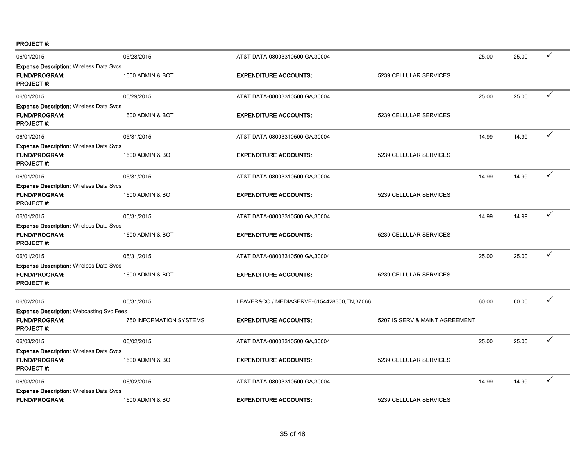PROJECT #:

| 06/01/2015                                                                                  | 05/28/2015               | AT&T DATA-08003310500, GA, 30004             |                                | 25.00 | 25.00 | $\checkmark$ |
|---------------------------------------------------------------------------------------------|--------------------------|----------------------------------------------|--------------------------------|-------|-------|--------------|
| <b>Expense Description: Wireless Data Svcs</b><br><b>FUND/PROGRAM:</b><br><b>PROJECT#:</b>  | 1600 ADMIN & BOT         | <b>EXPENDITURE ACCOUNTS:</b>                 | 5239 CELLULAR SERVICES         |       |       |              |
| 06/01/2015                                                                                  | 05/29/2015               | AT&T DATA-08003310500, GA, 30004             |                                | 25.00 | 25.00 | ✓            |
| <b>Expense Description: Wireless Data Svcs</b><br><b>FUND/PROGRAM:</b><br><b>PROJECT#:</b>  | 1600 ADMIN & BOT         | <b>EXPENDITURE ACCOUNTS:</b>                 | 5239 CELLULAR SERVICES         |       |       |              |
| 06/01/2015                                                                                  | 05/31/2015               | AT&T DATA-08003310500, GA, 30004             |                                | 14.99 | 14.99 | ✓            |
| <b>Expense Description: Wireless Data Svcs</b><br><b>FUND/PROGRAM:</b><br><b>PROJECT#:</b>  | 1600 ADMIN & BOT         | <b>EXPENDITURE ACCOUNTS:</b>                 | 5239 CELLULAR SERVICES         |       |       |              |
| 06/01/2015                                                                                  | 05/31/2015               | AT&T DATA-08003310500, GA, 30004             |                                | 14.99 | 14.99 | ✓            |
| <b>Expense Description: Wireless Data Svcs</b><br><b>FUND/PROGRAM:</b><br><b>PROJECT#:</b>  | 1600 ADMIN & BOT         | <b>EXPENDITURE ACCOUNTS:</b>                 | 5239 CELLULAR SERVICES         |       |       |              |
| 06/01/2015                                                                                  | 05/31/2015               | AT&T DATA-08003310500, GA, 30004             |                                | 14.99 | 14.99 | ✓            |
| <b>Expense Description: Wireless Data Svcs</b><br><b>FUND/PROGRAM:</b><br><b>PROJECT#:</b>  | 1600 ADMIN & BOT         | <b>EXPENDITURE ACCOUNTS:</b>                 | 5239 CELLULAR SERVICES         |       |       |              |
| 06/01/2015                                                                                  | 05/31/2015               | AT&T DATA-08003310500, GA, 30004             |                                | 25.00 | 25.00 | ✓            |
| <b>Expense Description: Wireless Data Svcs</b><br><b>FUND/PROGRAM:</b><br><b>PROJECT#:</b>  | 1600 ADMIN & BOT         | <b>EXPENDITURE ACCOUNTS:</b>                 | 5239 CELLULAR SERVICES         |       |       |              |
| 06/02/2015                                                                                  | 05/31/2015               | LEAVER&CO / MEDIASERVE-6154428300, TN, 37066 |                                | 60.00 | 60.00 |              |
| <b>Expense Description: Webcasting Svc Fees</b><br><b>FUND/PROGRAM:</b><br><b>PROJECT#:</b> | 1750 INFORMATION SYSTEMS | <b>EXPENDITURE ACCOUNTS:</b>                 | 5207 IS SERV & MAINT AGREEMENT |       |       |              |
| 06/03/2015                                                                                  | 06/02/2015               | AT&T DATA-08003310500, GA, 30004             |                                | 25.00 | 25.00 | ✓            |
| <b>Expense Description: Wireless Data Svcs</b><br><b>FUND/PROGRAM:</b><br><b>PROJECT#:</b>  | 1600 ADMIN & BOT         | <b>EXPENDITURE ACCOUNTS:</b>                 | 5239 CELLULAR SERVICES         |       |       |              |
| 06/03/2015                                                                                  | 06/02/2015               | AT&T DATA-08003310500, GA, 30004             |                                | 14.99 | 14.99 | $\checkmark$ |
| <b>Expense Description: Wireless Data Svcs</b><br><b>FUND/PROGRAM:</b>                      | 1600 ADMIN & BOT         | <b>EXPENDITURE ACCOUNTS:</b>                 | 5239 CELLULAR SERVICES         |       |       |              |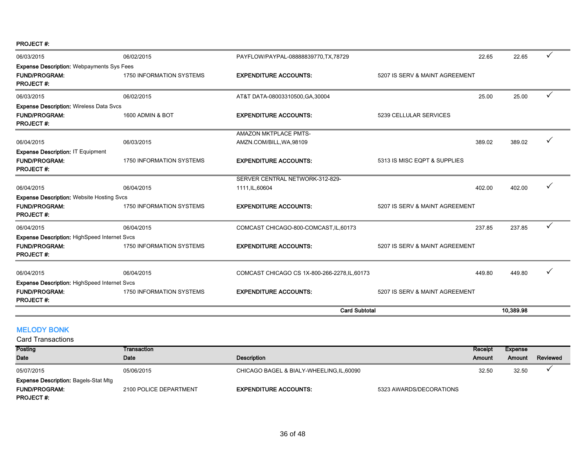PROJECT #:

| 06/03/2015                                          | 06/02/2015                      | PAYFLOW/PAYPAL-08888839770, TX, 78729         | 22.65                          | 22.65     |   |
|-----------------------------------------------------|---------------------------------|-----------------------------------------------|--------------------------------|-----------|---|
| <b>Expense Description: Webpayments Sys Fees</b>    |                                 |                                               |                                |           |   |
| <b>FUND/PROGRAM:</b>                                | <b>1750 INFORMATION SYSTEMS</b> | <b>EXPENDITURE ACCOUNTS:</b>                  | 5207 IS SERV & MAINT AGREEMENT |           |   |
| <b>PROJECT#:</b>                                    |                                 |                                               |                                |           |   |
| 06/03/2015                                          | 06/02/2015                      | AT&T DATA-08003310500, GA, 30004              | 25.00                          | 25.00     | ✓ |
| <b>Expense Description: Wireless Data Svcs</b>      |                                 |                                               |                                |           |   |
| <b>FUND/PROGRAM:</b>                                | 1600 ADMIN & BOT                | <b>EXPENDITURE ACCOUNTS:</b>                  | 5239 CELLULAR SERVICES         |           |   |
| <b>PROJECT#:</b>                                    |                                 |                                               |                                |           |   |
|                                                     |                                 | AMAZON MKTPLACE PMTS-                         |                                |           |   |
| 06/04/2015                                          | 06/03/2015                      | AMZN.COM/BILL, WA, 98109                      | 389.02                         | 389.02    |   |
| Expense Description: IT Equipment                   |                                 |                                               |                                |           |   |
| <b>FUND/PROGRAM:</b>                                | <b>1750 INFORMATION SYSTEMS</b> | <b>EXPENDITURE ACCOUNTS:</b>                  | 5313 IS MISC EQPT & SUPPLIES   |           |   |
| <b>PROJECT#:</b>                                    |                                 |                                               |                                |           |   |
|                                                     |                                 | SERVER CENTRAL NETWORK-312-829-               |                                |           |   |
| 06/04/2015                                          | 06/04/2015                      | 1111, IL, 60604                               | 402.00                         | 402.00    |   |
| <b>Expense Description: Website Hosting Svcs</b>    |                                 |                                               |                                |           |   |
| <b>FUND/PROGRAM:</b>                                | <b>1750 INFORMATION SYSTEMS</b> | <b>EXPENDITURE ACCOUNTS:</b>                  | 5207 IS SERV & MAINT AGREEMENT |           |   |
| <b>PROJECT#:</b>                                    |                                 |                                               |                                |           |   |
| 06/04/2015                                          | 06/04/2015                      | COMCAST CHICAGO-800-COMCAST, IL, 60173        | 237.85                         | 237.85    |   |
| <b>Expense Description: HighSpeed Internet Svcs</b> |                                 |                                               |                                |           |   |
| <b>FUND/PROGRAM:</b>                                | 1750 INFORMATION SYSTEMS        | <b>EXPENDITURE ACCOUNTS:</b>                  | 5207 IS SERV & MAINT AGREEMENT |           |   |
| <b>PROJECT#:</b>                                    |                                 |                                               |                                |           |   |
| 06/04/2015                                          | 06/04/2015                      | COMCAST CHICAGO CS 1X-800-266-2278, IL, 60173 | 449.80                         | 449.80    |   |
| <b>Expense Description: HighSpeed Internet Svcs</b> |                                 |                                               |                                |           |   |
| <b>FUND/PROGRAM:</b>                                | 1750 INFORMATION SYSTEMS        | <b>EXPENDITURE ACCOUNTS:</b>                  | 5207 IS SERV & MAINT AGREEMENT |           |   |
| <b>PROJECT#:</b>                                    |                                 |                                               |                                |           |   |
|                                                     |                                 | <b>Card Subtotal</b>                          |                                | 10.389.98 |   |

# MELODY BONK

| <b>Posting</b>                              | Transaction            |                                           |                         | Receipt | Expense |          |
|---------------------------------------------|------------------------|-------------------------------------------|-------------------------|---------|---------|----------|
| <b>Date</b>                                 | Date                   | Description                               |                         | Amount  | Amount  | Reviewed |
| 05/07/2015                                  | 05/06/2015             | CHICAGO BAGEL & BIALY-WHEELING, IL, 60090 |                         | 32.50   | 32.50   |          |
| <b>Expense Description: Bagels-Stat Mtg</b> |                        |                                           |                         |         |         |          |
| <b>FUND/PROGRAM:</b>                        | 2100 POLICE DEPARTMENT | <b>EXPENDITURE ACCOUNTS:</b>              | 5323 AWARDS/DECORATIONS |         |         |          |
| <b>PROJECT#:</b>                            |                        |                                           |                         |         |         |          |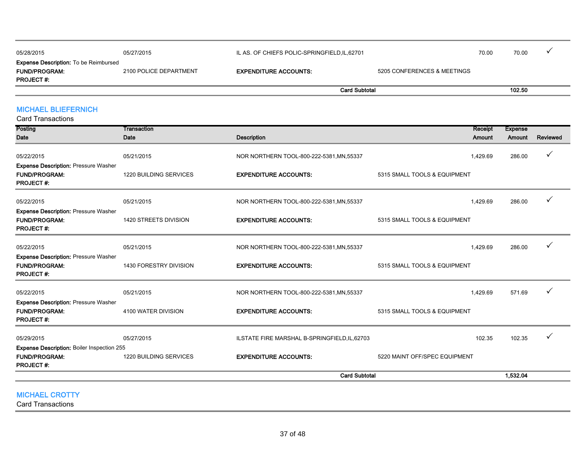|                                              |                        | <b>Card Subtotal</b>                          |                             |       | 102.50 |  |
|----------------------------------------------|------------------------|-----------------------------------------------|-----------------------------|-------|--------|--|
| <b>PROJECT#:</b>                             |                        |                                               |                             |       |        |  |
| <b>FUND/PROGRAM:</b>                         | 2100 POLICE DEPARTMENT | <b>EXPENDITURE ACCOUNTS:</b>                  | 5205 CONFERENCES & MEETINGS |       |        |  |
| <b>Expense Description:</b> To be Reimbursed |                        |                                               |                             |       |        |  |
| 05/28/2015                                   | 05/27/2015             | IL AS. OF CHIEFS POLIC-SPRINGFIELD, IL, 62701 |                             | 70.00 | 70.00  |  |
|                                              |                        |                                               |                             |       |        |  |

# MICHAEL BLIEFERNICH

Card Transactions

| Posting                                                                                 | Transaction            |                                               | <b>Receipt</b>                | <b>Expense</b> |          |
|-----------------------------------------------------------------------------------------|------------------------|-----------------------------------------------|-------------------------------|----------------|----------|
| Date                                                                                    | Date                   | <b>Description</b>                            | Amount                        | Amount         | Reviewed |
| 05/22/2015                                                                              | 05/21/2015             | NOR NORTHERN TOOL-800-222-5381, MN, 55337     | 1,429.69                      | 286.00         | ✓        |
| <b>Expense Description: Pressure Washer</b><br><b>FUND/PROGRAM:</b><br><b>PROJECT#:</b> | 1220 BUILDING SERVICES | <b>EXPENDITURE ACCOUNTS:</b>                  | 5315 SMALL TOOLS & EQUIPMENT  |                |          |
| 05/22/2015                                                                              | 05/21/2015             | NOR NORTHERN TOOL-800-222-5381, MN, 55337     | 1,429.69                      | 286.00         |          |
| <b>Expense Description: Pressure Washer</b><br><b>FUND/PROGRAM:</b><br><b>PROJECT#:</b> | 1420 STREETS DIVISION  | <b>EXPENDITURE ACCOUNTS:</b>                  | 5315 SMALL TOOLS & EQUIPMENT  |                |          |
| 05/22/2015                                                                              | 05/21/2015             | NOR NORTHERN TOOL-800-222-5381, MN, 55337     | 1,429.69                      | 286.00         |          |
| <b>Expense Description: Pressure Washer</b><br><b>FUND/PROGRAM:</b><br><b>PROJECT#:</b> | 1430 FORESTRY DIVISION | <b>EXPENDITURE ACCOUNTS:</b>                  | 5315 SMALL TOOLS & EQUIPMENT  |                |          |
| 05/22/2015                                                                              | 05/21/2015             | NOR NORTHERN TOOL-800-222-5381, MN, 55337     | 1,429.69                      | 571.69         |          |
| <b>Expense Description: Pressure Washer</b><br><b>FUND/PROGRAM:</b><br><b>PROJECT#:</b> | 4100 WATER DIVISION    | <b>EXPENDITURE ACCOUNTS:</b>                  | 5315 SMALL TOOLS & EQUIPMENT  |                |          |
| 05/29/2015                                                                              | 05/27/2015             | ILSTATE FIRE MARSHAL B-SPRINGFIELD, IL, 62703 | 102.35                        | 102.35         |          |
| <b>Expense Description: Boiler Inspection 255</b>                                       |                        |                                               |                               |                |          |
| <b>FUND/PROGRAM:</b><br><b>PROJECT#:</b>                                                | 1220 BUILDING SERVICES | <b>EXPENDITURE ACCOUNTS:</b>                  | 5220 MAINT OFF/SPEC EQUIPMENT |                |          |
|                                                                                         |                        | <b>Card Subtotal</b>                          |                               | 1,532.04       |          |
|                                                                                         |                        |                                               |                               |                |          |

MICHAEL CROTTY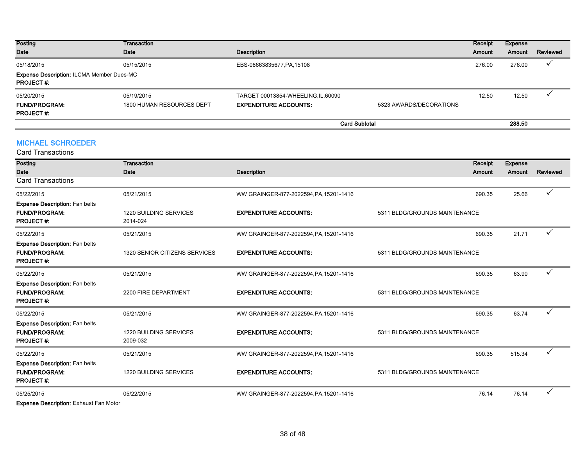| <b>Posting</b><br>Date                                                             | Transaction<br>Date                     | Description                                                         |                         | Receipt<br><b>Amount</b> | Expense<br>Amount | Reviewed |
|------------------------------------------------------------------------------------|-----------------------------------------|---------------------------------------------------------------------|-------------------------|--------------------------|-------------------|----------|
| 05/18/2015<br><b>Expense Description: ILCMA Member Dues-MC</b><br><b>PROJECT#:</b> | 05/15/2015                              | EBS-08663835677, PA, 15108                                          |                         | 276.00                   | 276.00            |          |
| 05/20/2015<br><b>FUND/PROGRAM:</b><br><b>PROJECT#:</b>                             | 05/19/2015<br>1800 HUMAN RESOURCES DEPT | TARGET 00013854-WHEELING, IL, 60090<br><b>EXPENDITURE ACCOUNTS:</b> | 5323 AWARDS/DECORATIONS | 12.50                    | 12.50             |          |
|                                                                                    |                                         |                                                                     | <b>Card Subtotal</b>    |                          | 288.50            |          |

| <b>MICHAEL SCHROEDER</b> |
|--------------------------|
|--------------------------|

| <b>Card Transactions</b>                                                          |                                           |                                         |                               |                          |              |
|-----------------------------------------------------------------------------------|-------------------------------------------|-----------------------------------------|-------------------------------|--------------------------|--------------|
| <b>Posting</b><br><b>Date</b><br><b>Card Transactions</b>                         | <b>Transaction</b><br>Date                | <b>Description</b>                      | Receipt<br>Amount             | <b>Expense</b><br>Amount | Reviewed     |
| 05/22/2015                                                                        | 05/21/2015                                | WW GRAINGER-877-2022594, PA, 15201-1416 | 690.35                        | 25.66                    |              |
| <b>Expense Description: Fan belts</b><br><b>FUND/PROGRAM:</b><br><b>PROJECT#:</b> | 1220 BUILDING SERVICES<br>2014-024        | <b>EXPENDITURE ACCOUNTS:</b>            | 5311 BLDG/GROUNDS MAINTENANCE |                          |              |
| 05/22/2015                                                                        | 05/21/2015                                | WW GRAINGER-877-2022594, PA, 15201-1416 | 690.35                        | 21.71                    | ✓            |
| <b>Expense Description: Fan belts</b><br><b>FUND/PROGRAM:</b><br><b>PROJECT#:</b> | 1320 SENIOR CITIZENS SERVICES             | <b>EXPENDITURE ACCOUNTS:</b>            | 5311 BLDG/GROUNDS MAINTENANCE |                          |              |
| 05/22/2015                                                                        | 05/21/2015                                | WW GRAINGER-877-2022594, PA, 15201-1416 | 690.35                        | 63.90                    | ✓            |
| <b>Expense Description: Fan belts</b><br><b>FUND/PROGRAM:</b><br><b>PROJECT#:</b> | 2200 FIRE DEPARTMENT                      | <b>EXPENDITURE ACCOUNTS:</b>            | 5311 BLDG/GROUNDS MAINTENANCE |                          |              |
| 05/22/2015                                                                        | 05/21/2015                                | WW GRAINGER-877-2022594, PA, 15201-1416 | 690.35                        | 63.74                    | ✓            |
| <b>Expense Description: Fan belts</b><br><b>FUND/PROGRAM:</b><br><b>PROJECT#:</b> | <b>1220 BUILDING SERVICES</b><br>2009-032 | <b>EXPENDITURE ACCOUNTS:</b>            | 5311 BLDG/GROUNDS MAINTENANCE |                          |              |
| 05/22/2015                                                                        | 05/21/2015                                | WW GRAINGER-877-2022594, PA, 15201-1416 | 690.35                        | 515.34                   |              |
| <b>Expense Description: Fan belts</b><br><b>FUND/PROGRAM:</b><br><b>PROJECT#:</b> | <b>1220 BUILDING SERVICES</b>             | <b>EXPENDITURE ACCOUNTS:</b>            | 5311 BLDG/GROUNDS MAINTENANCE |                          |              |
| 05/25/2015                                                                        | 05/22/2015                                | WW GRAINGER-877-2022594, PA, 15201-1416 | 76.14                         | 76.14                    | $\checkmark$ |
|                                                                                   |                                           |                                         |                               |                          |              |

Expense Description: Exhaust Fan Motor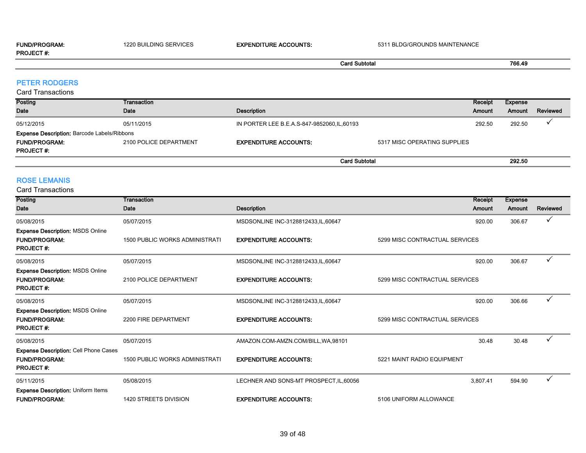#### FUND/PROGRAM: 1220 BUILDING SERVICES EXPENDITURE ACCOUNTS: 5311 BLDG/GROUNDS MAINTENANCE PROJECT #:

# Card Subtotal 766.49

#### PETER RODGERS

#### Card Transactions

| Posting<br>Date                                    | Transaction<br>Date    | Description                                  |                              | Receipt<br><b>Amount</b> | Expense<br><b>Amount</b> | Reviewed |
|----------------------------------------------------|------------------------|----------------------------------------------|------------------------------|--------------------------|--------------------------|----------|
| 05/12/2015                                         | 05/11/2015             | IN PORTER LEE B.E.A.S-847-9852060, IL, 60193 |                              | 292.50                   | 292.50                   |          |
| <b>Expense Description: Barcode Labels/Ribbons</b> |                        |                                              |                              |                          |                          |          |
| <b>FUND/PROGRAM:</b>                               | 2100 POLICE DEPARTMENT | <b>EXPENDITURE ACCOUNTS:</b>                 | 5317 MISC OPERATING SUPPLIES |                          |                          |          |
| <b>PROJECT#:</b>                                   |                        |                                              |                              |                          |                          |          |
|                                                    |                        | <b>Card Subtotal</b>                         |                              |                          | 292.50                   |          |

#### ROSE LEMANIS

| Posting                                                                             | Transaction                           |                                         | Receipt                        | <b>Expense</b> |          |
|-------------------------------------------------------------------------------------|---------------------------------------|-----------------------------------------|--------------------------------|----------------|----------|
| <b>Date</b>                                                                         | Date                                  | <b>Description</b>                      | Amount                         | Amount         | Reviewed |
| 05/08/2015                                                                          | 05/07/2015                            | MSDSONLINE INC-3128812433,IL,60647      | 920.00                         | 306.67         | ✓        |
| <b>Expense Description: MSDS Online</b><br><b>FUND/PROGRAM:</b><br><b>PROJECT#:</b> | <b>1500 PUBLIC WORKS ADMINISTRATI</b> | <b>EXPENDITURE ACCOUNTS:</b>            | 5299 MISC CONTRACTUAL SERVICES |                |          |
| 05/08/2015                                                                          | 05/07/2015                            | MSDSONLINE INC-3128812433, IL, 60647    | 920.00                         | 306.67         |          |
| <b>Expense Description: MSDS Online</b><br><b>FUND/PROGRAM:</b><br><b>PROJECT#:</b> | 2100 POLICE DEPARTMENT                | <b>EXPENDITURE ACCOUNTS:</b>            | 5299 MISC CONTRACTUAL SERVICES |                |          |
| 05/08/2015                                                                          | 05/07/2015                            | MSDSONLINE INC-3128812433, IL, 60647    | 920.00                         | 306.66         | ✓        |
| <b>Expense Description: MSDS Online</b><br><b>FUND/PROGRAM:</b><br><b>PROJECT#:</b> | 2200 FIRE DEPARTMENT                  | <b>EXPENDITURE ACCOUNTS:</b>            | 5299 MISC CONTRACTUAL SERVICES |                |          |
| 05/08/2015                                                                          | 05/07/2015                            | AMAZON.COM-AMZN.COM/BILL, WA, 98101     | 30.48                          | 30.48          | ✓        |
| Expense Description: Cell Phone Cases<br><b>FUND/PROGRAM:</b><br><b>PROJECT#:</b>   | <b>1500 PUBLIC WORKS ADMINISTRATI</b> | <b>EXPENDITURE ACCOUNTS:</b>            | 5221 MAINT RADIO EQUIPMENT     |                |          |
| 05/11/2015                                                                          | 05/08/2015                            | LECHNER AND SONS-MT PROSPECT, IL, 60056 | 3,807.41                       | 594.90         | ✓        |
| <b>Expense Description: Uniform Items</b><br><b>FUND/PROGRAM:</b>                   | 1420 STREETS DIVISION                 | <b>EXPENDITURE ACCOUNTS:</b>            | 5106 UNIFORM ALLOWANCE         |                |          |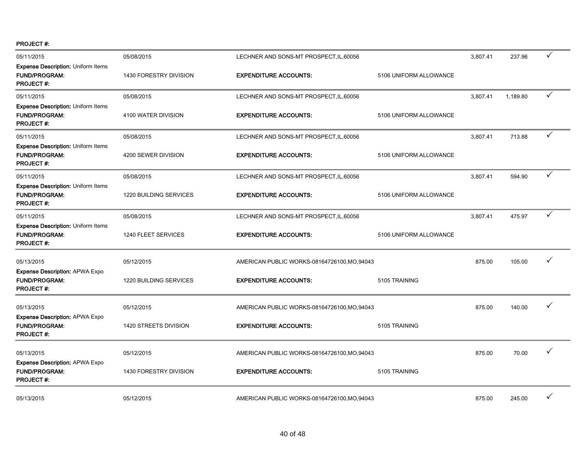PROJECT #:

| 05/11/2015                                                                            | 05/08/2015             | LECHNER AND SONS-MT PROSPECT, IL, 60056      |                        | 3,807.41 | 237.96   | ✓            |
|---------------------------------------------------------------------------------------|------------------------|----------------------------------------------|------------------------|----------|----------|--------------|
| <b>Expense Description: Uniform Items</b><br><b>FUND/PROGRAM:</b><br>PROJECT #:       | 1430 FORESTRY DIVISION | <b>EXPENDITURE ACCOUNTS:</b>                 | 5106 UNIFORM ALLOWANCE |          |          |              |
| 05/11/2015                                                                            | 05/08/2015             | LECHNER AND SONS-MT PROSPECT, IL, 60056      |                        | 3,807.41 | 1,189.80 | $\checkmark$ |
| <b>Expense Description: Uniform Items</b><br><b>FUND/PROGRAM:</b><br><b>PROJECT#:</b> | 4100 WATER DIVISION    | <b>EXPENDITURE ACCOUNTS:</b>                 | 5106 UNIFORM ALLOWANCE |          |          |              |
| 05/11/2015                                                                            | 05/08/2015             | LECHNER AND SONS-MT PROSPECT, IL, 60056      |                        | 3,807.41 | 713.88   | $\checkmark$ |
| <b>Expense Description: Uniform Items</b><br><b>FUND/PROGRAM:</b><br><b>PROJECT#:</b> | 4200 SEWER DIVISION    | <b>EXPENDITURE ACCOUNTS:</b>                 | 5106 UNIFORM ALLOWANCE |          |          |              |
| 05/11/2015                                                                            | 05/08/2015             | LECHNER AND SONS-MT PROSPECT, IL, 60056      |                        | 3,807.41 | 594.90   | $\checkmark$ |
| Expense Description: Uniform Items<br><b>FUND/PROGRAM:</b><br><b>PROJECT#:</b>        | 1220 BUILDING SERVICES | <b>EXPENDITURE ACCOUNTS:</b>                 | 5106 UNIFORM ALLOWANCE |          |          |              |
| 05/11/2015                                                                            | 05/08/2015             | LECHNER AND SONS-MT PROSPECT, IL, 60056      |                        | 3,807.41 | 475.97   | ✓            |
| Expense Description: Uniform Items<br>FUND/PROGRAM:<br><b>PROJECT#:</b>               | 1240 FLEET SERVICES    | <b>EXPENDITURE ACCOUNTS:</b>                 | 5106 UNIFORM ALLOWANCE |          |          |              |
| 05/13/2015                                                                            | 05/12/2015             | AMERICAN PUBLIC WORKS-08164726100, MO, 94043 |                        | 875.00   | 105.00   | ✓            |
| <b>Expense Description: APWA Expo</b><br><b>FUND/PROGRAM:</b><br>PROJECT #:           | 1220 BUILDING SERVICES | <b>EXPENDITURE ACCOUNTS:</b>                 | 5105 TRAINING          |          |          |              |
| 05/13/2015                                                                            | 05/12/2015             | AMERICAN PUBLIC WORKS-08164726100, MO, 94043 |                        | 875.00   | 140.00   | ✓            |
| <b>Expense Description: APWA Expo</b><br>FUND/PROGRAM:<br>PROJECT #:                  | 1420 STREETS DIVISION  | <b>EXPENDITURE ACCOUNTS:</b>                 | 5105 TRAINING          |          |          |              |
| 05/13/2015                                                                            | 05/12/2015             | AMERICAN PUBLIC WORKS-08164726100, MO, 94043 |                        | 875.00   | 70.00    | ✓            |
| <b>Expense Description: APWA Expo</b><br><b>FUND/PROGRAM:</b><br><b>PROJECT#:</b>     | 1430 FORESTRY DIVISION | <b>EXPENDITURE ACCOUNTS:</b>                 | 5105 TRAINING          |          |          |              |
| 05/13/2015                                                                            | 05/12/2015             | AMERICAN PUBLIC WORKS-08164726100, MO, 94043 |                        | 875.00   | 245.00   | ✓            |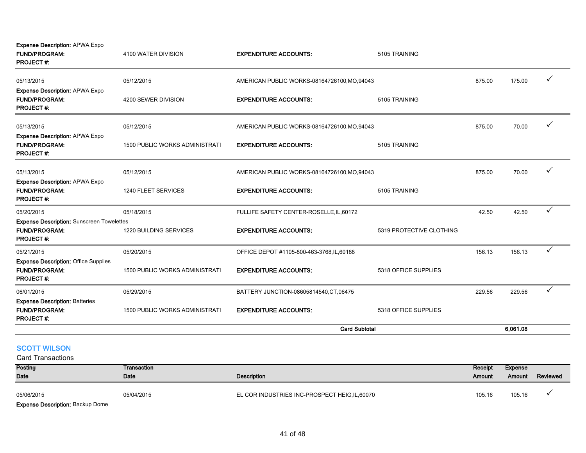Expense Description: APWA Expo

| <b>FUND/PROGRAM:</b><br><b>PROJECT#:</b>                                                | 4100 WATER DIVISION                   | <b>EXPENDITURE ACCOUNTS:</b>                 | 5105 TRAINING            |        |          |              |
|-----------------------------------------------------------------------------------------|---------------------------------------|----------------------------------------------|--------------------------|--------|----------|--------------|
| 05/13/2015                                                                              | 05/12/2015                            | AMERICAN PUBLIC WORKS-08164726100, MO, 94043 |                          | 875.00 | 175.00   | ✓            |
| <b>Expense Description: APWA Expo</b><br><b>FUND/PROGRAM:</b><br><b>PROJECT#:</b>       | 4200 SEWER DIVISION                   | <b>EXPENDITURE ACCOUNTS:</b>                 | 5105 TRAINING            |        |          |              |
| 05/13/2015                                                                              | 05/12/2015                            | AMERICAN PUBLIC WORKS-08164726100, MO, 94043 |                          | 875.00 | 70.00    | ✓            |
| <b>Expense Description: APWA Expo</b><br><b>FUND/PROGRAM:</b><br><b>PROJECT#:</b>       | <b>1500 PUBLIC WORKS ADMINISTRATI</b> | <b>EXPENDITURE ACCOUNTS:</b>                 | 5105 TRAINING            |        |          |              |
| 05/13/2015                                                                              | 05/12/2015                            | AMERICAN PUBLIC WORKS-08164726100, MO, 94043 |                          | 875.00 | 70.00    | ✓            |
| <b>Expense Description: APWA Expo</b><br><b>FUND/PROGRAM:</b><br><b>PROJECT#:</b>       | 1240 FLEET SERVICES                   | <b>EXPENDITURE ACCOUNTS:</b>                 | 5105 TRAINING            |        |          |              |
| 05/20/2015                                                                              | 05/18/2015                            | FULLIFE SAFETY CENTER-ROSELLE, IL, 60172     |                          | 42.50  | 42.50    | $\checkmark$ |
| <b>Expense Description: Sunscreen Towelettes</b><br><b>FUND/PROGRAM:</b><br>PROJECT#:   | 1220 BUILDING SERVICES                | <b>EXPENDITURE ACCOUNTS:</b>                 | 5319 PROTECTIVE CLOTHING |        |          |              |
| 05/21/2015                                                                              | 05/20/2015                            | OFFICE DEPOT #1105-800-463-3768, IL, 60188   |                          | 156.13 | 156.13   | $\checkmark$ |
| <b>Expense Description: Office Supplies</b><br><b>FUND/PROGRAM:</b><br><b>PROJECT#:</b> | 1500 PUBLIC WORKS ADMINISTRATI        | <b>EXPENDITURE ACCOUNTS:</b>                 | 5318 OFFICE SUPPLIES     |        |          |              |
| 06/01/2015                                                                              | 05/29/2015                            | BATTERY JUNCTION-08605814540, CT, 06475      |                          | 229.56 | 229.56   | ✓            |
| <b>Expense Description: Batteries</b><br><b>FUND/PROGRAM:</b><br><b>PROJECT#:</b>       | 1500 PUBLIC WORKS ADMINISTRATI        | <b>EXPENDITURE ACCOUNTS:</b>                 | 5318 OFFICE SUPPLIES     |        |          |              |
|                                                                                         |                                       | <b>Card Subtotal</b>                         |                          |        | 6,061.08 |              |

# SCOTT WILSON

| Posting                                 | Transaction |                                                | Receipt       | Expense |          |
|-----------------------------------------|-------------|------------------------------------------------|---------------|---------|----------|
| <b>Date</b>                             | Date        | <b>Description</b>                             | <b>Amount</b> | Amount  | Reviewed |
| 05/06/2015                              | 05/04/2015  | EL COR INDUSTRIES INC-PROSPECT HEIG, IL, 60070 | 105.16        | 105.16  |          |
| <b>Expense Description: Backup Dome</b> |             |                                                |               |         |          |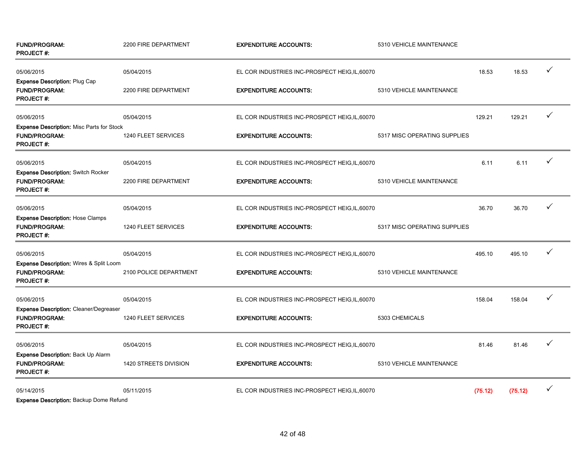| <b>FUND/PROGRAM:</b><br><b>PROJECT#:</b>                                              | 2200 FIRE DEPARTMENT   | <b>EXPENDITURE ACCOUNTS:</b>                   | 5310 VEHICLE MAINTENANCE     |         |         |   |
|---------------------------------------------------------------------------------------|------------------------|------------------------------------------------|------------------------------|---------|---------|---|
| 05/06/2015                                                                            | 05/04/2015             | EL COR INDUSTRIES INC-PROSPECT HEIG, IL, 60070 |                              | 18.53   | 18.53   | ✓ |
| Expense Description: Plug Cap<br><b>FUND/PROGRAM:</b><br><b>PROJECT#:</b>             | 2200 FIRE DEPARTMENT   | <b>EXPENDITURE ACCOUNTS:</b>                   | 5310 VEHICLE MAINTENANCE     |         |         |   |
| 05/06/2015                                                                            | 05/04/2015             | EL COR INDUSTRIES INC-PROSPECT HEIG, IL, 60070 |                              | 129.21  | 129.21  |   |
| Expense Description: Misc Parts for Stock<br><b>FUND/PROGRAM:</b><br><b>PROJECT#:</b> | 1240 FLEET SERVICES    | <b>EXPENDITURE ACCOUNTS:</b>                   | 5317 MISC OPERATING SUPPLIES |         |         |   |
| 05/06/2015                                                                            | 05/04/2015             | EL COR INDUSTRIES INC-PROSPECT HEIG, IL, 60070 |                              | 6.11    | 6.11    |   |
| Expense Description: Switch Rocker<br>FUND/PROGRAM:<br><b>PROJECT#:</b>               | 2200 FIRE DEPARTMENT   | <b>EXPENDITURE ACCOUNTS:</b>                   | 5310 VEHICLE MAINTENANCE     |         |         |   |
| 05/06/2015                                                                            | 05/04/2015             | EL COR INDUSTRIES INC-PROSPECT HEIG, IL, 60070 |                              | 36.70   | 36.70   | ✓ |
| <b>Expense Description: Hose Clamps</b><br><b>FUND/PROGRAM:</b><br><b>PROJECT#:</b>   | 1240 FLEET SERVICES    | <b>EXPENDITURE ACCOUNTS:</b>                   | 5317 MISC OPERATING SUPPLIES |         |         |   |
| 05/06/2015                                                                            | 05/04/2015             | EL COR INDUSTRIES INC-PROSPECT HEIG, IL, 60070 |                              | 495.10  | 495.10  |   |
| Expense Description: Wires & Split Loom<br><b>FUND/PROGRAM:</b><br><b>PROJECT#:</b>   | 2100 POLICE DEPARTMENT | <b>EXPENDITURE ACCOUNTS:</b>                   | 5310 VEHICLE MAINTENANCE     |         |         |   |
| 05/06/2015                                                                            | 05/04/2015             | EL COR INDUSTRIES INC-PROSPECT HEIG, IL, 60070 |                              | 158.04  | 158.04  | ✓ |
| Expense Description: Cleaner/Degreaser<br><b>FUND/PROGRAM:</b><br><b>PROJECT#:</b>    | 1240 FLEET SERVICES    | <b>EXPENDITURE ACCOUNTS:</b>                   | 5303 CHEMICALS               |         |         |   |
| 05/06/2015                                                                            | 05/04/2015             | EL COR INDUSTRIES INC-PROSPECT HEIG, IL, 60070 |                              | 81.46   | 81.46   |   |
| Expense Description: Back Up Alarm<br><b>FUND/PROGRAM:</b><br><b>PROJECT#:</b>        | 1420 STREETS DIVISION  | <b>EXPENDITURE ACCOUNTS:</b>                   | 5310 VEHICLE MAINTENANCE     |         |         |   |
| 05/14/2015<br>Expense Description: Backup Dome Petund                                 | 05/11/2015             | EL COR INDUSTRIES INC-PROSPECT HEIG, IL, 60070 |                              | (75.12) | (75.12) |   |

**ense Description:** Backup Dome Refund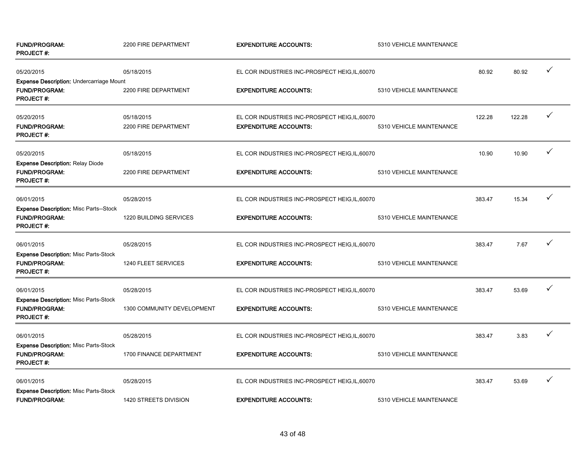| <b>FUND/PROGRAM:</b><br><b>PROJECT#:</b>                                                    | 2200 FIRE DEPARTMENT               | <b>EXPENDITURE ACCOUNTS:</b>                                                   | 5310 VEHICLE MAINTENANCE |        |        |              |
|---------------------------------------------------------------------------------------------|------------------------------------|--------------------------------------------------------------------------------|--------------------------|--------|--------|--------------|
| 05/20/2015                                                                                  | 05/18/2015                         | EL COR INDUSTRIES INC-PROSPECT HEIG, IL, 60070                                 |                          | 80.92  | 80.92  | ✓            |
| <b>Expense Description: Undercarriage Mount</b><br><b>FUND/PROGRAM:</b><br><b>PROJECT#:</b> | 2200 FIRE DEPARTMENT               | <b>EXPENDITURE ACCOUNTS:</b>                                                   | 5310 VEHICLE MAINTENANCE |        |        |              |
| 05/20/2015<br>FUND/PROGRAM:<br><b>PROJECT#:</b>                                             | 05/18/2015<br>2200 FIRE DEPARTMENT | EL COR INDUSTRIES INC-PROSPECT HEIG, IL, 60070<br><b>EXPENDITURE ACCOUNTS:</b> | 5310 VEHICLE MAINTENANCE | 122.28 | 122.28 | ✓            |
| 05/20/2015                                                                                  | 05/18/2015                         | EL COR INDUSTRIES INC-PROSPECT HEIG, IL, 60070                                 |                          | 10.90  | 10.90  | ✓            |
| <b>Expense Description: Relay Diode</b><br><b>FUND/PROGRAM:</b><br><b>PROJECT #:</b>        | 2200 FIRE DEPARTMENT               | <b>EXPENDITURE ACCOUNTS:</b>                                                   | 5310 VEHICLE MAINTENANCE |        |        |              |
| 06/01/2015                                                                                  | 05/28/2015                         | EL COR INDUSTRIES INC-PROSPECT HEIG, IL, 60070                                 |                          | 383.47 | 15.34  |              |
| Expense Description: Misc Parts--Stock<br><b>FUND/PROGRAM:</b><br><b>PROJECT#:</b>          | 1220 BUILDING SERVICES             | <b>EXPENDITURE ACCOUNTS:</b>                                                   | 5310 VEHICLE MAINTENANCE |        |        |              |
| 06/01/2015                                                                                  | 05/28/2015                         | EL COR INDUSTRIES INC-PROSPECT HEIG, IL, 60070                                 |                          | 383.47 | 7.67   | $\checkmark$ |
| <b>Expense Description: Misc Parts-Stock</b><br><b>FUND/PROGRAM:</b><br><b>PROJECT#:</b>    | 1240 FLEET SERVICES                | <b>EXPENDITURE ACCOUNTS:</b>                                                   | 5310 VEHICLE MAINTENANCE |        |        |              |
| 06/01/2015                                                                                  | 05/28/2015                         | EL COR INDUSTRIES INC-PROSPECT HEIG, IL, 60070                                 |                          | 383.47 | 53.69  |              |
| <b>Expense Description: Misc Parts-Stock</b><br><b>FUND/PROGRAM:</b><br><b>PROJECT #:</b>   | 1300 COMMUNITY DEVELOPMENT         | <b>EXPENDITURE ACCOUNTS:</b>                                                   | 5310 VEHICLE MAINTENANCE |        |        |              |
| 06/01/2015                                                                                  | 05/28/2015                         | EL COR INDUSTRIES INC-PROSPECT HEIG, IL, 60070                                 |                          | 383.47 | 3.83   |              |
| <b>Expense Description: Misc Parts-Stock</b><br><b>FUND/PROGRAM:</b><br><b>PROJECT#:</b>    | 1700 FINANCE DEPARTMENT            | <b>EXPENDITURE ACCOUNTS:</b>                                                   | 5310 VEHICLE MAINTENANCE |        |        |              |
| 06/01/2015                                                                                  | 05/28/2015                         | EL COR INDUSTRIES INC-PROSPECT HEIG, IL, 60070                                 |                          | 383.47 | 53.69  | ✓            |
| <b>Expense Description: Misc Parts-Stock</b><br><b>FUND/PROGRAM:</b>                        | 1420 STREETS DIVISION              | <b>EXPENDITURE ACCOUNTS:</b>                                                   | 5310 VEHICLE MAINTENANCE |        |        |              |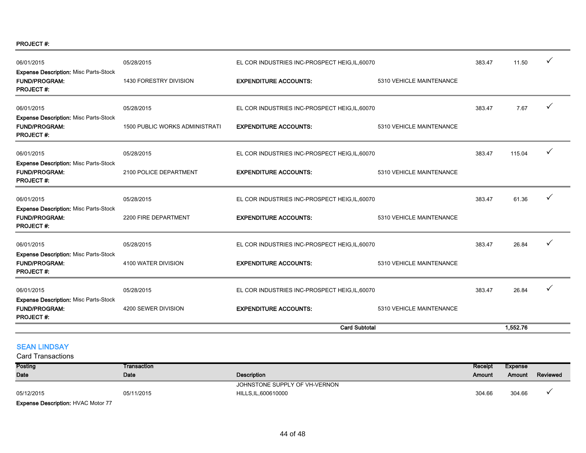PROJECT #:

| 06/01/2015                                                                               | 05/28/2015                     | EL COR INDUSTRIES INC-PROSPECT HEIG, IL, 60070 |                          | 383.47 | 11.50    | $\checkmark$ |
|------------------------------------------------------------------------------------------|--------------------------------|------------------------------------------------|--------------------------|--------|----------|--------------|
| <b>Expense Description: Misc Parts-Stock</b><br><b>FUND/PROGRAM:</b><br><b>PROJECT#:</b> | 1430 FORESTRY DIVISION         | <b>EXPENDITURE ACCOUNTS:</b>                   | 5310 VEHICLE MAINTENANCE |        |          |              |
| 06/01/2015                                                                               | 05/28/2015                     | EL COR INDUSTRIES INC-PROSPECT HEIG, IL, 60070 |                          | 383.47 | 7.67     |              |
| <b>Expense Description: Misc Parts-Stock</b><br><b>FUND/PROGRAM:</b><br><b>PROJECT#:</b> | 1500 PUBLIC WORKS ADMINISTRATI | <b>EXPENDITURE ACCOUNTS:</b>                   | 5310 VEHICLE MAINTENANCE |        |          |              |
| 06/01/2015                                                                               | 05/28/2015                     | EL COR INDUSTRIES INC-PROSPECT HEIG, IL, 60070 |                          | 383.47 | 115.04   |              |
| <b>Expense Description: Misc Parts-Stock</b><br><b>FUND/PROGRAM:</b><br><b>PROJECT#:</b> | 2100 POLICE DEPARTMENT         | <b>EXPENDITURE ACCOUNTS:</b>                   | 5310 VEHICLE MAINTENANCE |        |          |              |
| 06/01/2015                                                                               | 05/28/2015                     | EL COR INDUSTRIES INC-PROSPECT HEIG, IL, 60070 |                          | 383.47 | 61.36    |              |
| <b>Expense Description: Misc Parts-Stock</b><br><b>FUND/PROGRAM:</b><br><b>PROJECT#:</b> | 2200 FIRE DEPARTMENT           | <b>EXPENDITURE ACCOUNTS:</b>                   | 5310 VEHICLE MAINTENANCE |        |          |              |
| 06/01/2015                                                                               | 05/28/2015                     | EL COR INDUSTRIES INC-PROSPECT HEIG, IL, 60070 |                          | 383.47 | 26.84    |              |
| <b>Expense Description: Misc Parts-Stock</b><br><b>FUND/PROGRAM:</b><br><b>PROJECT#:</b> | 4100 WATER DIVISION            | <b>EXPENDITURE ACCOUNTS:</b>                   | 5310 VEHICLE MAINTENANCE |        |          |              |
| 06/01/2015                                                                               | 05/28/2015                     | EL COR INDUSTRIES INC-PROSPECT HEIG, IL, 60070 |                          | 383.47 | 26.84    |              |
| <b>Expense Description: Misc Parts-Stock</b><br><b>FUND/PROGRAM:</b><br><b>PROJECT#:</b> | 4200 SEWER DIVISION            | <b>EXPENDITURE ACCOUNTS:</b>                   | 5310 VEHICLE MAINTENANCE |        |          |              |
|                                                                                          |                                | <b>Card Subtotal</b>                           |                          |        | 1,552.76 |              |

### **SEAN LINDSAY**

| Posting                                   | Transaction |                               | Receipt | Expense |          |
|-------------------------------------------|-------------|-------------------------------|---------|---------|----------|
| <b>Date</b>                               | Date        | Description                   | Amount  | Amount  | Reviewed |
|                                           |             | JOHNSTONE SUPPLY OF VH-VERNON |         |         |          |
| 05/12/2015                                | 05/11/2015  | HILLS, IL, 600610000          | 304.66  | 304.66  |          |
| <b>Expense Description: HVAC Motor 77</b> |             |                               |         |         |          |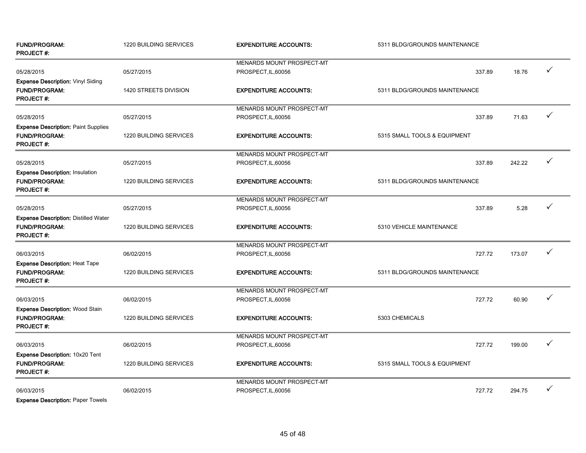| <b>FUND/PROGRAM:</b><br><b>PROJECT#:</b>                                                | 1220 BUILDING SERVICES | <b>EXPENDITURE ACCOUNTS:</b>     | 5311 BLDG/GROUNDS MAINTENANCE |        |              |
|-----------------------------------------------------------------------------------------|------------------------|----------------------------------|-------------------------------|--------|--------------|
|                                                                                         |                        | MENARDS MOUNT PROSPECT-MT        |                               |        |              |
| 05/28/2015                                                                              | 05/27/2015             | PROSPECT, IL, 60056              | 337.89                        | 18.76  | ✓            |
| Expense Description: Vinyl Siding<br>FUND/PROGRAM:<br><b>PROJECT#:</b>                  | 1420 STREETS DIVISION  | <b>EXPENDITURE ACCOUNTS:</b>     | 5311 BLDG/GROUNDS MAINTENANCE |        |              |
|                                                                                         |                        | MENARDS MOUNT PROSPECT-MT        |                               |        |              |
| 05/28/2015                                                                              | 05/27/2015             | PROSPECT, IL, 60056              | 337.89                        | 71.63  | $\checkmark$ |
| <b>Expense Description: Paint Supplies</b><br><b>FUND/PROGRAM:</b><br><b>PROJECT#:</b>  | 1220 BUILDING SERVICES | <b>EXPENDITURE ACCOUNTS:</b>     | 5315 SMALL TOOLS & EQUIPMENT  |        |              |
|                                                                                         |                        | <b>MENARDS MOUNT PROSPECT-MT</b> |                               |        |              |
| 05/28/2015                                                                              | 05/27/2015             | PROSPECT, IL, 60056              | 337.89                        | 242.22 | ✓            |
| <b>Expense Description: Insulation</b><br><b>FUND/PROGRAM:</b><br><b>PROJECT#:</b>      | 1220 BUILDING SERVICES | <b>EXPENDITURE ACCOUNTS:</b>     | 5311 BLDG/GROUNDS MAINTENANCE |        |              |
|                                                                                         |                        | <b>MENARDS MOUNT PROSPECT-MT</b> |                               |        |              |
| 05/28/2015                                                                              | 05/27/2015             | PROSPECT, IL, 60056              | 337.89                        | 5.28   | ✓            |
| <b>Expense Description: Distilled Water</b><br><b>FUND/PROGRAM:</b><br><b>PROJECT#:</b> | 1220 BUILDING SERVICES | <b>EXPENDITURE ACCOUNTS:</b>     | 5310 VEHICLE MAINTENANCE      |        |              |
|                                                                                         |                        | MENARDS MOUNT PROSPECT-MT        |                               |        |              |
| 06/03/2015                                                                              | 06/02/2015             | PROSPECT, IL, 60056              | 727.72                        | 173.07 | ✓            |
| <b>Expense Description: Heat Tape</b><br><b>FUND/PROGRAM:</b><br><b>PROJECT#:</b>       | 1220 BUILDING SERVICES | <b>EXPENDITURE ACCOUNTS:</b>     | 5311 BLDG/GROUNDS MAINTENANCE |        |              |
|                                                                                         |                        | MENARDS MOUNT PROSPECT-MT        |                               |        |              |
| 06/03/2015                                                                              | 06/02/2015             | PROSPECT, IL, 60056              | 727.72                        | 60.90  | ✓            |
| Expense Description: Wood Stain<br><b>FUND/PROGRAM:</b><br><b>PROJECT#:</b>             | 1220 BUILDING SERVICES | <b>EXPENDITURE ACCOUNTS:</b>     | 5303 CHEMICALS                |        |              |
|                                                                                         |                        | MENARDS MOUNT PROSPECT-MT        |                               |        |              |
| 06/03/2015                                                                              | 06/02/2015             | PROSPECT, IL, 60056              | 727.72                        | 199.00 | ✓            |
| Expense Description: 10x20 Tent<br><b>FUND/PROGRAM:</b><br><b>PROJECT#:</b>             | 1220 BUILDING SERVICES | <b>EXPENDITURE ACCOUNTS:</b>     | 5315 SMALL TOOLS & EQUIPMENT  |        |              |
|                                                                                         |                        | <b>MENARDS MOUNT PROSPECT-MT</b> |                               |        |              |
| 06/03/2015                                                                              | 06/02/2015             | PROSPECT, IL, 60056              | 727.72                        | 294.75 | $\checkmark$ |
| <b>Expense Description: Paper Towels</b>                                                |                        |                                  |                               |        |              |

45 of 48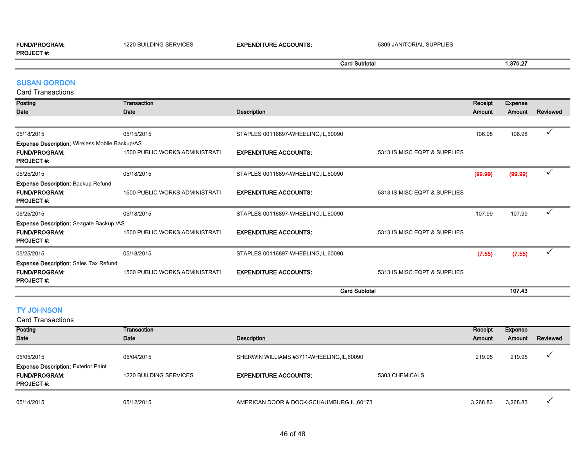#### FUND/PROGRAM: 1220 BUILDING SERVICES EXPENDITURE ACCOUNTS: 5309 JANITORIAL SUPPLIES PROJECT #: Card Subtotal 1,370.27

#### SUSAN GORDON

Card Transactions

| valu Hallsaviiviis                                    |                                       |                                      |                              |         |                |              |
|-------------------------------------------------------|---------------------------------------|--------------------------------------|------------------------------|---------|----------------|--------------|
| Posting                                               | Transaction                           |                                      |                              | Receipt | <b>Expense</b> |              |
| Date                                                  | Date                                  | <b>Description</b>                   |                              | Amount  | Amount         | Reviewed     |
|                                                       |                                       |                                      |                              |         |                |              |
| 05/18/2015                                            | 05/15/2015                            | STAPLES 00116897-WHEELING, IL, 60090 |                              | 106.98  | 106.98         | $\checkmark$ |
| <b>Expense Description: Wireless Mobile Backup/AS</b> |                                       |                                      |                              |         |                |              |
| <b>FUND/PROGRAM:</b>                                  | <b>1500 PUBLIC WORKS ADMINISTRATI</b> | <b>EXPENDITURE ACCOUNTS:</b>         | 5313 IS MISC EQPT & SUPPLIES |         |                |              |
| <b>PROJECT#:</b>                                      |                                       |                                      |                              |         |                |              |
| 05/25/2015                                            | 05/18/2015                            | STAPLES 00116897-WHEELING, IL, 60090 |                              | (99.99) | (99.99)        | $\checkmark$ |
| <b>Expense Description: Backup Refund</b>             |                                       |                                      |                              |         |                |              |
| <b>FUND/PROGRAM:</b>                                  | <b>1500 PUBLIC WORKS ADMINISTRATI</b> | <b>EXPENDITURE ACCOUNTS:</b>         | 5313 IS MISC EQPT & SUPPLIES |         |                |              |
| <b>PROJECT#:</b>                                      |                                       |                                      |                              |         |                |              |
| 05/25/2015                                            | 05/18/2015                            | STAPLES 00116897-WHEELING, IL, 60090 |                              | 107.99  | 107.99         | ✓            |
| Expense Description: Seagate Backup /AS               |                                       |                                      |                              |         |                |              |
| <b>FUND/PROGRAM:</b>                                  | <b>1500 PUBLIC WORKS ADMINISTRATI</b> | <b>EXPENDITURE ACCOUNTS:</b>         | 5313 IS MISC EQPT & SUPPLIES |         |                |              |
| <b>PROJECT#:</b>                                      |                                       |                                      |                              |         |                |              |
| 05/25/2015                                            | 05/18/2015                            | STAPLES 00116897-WHEELING, IL, 60090 |                              | (7.55)  | (7.55)         | $\checkmark$ |
| <b>Expense Description: Sales Tax Refund</b>          |                                       |                                      |                              |         |                |              |
| <b>FUND/PROGRAM:</b>                                  | <b>1500 PUBLIC WORKS ADMINISTRATI</b> | <b>EXPENDITURE ACCOUNTS:</b>         | 5313 IS MISC EQPT & SUPPLIES |         |                |              |
| <b>PROJECT#:</b>                                      |                                       |                                      |                              |         |                |              |
|                                                       |                                       | <b>Card Subtotal</b>                 |                              |         | 107.43         |              |

# TY JOHNSON

×

| <b>Card Transactions</b>                                                  |                        |                                            |                |               |          |          |
|---------------------------------------------------------------------------|------------------------|--------------------------------------------|----------------|---------------|----------|----------|
| Posting                                                                   | Transaction            |                                            |                | Receipt       | Expense  |          |
| Date                                                                      | Date                   | Description                                |                | <b>Amount</b> | Amount   | Reviewed |
| 05/05/2015                                                                | 05/04/2015             | SHERWIN WILLIAMS #3711-WHEELING, IL, 60090 |                | 219.95        | 219.95   |          |
| <b>Expense Description: Exterior Paint</b><br>FUND/PROGRAM:<br>PROJECT #: | 1220 BUILDING SERVICES | <b>EXPENDITURE ACCOUNTS:</b>               | 5303 CHEMICALS |               |          |          |
| 05/14/2015                                                                | 05/12/2015             | AMERICAN DOOR & DOCK-SCHAUMBURG, IL, 60173 |                | 3,268.83      | 3,268.83 |          |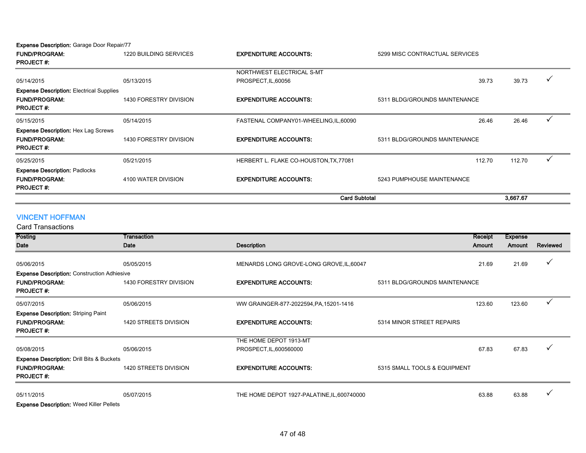Expense Description: Garage Door Repair/77

| <b>FUND/PROGRAM:</b>                            | 1220 BUILDING SERVICES | <b>EXPENDITURE ACCOUNTS:</b><br>5299 MISC CONTRACTUAL SERVICES |                               |          |              |
|-------------------------------------------------|------------------------|----------------------------------------------------------------|-------------------------------|----------|--------------|
| <b>PROJECT#:</b>                                |                        |                                                                |                               |          |              |
|                                                 |                        | NORTHWEST ELECTRICAL S-MT                                      |                               |          |              |
| 05/14/2015                                      | 05/13/2015             | PROSPECT, IL, 60056                                            | 39.73                         | 39.73    | $\checkmark$ |
| <b>Expense Description: Electrical Supplies</b> |                        |                                                                |                               |          |              |
| <b>FUND/PROGRAM:</b>                            | 1430 FORESTRY DIVISION | <b>EXPENDITURE ACCOUNTS:</b>                                   | 5311 BLDG/GROUNDS MAINTENANCE |          |              |
| <b>PROJECT#:</b>                                |                        |                                                                |                               |          |              |
| 05/15/2015                                      | 05/14/2015             | FASTENAL COMPANY01-WHEELING, IL, 60090                         | 26.46                         | 26.46    |              |
| <b>Expense Description: Hex Lag Screws</b>      |                        |                                                                |                               |          |              |
| <b>FUND/PROGRAM:</b>                            | 1430 FORESTRY DIVISION | <b>EXPENDITURE ACCOUNTS:</b>                                   | 5311 BLDG/GROUNDS MAINTENANCE |          |              |
| <b>PROJECT#:</b>                                |                        |                                                                |                               |          |              |
| 05/25/2015                                      | 05/21/2015             | HERBERT L. FLAKE CO-HOUSTON, TX, 77081                         | 112.70                        | 112.70   | ✓            |
| <b>Expense Description: Padlocks</b>            |                        |                                                                |                               |          |              |
| <b>FUND/PROGRAM:</b>                            | 4100 WATER DIVISION    | <b>EXPENDITURE ACCOUNTS:</b>                                   | 5243 PUMPHOUSE MAINTENANCE    |          |              |
| <b>PROJECT#:</b>                                |                        |                                                                |                               |          |              |
|                                                 |                        | <b>Card Subtotal</b>                                           |                               | 3,667.67 |              |

# VINCENT HOFFMAN

| Posting                                              | Transaction            |                                             |                               | Receipt | <b>Expense</b> |              |
|------------------------------------------------------|------------------------|---------------------------------------------|-------------------------------|---------|----------------|--------------|
| Date                                                 | Date                   | <b>Description</b>                          |                               | Amount  | Amount         | Reviewed     |
|                                                      |                        |                                             |                               |         |                |              |
| 05/06/2015                                           | 05/05/2015             | MENARDS LONG GROVE-LONG GROVE, IL, 60047    |                               | 21.69   | 21.69          | $\checkmark$ |
| <b>Expense Description: Construction Adhiesive</b>   |                        |                                             |                               |         |                |              |
| <b>FUND/PROGRAM:</b>                                 | 1430 FORESTRY DIVISION | <b>EXPENDITURE ACCOUNTS:</b>                | 5311 BLDG/GROUNDS MAINTENANCE |         |                |              |
| <b>PROJECT#:</b>                                     |                        |                                             |                               |         |                |              |
| 05/07/2015                                           | 05/06/2015             | WW GRAINGER-877-2022594, PA, 15201-1416     |                               | 123.60  | 123.60         | ✓            |
| <b>Expense Description: Striping Paint</b>           |                        |                                             |                               |         |                |              |
| <b>FUND/PROGRAM:</b>                                 | 1420 STREETS DIVISION  | <b>EXPENDITURE ACCOUNTS:</b>                | 5314 MINOR STREET REPAIRS     |         |                |              |
| <b>PROJECT#:</b>                                     |                        |                                             |                               |         |                |              |
|                                                      |                        | THE HOME DEPOT 1913-MT                      |                               |         |                |              |
| 05/08/2015                                           | 05/06/2015             | PROSPECT, IL, 600560000                     |                               | 67.83   | 67.83          |              |
| <b>Expense Description: Drill Bits &amp; Buckets</b> |                        |                                             |                               |         |                |              |
| <b>FUND/PROGRAM:</b>                                 | 1420 STREETS DIVISION  | <b>EXPENDITURE ACCOUNTS:</b>                | 5315 SMALL TOOLS & EQUIPMENT  |         |                |              |
| <b>PROJECT#:</b>                                     |                        |                                             |                               |         |                |              |
| 05/11/2015                                           | 05/07/2015             | THE HOME DEPOT 1927-PALATINE, IL, 600740000 |                               | 63.88   | 63.88          |              |
| <b>Expense Description: Weed Killer Pellets</b>      |                        |                                             |                               |         |                |              |
|                                                      |                        |                                             |                               |         |                |              |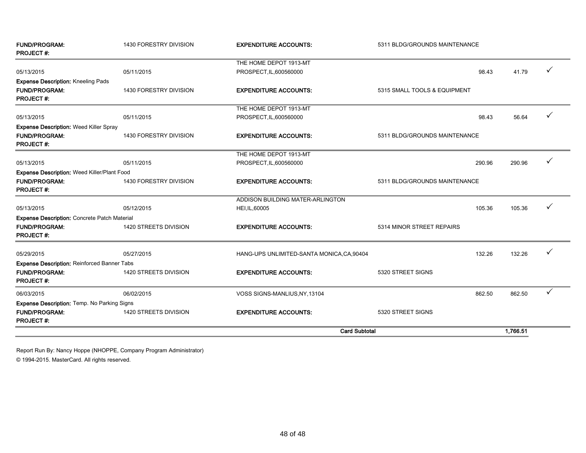| <b>FUND/PROGRAM:</b><br><b>PROJECT#:</b>           | 1430 FORESTRY DIVISION | <b>EXPENDITURE ACCOUNTS:</b>               | 5311 BLDG/GROUNDS MAINTENANCE |          |   |
|----------------------------------------------------|------------------------|--------------------------------------------|-------------------------------|----------|---|
|                                                    |                        | THE HOME DEPOT 1913-MT                     |                               |          |   |
| 05/13/2015                                         | 05/11/2015             | PROSPECT, IL, 600560000                    | 98.43                         | 41.79    |   |
| <b>Expense Description: Kneeling Pads</b>          |                        |                                            |                               |          |   |
| <b>FUND/PROGRAM:</b><br><b>PROJECT#:</b>           | 1430 FORESTRY DIVISION | <b>EXPENDITURE ACCOUNTS:</b>               | 5315 SMALL TOOLS & EQUIPMENT  |          |   |
|                                                    |                        | THE HOME DEPOT 1913-MT                     |                               |          |   |
| 05/13/2015                                         | 05/11/2015             | PROSPECT, IL, 600560000                    | 98.43                         | 56.64    |   |
| <b>Expense Description: Weed Killer Spray</b>      |                        |                                            |                               |          |   |
| <b>FUND/PROGRAM:</b><br><b>PROJECT#:</b>           | 1430 FORESTRY DIVISION | <b>EXPENDITURE ACCOUNTS:</b>               | 5311 BLDG/GROUNDS MAINTENANCE |          |   |
|                                                    |                        | THE HOME DEPOT 1913-MT                     |                               |          |   |
| 05/13/2015                                         | 05/11/2015             | PROSPECT, IL, 600560000                    | 290.96                        | 290.96   |   |
| <b>Expense Description: Weed Killer/Plant Food</b> |                        |                                            |                               |          |   |
| <b>FUND/PROGRAM:</b><br><b>PROJECT#:</b>           | 1430 FORESTRY DIVISION | <b>EXPENDITURE ACCOUNTS:</b>               | 5311 BLDG/GROUNDS MAINTENANCE |          |   |
|                                                    |                        | ADDISON BUILDING MATER-ARLINGTON           |                               |          |   |
| 05/13/2015                                         | 05/12/2015             | HEI, IL, 60005                             | 105.36                        | 105.36   | ✓ |
| Expense Description: Concrete Patch Material       |                        |                                            |                               |          |   |
| <b>FUND/PROGRAM:</b><br><b>PROJECT#:</b>           | 1420 STREETS DIVISION  | <b>EXPENDITURE ACCOUNTS:</b>               | 5314 MINOR STREET REPAIRS     |          |   |
| 05/29/2015                                         | 05/27/2015             | HANG-UPS UNLIMITED-SANTA MONICA, CA, 90404 | 132.26                        | 132.26   |   |
| Expense Description: Reinforced Banner Tabs        |                        |                                            |                               |          |   |
| <b>FUND/PROGRAM:</b><br><b>PROJECT#:</b>           | 1420 STREETS DIVISION  | <b>EXPENDITURE ACCOUNTS:</b>               | 5320 STREET SIGNS             |          |   |
| 06/03/2015                                         | 06/02/2015             | VOSS SIGNS-MANLIUS, NY, 13104              | 862.50                        | 862.50   | ✓ |
| <b>Expense Description: Temp. No Parking Signs</b> |                        |                                            |                               |          |   |
| <b>FUND/PROGRAM:</b><br><b>PROJECT#:</b>           | 1420 STREETS DIVISION  | <b>EXPENDITURE ACCOUNTS:</b>               | 5320 STREET SIGNS             |          |   |
|                                                    |                        | <b>Card Subtotal</b>                       |                               | 1,766.51 |   |

Report Run By: Nancy Hoppe (NHOPPE, Company Program Administrator)

© 1994-2015. MasterCard. All rights reserved.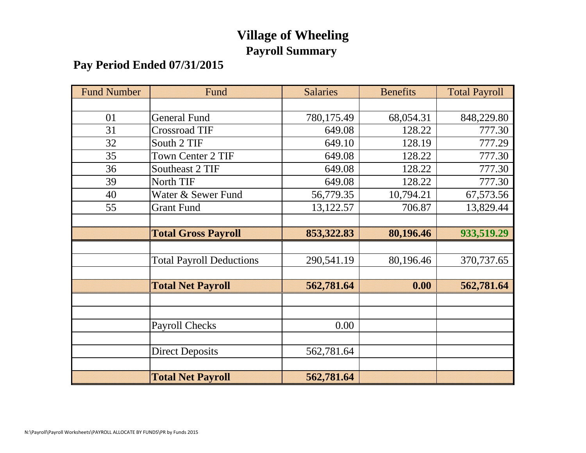# **Village of Wheeling Payroll Summary**

# **Pay Period Ended 07/31/2015**

| <b>Fund Number</b> | Fund                            | <b>Salaries</b> | <b>Benefits</b> | <b>Total Payroll</b> |
|--------------------|---------------------------------|-----------------|-----------------|----------------------|
|                    |                                 |                 |                 |                      |
| 01                 | <b>General Fund</b>             | 780,175.49      | 68,054.31       | 848,229.80           |
| 31                 | <b>Crossroad TIF</b>            | 649.08          | 128.22          | 777.30               |
| 32                 | South 2 TIF                     | 649.10          | 128.19          | 777.29               |
| 35                 | <b>Town Center 2 TIF</b>        | 649.08          | 128.22          | 777.30               |
| 36                 | Southeast 2 TIF                 | 649.08          | 128.22          | 777.30               |
| 39                 | North TIF                       | 649.08          | 128.22          | 777.30               |
| 40                 | Water & Sewer Fund              | 56,779.35       | 10,794.21       | 67,573.56            |
| 55                 | <b>Grant Fund</b>               | 13,122.57       | 706.87          | 13,829.44            |
|                    |                                 |                 |                 |                      |
|                    | <b>Total Gross Payroll</b>      | 853,322.83      | 80,196.46       | 933,519.29           |
|                    |                                 |                 |                 |                      |
|                    | <b>Total Payroll Deductions</b> | 290,541.19      | 80,196.46       | 370,737.65           |
|                    |                                 |                 |                 |                      |
|                    | <b>Total Net Payroll</b>        | 562,781.64      | 0.00            | 562,781.64           |
|                    |                                 |                 |                 |                      |
|                    |                                 |                 |                 |                      |
|                    | <b>Payroll Checks</b>           | 0.00            |                 |                      |
|                    |                                 |                 |                 |                      |
|                    | <b>Direct Deposits</b>          | 562,781.64      |                 |                      |
|                    |                                 |                 |                 |                      |
|                    | <b>Total Net Payroll</b>        | 562,781.64      |                 |                      |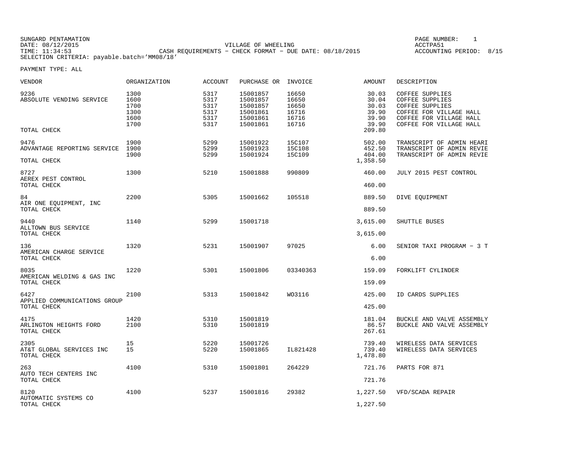SUNGARD PENTAMATION SUNGARD PENTAMATION SUNGARD PAGE NUMBER: 1 DATE: 08/12/2015 VILLAGE OF WHEELING ACCTPA51CASH REQUIREMENTS - CHECK FORMAT - DUE DATE: 08/18/2015 SELECTION CRITERIA: payable.batch='MM08/18'

ACCOUNTING PERIOD: 8/15

| <b>VENDOR</b>                                      | <b>ORGANIZATION</b>                          | <b>ACCOUNT</b>                               | PURCHASE OR                                                          | INVOICE                                            | <b>AMOUNT</b>                                                | DESCRIPTION                                                                                                                                   |
|----------------------------------------------------|----------------------------------------------|----------------------------------------------|----------------------------------------------------------------------|----------------------------------------------------|--------------------------------------------------------------|-----------------------------------------------------------------------------------------------------------------------------------------------|
| 9236<br>ABSOLUTE VENDING SERVICE<br>TOTAL CHECK    | 1300<br>1600<br>1700<br>1300<br>1600<br>1700 | 5317<br>5317<br>5317<br>5317<br>5317<br>5317 | 15001857<br>15001857<br>15001857<br>15001861<br>15001861<br>15001861 | 16650<br>16650<br>16650<br>16716<br>16716<br>16716 | 30.03<br>30.04<br>30.03<br>39.90<br>39.90<br>39.90<br>209.80 | COFFEE SUPPLIES<br><b>COFFEE SUPPLIES</b><br>COFFEE SUPPLIES<br>COFFEE FOR VILLAGE HALL<br>COFFEE FOR VILLAGE HALL<br>COFFEE FOR VILLAGE HALL |
|                                                    |                                              |                                              |                                                                      |                                                    |                                                              |                                                                                                                                               |
| 9476<br>ADVANTAGE REPORTING SERVICE<br>TOTAL CHECK | 1900<br>1900<br>1900                         | 5299<br>5299<br>5299                         | 15001922<br>15001923<br>15001924                                     | <b>15C107</b><br>15C108<br><b>15C109</b>           | 502.00<br>452.50<br>404.00<br>1,358.50                       | TRANSCRIPT OF ADMIN HEARI<br>TRANSCRIPT OF ADMIN REVIE<br>TRANSCRIPT OF ADMIN REVIE                                                           |
| 8727<br>AEREX PEST CONTROL                         | 1300                                         | 5210                                         | 15001888                                                             | 990809                                             | 460.00                                                       | JULY 2015 PEST CONTROL                                                                                                                        |
| TOTAL CHECK                                        |                                              |                                              |                                                                      |                                                    | 460.00                                                       |                                                                                                                                               |
| 84<br>AIR ONE EQUIPMENT, INC                       | 2200                                         | 5305                                         | 15001662                                                             | 105518                                             | 889.50                                                       | DIVE EOUIPMENT                                                                                                                                |
| TOTAL CHECK                                        |                                              |                                              |                                                                      |                                                    | 889.50                                                       |                                                                                                                                               |
| 9440<br>ALLTOWN BUS SERVICE                        | 1140                                         | 5299                                         | 15001718                                                             |                                                    | 3,615.00                                                     | SHUTTLE BUSES                                                                                                                                 |
| TOTAL CHECK                                        |                                              |                                              |                                                                      |                                                    | 3,615.00                                                     |                                                                                                                                               |
| 136<br>AMERICAN CHARGE SERVICE                     | 1320                                         | 5231                                         | 15001907                                                             | 97025                                              | 6.00                                                         | SENIOR TAXI PROGRAM - 3 T                                                                                                                     |
| TOTAL CHECK                                        |                                              |                                              |                                                                      |                                                    | 6.00                                                         |                                                                                                                                               |
| 8035<br>AMERICAN WELDING & GAS INC                 | 1220                                         | 5301                                         | 15001806                                                             | 03340363                                           | 159.09                                                       | FORKLIFT CYLINDER                                                                                                                             |
| TOTAL CHECK                                        |                                              |                                              |                                                                      |                                                    | 159.09                                                       |                                                                                                                                               |
| 6427<br>APPLIED COMMUNICATIONS GROUP               | 2100                                         | 5313                                         | 15001842                                                             | WO3116                                             | 425.00                                                       | ID CARDS SUPPLIES                                                                                                                             |
| TOTAL CHECK                                        |                                              |                                              |                                                                      |                                                    | 425.00                                                       |                                                                                                                                               |
| 4175<br>ARLINGTON HEIGHTS FORD<br>TOTAL CHECK      | 1420<br>2100                                 | 5310<br>5310                                 | 15001819<br>15001819                                                 |                                                    | 181.04<br>86.57<br>267.61                                    | BUCKLE AND VALVE ASSEMBLY<br>BUCKLE AND VALVE ASSEMBLY                                                                                        |
| 2305<br>AT&T GLOBAL SERVICES INC<br>TOTAL CHECK    | 15<br>15                                     | 5220<br>5220                                 | 15001726<br>15001865                                                 | IL821428                                           | 739.40<br>739.40<br>1,478.80                                 | WIRELESS DATA SERVICES<br>WIRELESS DATA SERVICES                                                                                              |
| 263<br>AUTO TECH CENTERS INC                       | 4100                                         | 5310                                         | 15001801                                                             | 264229                                             | 721.76                                                       | PARTS FOR 871                                                                                                                                 |
| TOTAL CHECK                                        |                                              |                                              |                                                                      |                                                    | 721.76                                                       |                                                                                                                                               |
| 8120<br>AUTOMATIC SYSTEMS CO                       | 4100                                         | 5237                                         | 15001816                                                             | 29382                                              | 1,227.50                                                     | VFD/SCADA REPAIR                                                                                                                              |
| TOTAL CHECK                                        |                                              |                                              |                                                                      |                                                    | 1,227.50                                                     |                                                                                                                                               |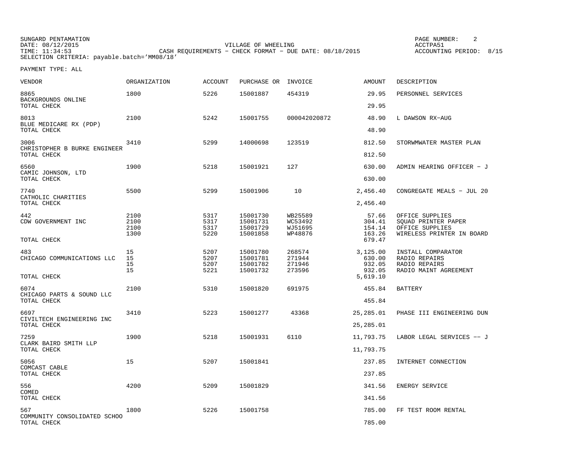| SUNGARD PENTAMATION                         |                                                           | PAGE NUMBER:            |  |
|---------------------------------------------|-----------------------------------------------------------|-------------------------|--|
| DATE: 08/12/2015                            | VILLAGE OF WHEELING                                       | ACCTPA51                |  |
| TIME: 11:34:53                              | CASH REOUIREMENTS - CHECK FORMAT - DUE DATE: $08/18/2015$ | ACCOUNTING PERIOD: 8/15 |  |
| SELECTION CRITERIA: payable.batch='MM08/18' |                                                           |                         |  |

| VENDOR                                              | <b>ORGANIZATION</b>          | <b>ACCOUNT</b>               | PURCHASE OR                                  | INVOICE                                  | <b>AMOUNT</b>                                      | DESCRIPTION                                                                            |
|-----------------------------------------------------|------------------------------|------------------------------|----------------------------------------------|------------------------------------------|----------------------------------------------------|----------------------------------------------------------------------------------------|
| 8865<br>BACKGROUNDS ONLINE                          | 1800                         | 5226                         | 15001887                                     | 454319                                   | 29.95                                              | PERSONNEL SERVICES                                                                     |
| TOTAL CHECK                                         |                              |                              |                                              |                                          | 29.95                                              |                                                                                        |
| 8013<br>BLUE MEDICARE RX (PDP)<br>TOTAL CHECK       | 2100                         | 5242                         | 15001755                                     | 000042020872                             | 48.90<br>48.90                                     | L DAWSON RX-AUG                                                                        |
|                                                     |                              |                              |                                              |                                          |                                                    |                                                                                        |
| 3006<br>CHRISTOPHER B BURKE ENGINEER<br>TOTAL CHECK | 3410                         | 5299                         | 14000698                                     | 123519                                   | 812.50<br>812.50                                   | STORWMWATER MASTER PLAN                                                                |
| 6560                                                | 1900                         | 5218                         | 15001921                                     | 127                                      | 630.00                                             | ADMIN HEARING OFFICER - J                                                              |
| CAMIC JOHNSON, LTD<br>TOTAL CHECK                   |                              |                              |                                              |                                          | 630.00                                             |                                                                                        |
| 7740<br>CATHOLIC CHARITIES                          | 5500                         | 5299                         | 15001906                                     | 10                                       | 2,456.40                                           | CONGREGATE MEALS - JUL 20                                                              |
| TOTAL CHECK                                         |                              |                              |                                              |                                          | 2,456.40                                           |                                                                                        |
| 442<br>CDW GOVERNMENT INC                           | 2100<br>2100<br>2100<br>1300 | 5317<br>5317<br>5317<br>5220 | 15001730<br>15001731<br>15001729<br>15001858 | WB25589<br>WC53492<br>WJ51695<br>WP48876 | 57.66<br>304.41<br>154.14<br>163.26                | OFFICE SUPPLIES<br>SQUAD PRINTER PAPER<br>OFFICE SUPPLIES<br>WIRELESS PRINTER IN BOARD |
| TOTAL CHECK                                         |                              |                              |                                              |                                          | 679.47                                             |                                                                                        |
| 483<br>CHICAGO COMMUNICATIONS LLC<br>TOTAL CHECK    | 15<br>15<br>15<br>15         | 5207<br>5207<br>5207<br>5221 | 15001780<br>15001781<br>15001782<br>15001732 | 268574<br>271944<br>271946<br>273596     | 3,125.00<br>630.00<br>932.05<br>932.05<br>5,619.10 | INSTALL COMPARATOR<br>RADIO REPAIRS<br>RADIO REPAIRS<br>RADIO MAINT AGREEMENT          |
|                                                     |                              |                              |                                              |                                          |                                                    |                                                                                        |
| 6074<br>CHICAGO PARTS & SOUND LLC<br>TOTAL CHECK    | 2100                         | 5310                         | 15001820                                     | 691975                                   | 455.84<br>455.84                                   | <b>BATTERY</b>                                                                         |
| 6697                                                | 3410                         | 5223                         | 15001277                                     | 43368                                    | 25,285.01                                          | PHASE III ENGINEERING DUN                                                              |
| CIVILTECH ENGINEERING INC<br>TOTAL CHECK            |                              |                              |                                              |                                          | 25,285.01                                          |                                                                                        |
| 7259                                                | 1900                         | 5218                         | 15001931                                     | 6110                                     | 11,793.75                                          | LABOR LEGAL SERVICES -- J                                                              |
| CLARK BAIRD SMITH LLP<br>TOTAL CHECK                |                              |                              |                                              |                                          | 11,793.75                                          |                                                                                        |
| 5056                                                | 15                           | 5207                         | 15001841                                     |                                          | 237.85                                             | INTERNET CONNECTION                                                                    |
| COMCAST CABLE<br>TOTAL CHECK                        |                              |                              |                                              |                                          | 237.85                                             |                                                                                        |
| 556<br>COMED                                        | 4200                         | 5209                         | 15001829                                     |                                          | 341.56                                             | ENERGY SERVICE                                                                         |
| TOTAL CHECK                                         |                              |                              |                                              |                                          | 341.56                                             |                                                                                        |
| 567<br>COMMUNITY CONSOLIDATED SCHOO                 | 1800                         | 5226                         | 15001758                                     |                                          | 785.00                                             | FF TEST ROOM RENTAL                                                                    |
| TOTAL CHECK                                         |                              |                              |                                              |                                          | 785.00                                             |                                                                                        |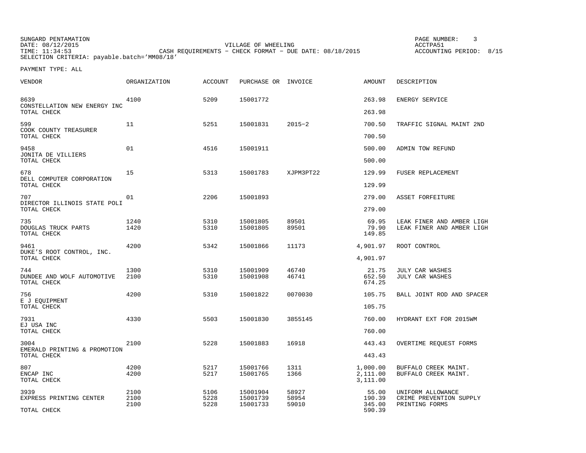SUNGARD PENTAMATION PAGE NUMBER: 3DATE: 08/12/2015 VILLAGE OF WHEELING ACCTPA51ACCOUNTING PERIOD: 8/15 CASH REQUIREMENTS - CHECK FORMAT - DUE DATE: 08/18/2015 SELECTION CRITERIA: payable.batch='MM08/18'

| <b>VENDOR</b>                                    | ORGANIZATION         | <b>ACCOUNT</b>       | PURCHASE OR INVOICE              |                         | AMOUNT                           | DESCRIPTION                                                    |
|--------------------------------------------------|----------------------|----------------------|----------------------------------|-------------------------|----------------------------------|----------------------------------------------------------------|
| 8639<br>CONSTELLATION NEW ENERGY INC             | 4100                 | 5209                 | 15001772                         |                         | 263.98                           | ENERGY SERVICE                                                 |
| TOTAL CHECK                                      |                      |                      |                                  |                         | 263.98                           |                                                                |
| 599<br>COOK COUNTY TREASURER<br>TOTAL CHECK      | 11                   | 5251                 | 15001831                         | $2015 - 2$              | 700.50<br>700.50                 | TRAFFIC SIGNAL MAINT 2ND                                       |
| 9458                                             | 01                   | 4516                 | 15001911                         |                         | 500.00                           | ADMIN TOW REFUND                                               |
| JONITA DE VILLIERS<br>TOTAL CHECK                |                      |                      |                                  |                         | 500.00                           |                                                                |
| 678<br>DELL COMPUTER CORPORATION                 | 15                   | 5313                 | 15001783                         | XJPM3PT22               | 129.99                           | FUSER REPLACEMENT                                              |
| TOTAL CHECK                                      |                      |                      |                                  |                         | 129.99                           |                                                                |
| 707<br>DIRECTOR ILLINOIS STATE POLI              | 01                   | 2206                 | 15001893                         |                         | 279.00                           | ASSET FORFEITURE                                               |
| TOTAL CHECK                                      |                      |                      |                                  |                         | 279.00                           |                                                                |
| 735<br>DOUGLAS TRUCK PARTS<br>TOTAL CHECK        | 1240<br>1420         | 5310<br>5310         | 15001805<br>15001805             | 89501<br>89501          | 69.95<br>79.90<br>149.85         | LEAK FINER AND AMBER LIGH<br>LEAK FINER AND AMBER LIGH         |
| 9461                                             | 4200                 | 5342                 | 15001866                         | 11173                   | 4,901.97                         | ROOT CONTROL                                                   |
| DUKE'S ROOT CONTROL, INC.<br>TOTAL CHECK         |                      |                      |                                  |                         | 4,901.97                         |                                                                |
| 744<br>DUNDEE AND WOLF AUTOMOTIVE<br>TOTAL CHECK | 1300<br>2100         | 5310<br>5310         | 15001909<br>15001908             | 46740<br>46741          | 21.75<br>652.50<br>674.25        | <b>JULY CAR WASHES</b><br>JULY CAR WASHES                      |
| 756                                              | 4200                 | 5310                 | 15001822                         | 0070030                 | 105.75                           | BALL JOINT ROD AND SPACER                                      |
| E J EQUIPMENT<br>TOTAL CHECK                     |                      |                      |                                  |                         | 105.75                           |                                                                |
| 7931<br>EJ USA INC                               | 4330                 | 5503                 | 15001830                         | 3855145                 | 760.00                           | HYDRANT EXT FOR 2015WM                                         |
| TOTAL CHECK                                      |                      |                      |                                  |                         | 760.00                           |                                                                |
| 3004<br>EMERALD PRINTING & PROMOTION             | 2100                 | 5228                 | 15001883                         | 16918                   | 443.43                           | OVERTIME REQUEST FORMS                                         |
| TOTAL CHECK                                      |                      |                      |                                  |                         | 443.43                           |                                                                |
| 807<br>ENCAP INC<br>TOTAL CHECK                  | 4200<br>4200         | 5217<br>5217         | 15001766<br>15001765             | 1311<br>1366            | 1,000.00<br>2,111.00<br>3,111.00 | BUFFALO CREEK MAINT.<br>BUFFALO CREEK MAINT.                   |
| 3939<br>EXPRESS PRINTING CENTER                  | 2100<br>2100<br>2100 | 5106<br>5228<br>5228 | 15001904<br>15001739<br>15001733 | 58927<br>58954<br>59010 | 55.00<br>190.39<br>345.00        | UNIFORM ALLOWANCE<br>CRIME PREVENTION SUPPLY<br>PRINTING FORMS |
| TOTAL CHECK                                      |                      |                      |                                  |                         | 590.39                           |                                                                |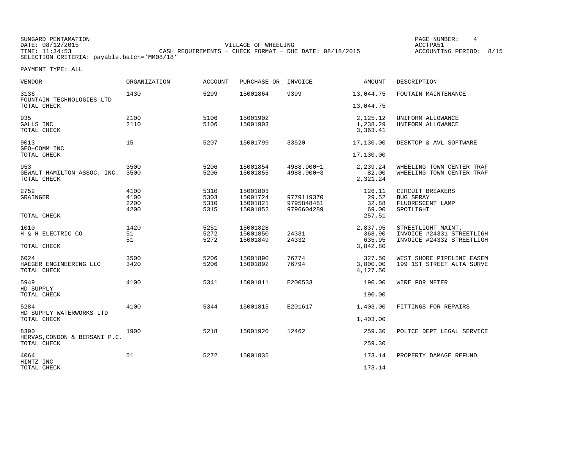SUNGARD PENTAMATION PAGE NUMBER: 4DATE: 08/12/2015 VILLAGE OF WHEELING ACCTPA51ACCOUNTING PERIOD: 8/15 THE CASH REQUIREMENTS - CHECK FORMAT - DUE DATE: 08/18/2015 SELECTION CRITERIA: payable.batch='MM08/18'

| <b>VENDOR</b>                                        | <b>ORGANIZATION</b>          | <b>ACCOUNT</b>               | PURCHASE OR                                  | INVOICE                                | <b>AMOUNT</b>                            | DESCRIPTION                                                                  |
|------------------------------------------------------|------------------------------|------------------------------|----------------------------------------------|----------------------------------------|------------------------------------------|------------------------------------------------------------------------------|
| 3136<br>FOUNTAIN TECHNOLOGIES LTD<br>TOTAL CHECK     | 1430                         | 5299                         | 15001864                                     | 9399                                   | 13,044.75<br>13,044.75                   | FOUTAIN MAINTENANCE                                                          |
| 935<br>GALLS INC<br>TOTAL CHECK                      | 2100<br>2110                 | 5106<br>5106                 | 15001902<br>15001903                         |                                        | 2,125.12<br>1,238.29<br>3,363.41         | UNIFORM ALLOWANCE<br>UNIFORM ALLOWANCE                                       |
| 9013<br>GEO-COMM INC<br>TOTAL CHECK                  | 15                           | 5207                         | 15001799                                     | 33520                                  | 17,130.00<br>17,130.00                   | DESKTOP & AVL SOFTWARE                                                       |
| 953<br>GEWALT HAMILTON ASSOC. INC.<br>TOTAL CHECK    | 3500<br>3500                 | 5206<br>5206                 | 15001854<br>15001855                         | 4988.900-1<br>$4988.900 - 3$           | 2,239.24<br>82.00<br>2,321.24            | WHEELING TOWN CENTER TRAF<br>WHEELING TOWN CENTER TRAF                       |
| 2752<br>GRAINGER                                     | 4100<br>4100<br>2200<br>4200 | 5310<br>5303<br>5310<br>5315 | 15001803<br>15001724<br>15001821<br>15001852 | 9779119370<br>9795848481<br>9796604289 | 126.11<br>29.52<br>32.88<br>69.00        | CIRCUIT BREAKERS<br><b>BUG SPRAY</b><br>FLUORESCENT LAMP<br>SPOTLIGHT        |
| TOTAL CHECK                                          |                              |                              |                                              |                                        | 257.51                                   |                                                                              |
| 1010<br>H & H ELECTRIC CO<br>TOTAL CHECK             | 1420<br>51<br>51             | 5251<br>5272<br>5272         | 15001828<br>15001850<br>15001849             | 24331<br>24332                         | 2,837.95<br>368.90<br>635.95<br>3,842.80 | STREETLIGHT MAINT.<br>INVOICE #24331 STREETLIGH<br>INVOICE #24332 STREETLIGH |
| 6024<br>HAEGER ENGINEERING LLC<br>TOTAL CHECK        | 3500<br>3420                 | 5206<br>5206                 | 15001890<br>15001892                         | 76774<br>76794                         | 327.50<br>3,800.00<br>4,127.50           | WEST SHORE PIPELINE EASEM<br>199 1ST STREET ALTA SURVE                       |
| 5949<br>HD SUPPLY<br>TOTAL CHECK                     | 4100                         | 5341                         | 15001811                                     | E200533                                | 190.00<br>190.00                         | WIRE FOR METER                                                               |
| 5284<br>HD SUPPLY WATERWORKS LTD<br>TOTAL CHECK      | 4100                         | 5344                         | 15001815                                     | E201617                                | 1,403.00<br>1,403.00                     | FITTINGS FOR REPAIRS                                                         |
| 8390<br>HERVAS, CONDON & BERSANI P.C.<br>TOTAL CHECK | 1900                         | 5218                         | 15001920                                     | 12462                                  | 259.30<br>259.30                         | POLICE DEPT LEGAL SERVICE                                                    |
| 4064<br>HINTZ INC<br>TOTAL CHECK                     | 51                           | 5272                         | 15001835                                     |                                        | 173.14<br>173.14                         | PROPERTY DAMAGE REFUND                                                       |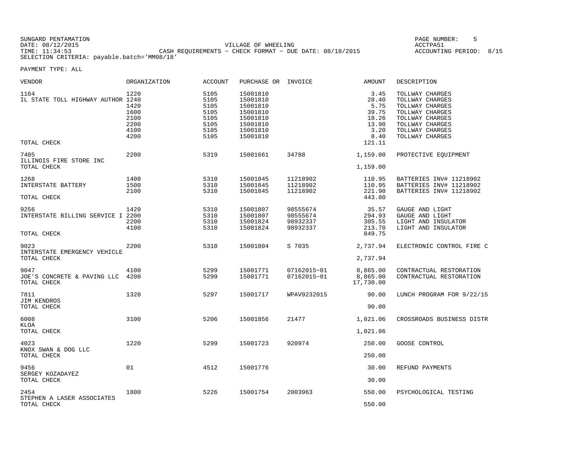SUNGARD PENTAMATION PAGE NUMBER: 5DATE: 08/12/2015 VILLAGE OF WHEELING ACCTPA51CASH REQUIREMENTS − CHECK FORMAT − DUE DATE: 08/18/2015 SELECTION CRITERIA: payable.batch='MM08/18'

ACCOUNTING PERIOD: 8/15

| VENDOR                                                   | ORGANIZATION                                         | <b>ACCOUNT</b>                                               | PURCHASE OR INVOICE                                                                          |                                              | AMOUNT                                                                     | DESCRIPTION                                                                                                                                          |
|----------------------------------------------------------|------------------------------------------------------|--------------------------------------------------------------|----------------------------------------------------------------------------------------------|----------------------------------------------|----------------------------------------------------------------------------|------------------------------------------------------------------------------------------------------------------------------------------------------|
| 1164<br>IL STATE TOLL HIGHWAY AUTHOR 1240<br>TOTAL CHECK | 1220<br>1420<br>1600<br>2100<br>2200<br>4100<br>4200 | 5105<br>5105<br>5105<br>5105<br>5105<br>5105<br>5105<br>5105 | 15001810<br>15001810<br>15001810<br>15001810<br>15001810<br>15001810<br>15001810<br>15001810 |                                              | 3.45<br>28.40<br>5.75<br>39.75<br>18.26<br>13.90<br>3.20<br>8.40<br>121.11 | TOLLWAY CHARGES<br>TOLLWAY CHARGES<br>TOLLWAY CHARGES<br>TOLLWAY CHARGES<br>TOLLWAY CHARGES<br>TOLLWAY CHARGES<br>TOLLWAY CHARGES<br>TOLLWAY CHARGES |
| 7405<br>ILLINOIS FIRE STORE INC<br>TOTAL CHECK           | 2200                                                 | 5319                                                         | 15001661                                                                                     | 34788                                        | 1,159.00<br>1,159.00                                                       | PROTECTIVE EQUIPMENT                                                                                                                                 |
| 1268<br>INTERSTATE BATTERY<br>TOTAL CHECK                | 1400<br>1500<br>2100                                 | 5310<br>5310<br>5310                                         | 15001845<br>15001845<br>15001845                                                             | 11218902<br>11218902<br>11218902             | 110.95<br>110.95<br>221.90<br>443.80                                       | BATTERIES INV# 11218902<br>BATTERIES INV# 11218902<br>BATTERIES INV# 11218902                                                                        |
| 9256<br>INTERSTATE BILLING SERVICE I 2200<br>TOTAL CHECK | 1420<br>2200<br>4100                                 | 5310<br>5310<br>5310<br>5310                                 | 15001807<br>15001807<br>15001824<br>15001824                                                 | 98555674<br>98555674<br>98932337<br>98932337 | 35.57<br>294.93<br>305.55<br>213.70<br>849.75                              | GAUGE AND LIGHT<br>GAUGE AND LIGHT<br>LIGHT AND INSULATOR<br>LIGHT AND INSULATOR                                                                     |
| 9023<br>INTERSTATE EMERGENCY VEHICLE<br>TOTAL CHECK      | 2200                                                 | 5310                                                         | 15001804                                                                                     | S 7035                                       | 2,737.94<br>2,737.94                                                       | ELECTRONIC CONTROL FIRE C                                                                                                                            |
| 9047<br>JOE'S CONCRETE & PAVING LLC<br>TOTAL CHECK       | 4100<br>4200                                         | 5299<br>5299                                                 | 15001771<br>15001771                                                                         | 07162015-01<br>07162015-01                   | 8,865.00<br>8,865.00<br>17,730.00                                          | CONTRACTUAL RESTORATION<br>CONTRACTUAL RESTORATION                                                                                                   |
| 7811<br>JIM KENDROS<br>TOTAL CHECK                       | 1320                                                 | 5297                                                         | 15001717                                                                                     | WPAV9232015                                  | 90.00<br>90.00                                                             | LUNCH PROGRAM FOR 9/22/15                                                                                                                            |
| 6008<br>KLOA<br>TOTAL CHECK                              | 3100                                                 | 5206                                                         | 15001856                                                                                     | 21477                                        | 1,021.06<br>1,021.06                                                       | CROSSROADS BUSINESS DISTR                                                                                                                            |
| 4023<br>KNOX SWAN & DOG LLC<br>TOTAL CHECK               | 1220                                                 | 5299                                                         | 15001723                                                                                     | 920974                                       | 250.00<br>250.00                                                           | GOOSE CONTROL                                                                                                                                        |
| 9456<br>SERGEY KOZADAYEZ<br>TOTAL CHECK                  | 01                                                   | 4512                                                         | 15001776                                                                                     |                                              | 30.00<br>30.00                                                             | REFUND PAYMENTS                                                                                                                                      |
| 2454<br>STEPHEN A LASER ASSOCIATES<br>TOTAL CHECK        | 1800                                                 | 5226                                                         | 15001754                                                                                     | 2003963                                      | 550.00<br>550.00                                                           | PSYCHOLOGICAL TESTING                                                                                                                                |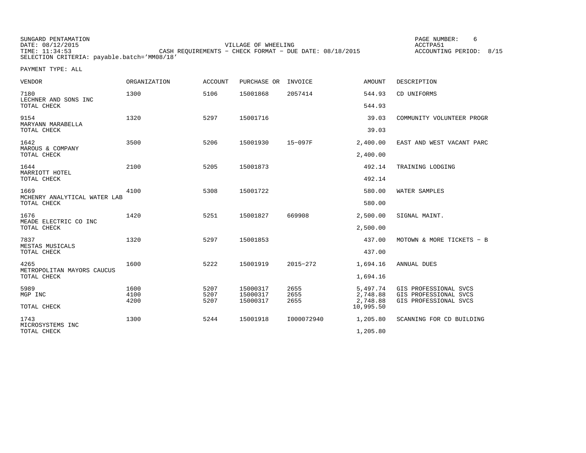| SUNGARD PENTAMATION                         |                                                         | PAGE NUMBER:            |  |
|---------------------------------------------|---------------------------------------------------------|-------------------------|--|
| DATE: 08/12/2015                            | VILLAGE OF WHEELING                                     | ACCTPA51                |  |
| TIME: 11:34:53                              | CASH REOUIREMENTS - CHECK FORMAT - DUE DATE: 08/18/2015 | ACCOUNTING PERIOD: 8/15 |  |
| SELECTION CRITERIA: payable.batch='MM08/18' |                                                         |                         |  |

| <b>VENDOR</b>                        | <b>ORGANIZATION</b> | <b>ACCOUNT</b> | PURCHASE OR          | INVOICE      | <b>AMOUNT</b>         | DESCRIPTION                                    |
|--------------------------------------|---------------------|----------------|----------------------|--------------|-----------------------|------------------------------------------------|
| 7180<br>LECHNER AND SONS INC         | 1300                | 5106           | 15001868             | 2057414      | 544.93                | CD UNIFORMS                                    |
| TOTAL CHECK                          |                     |                |                      |              | 544.93                |                                                |
| 9154<br>MARYANN MARABELLA            | 1320                | 5297           | 15001716             |              | 39.03                 | COMMUNITY VOLUNTEER PROGR                      |
| TOTAL CHECK                          |                     |                |                      |              | 39.03                 |                                                |
| 1642<br>MAROUS & COMPANY             | 3500                | 5206           | 15001930             | $15 - 097F$  | 2,400.00              | EAST AND WEST VACANT PARC                      |
| TOTAL CHECK                          |                     |                |                      |              | 2,400.00              |                                                |
| 1644<br>MARRIOTT HOTEL               | 2100                | 5205           | 15001873             |              | 492.14                | TRAINING LODGING                               |
| TOTAL CHECK                          |                     |                |                      |              | 492.14                |                                                |
| 1669<br>MCHENRY ANALYTICAL WATER LAB | 4100                | 5308           | 15001722             |              | 580.00                | WATER SAMPLES                                  |
| TOTAL CHECK                          |                     |                |                      |              | 580.00                |                                                |
| 1676<br>MEADE ELECTRIC CO INC        | 1420                | 5251           | 15001827             | 669908       | 2,500.00              | SIGNAL MAINT.                                  |
| TOTAL CHECK                          |                     |                |                      |              | 2,500.00              |                                                |
| 7837<br>MESTAS MUSICALS              | 1320                | 5297           | 15001853             |              | 437.00                | MOTOWN & MORE TICKETS - B                      |
| TOTAL CHECK                          |                     |                |                      |              | 437.00                |                                                |
| 4265<br>METROPOLITAN MAYORS CAUCUS   | 1600                | 5222           | 15001919             | 2015-272     | 1,694.16              | ANNUAL DUES                                    |
| TOTAL CHECK                          |                     |                |                      |              | 1,694.16              |                                                |
| 5989<br>MGP INC                      | 1600<br>4100        | 5207<br>5207   | 15000317<br>15000317 | 2655<br>2655 | 5,497.74<br>2,748.88  | GIS PROFESSIONAL SVCS<br>GIS PROFESSIONAL SVCS |
| TOTAL CHECK                          | 4200                | 5207           | 15000317             | 2655         | 2,748.88<br>10,995.50 | GIS PROFESSIONAL SVCS                          |
|                                      |                     |                |                      |              |                       |                                                |
| 1743<br>MICROSYSTEMS INC             | 1300                | 5244           | 15001918             | I000072940   | 1,205.80              | SCANNING FOR CD BUILDING                       |
| TOTAL CHECK                          |                     |                |                      |              | 1,205.80              |                                                |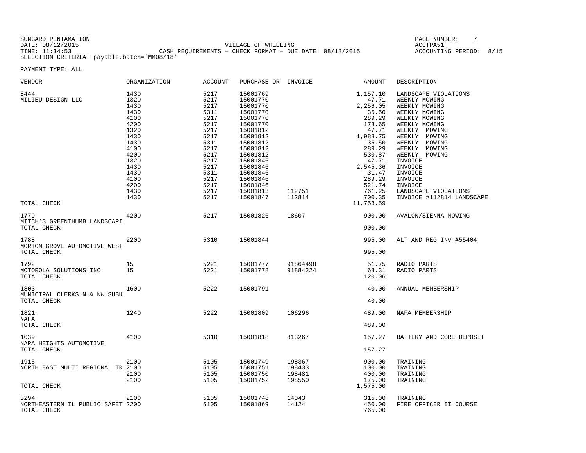SUNGARD PENTAMATION PAGE NUMBER: 7DATE: 08/12/2015 VILLAGE OF WHEELING ACCTPA51 TIME: 11:34:53 CASH REQUIREMENTS − CHECK FORMAT − DUE DATE: 08/18/2015 ACCOUNTING PERIOD: 8/15 SELECTION CRITERIA: payable.batch='MM08/18'

| VENDOR                                                   | <b>ORGANIZATION</b>                                                                                                                          | <b>ACCOUNT</b>                                                                                                                               | PURCHASE OR INVOICE                                                                                                                                                                                                  |                                      | AMOUNT                                                                                                                                                                                          | DESCRIPTION                                                                                                                                                                                                                                                                                                |
|----------------------------------------------------------|----------------------------------------------------------------------------------------------------------------------------------------------|----------------------------------------------------------------------------------------------------------------------------------------------|----------------------------------------------------------------------------------------------------------------------------------------------------------------------------------------------------------------------|--------------------------------------|-------------------------------------------------------------------------------------------------------------------------------------------------------------------------------------------------|------------------------------------------------------------------------------------------------------------------------------------------------------------------------------------------------------------------------------------------------------------------------------------------------------------|
| 8444<br>MILIEU DESIGN LLC<br>TOTAL CHECK                 | 1430<br>1320<br>1430<br>1430<br>4100<br>4200<br>1320<br>1430<br>1430<br>4100<br>4200<br>1320<br>1430<br>1430<br>4100<br>4200<br>1430<br>1430 | 5217<br>5217<br>5217<br>5311<br>5217<br>5217<br>5217<br>5217<br>5311<br>5217<br>5217<br>5217<br>5217<br>5311<br>5217<br>5217<br>5217<br>5217 | 15001769<br>15001770<br>15001770<br>15001770<br>15001770<br>15001770<br>15001812<br>15001812<br>15001812<br>15001812<br>15001812<br>15001846<br>15001846<br>15001846<br>15001846<br>15001846<br>15001813<br>15001847 | 112751<br>112814                     | 1,157.10<br>47.71<br>2,256.05<br>35.50<br>289.29<br>178.65<br>47.71<br>1,988.75<br>35.50<br>289.29<br>530.87<br>47.71<br>2,545.36<br>31.47<br>289.29<br>521.74<br>761.25<br>700.35<br>11,753.59 | LANDSCAPE VIOLATIONS<br>WEEKLY MOWING<br>WEEKLY MOWING<br>WEEKLY MOWING<br>WEEKLY MOWING<br>WEEKLY MOWING<br>WEEKLY MOWING<br>WEEKLY MOWING<br>WEEKLY MOWING<br>WEEKLY MOWING<br>WEEKLY MOWING<br>INVOICE<br>INVOICE<br>INVOICE<br>INVOICE<br>INVOICE<br>LANDSCAPE VIOLATIONS<br>INVOICE #112814 LANDSCAPE |
| 1779                                                     | 4200                                                                                                                                         | 5217                                                                                                                                         | 15001826                                                                                                                                                                                                             | 18607                                | 900.00                                                                                                                                                                                          | AVALON/SIENNA MOWING                                                                                                                                                                                                                                                                                       |
| MITCH'S GREENTHUMB LANDSCAPI<br>TOTAL CHECK              |                                                                                                                                              |                                                                                                                                              |                                                                                                                                                                                                                      |                                      | 900.00                                                                                                                                                                                          |                                                                                                                                                                                                                                                                                                            |
| 1788<br>MORTON GROVE AUTOMOTIVE WEST<br>TOTAL CHECK      | 2200                                                                                                                                         | 5310                                                                                                                                         | 15001844                                                                                                                                                                                                             |                                      | 995.00<br>995.00                                                                                                                                                                                | ALT AND REG INV #55404                                                                                                                                                                                                                                                                                     |
| 1792<br>MOTOROLA SOLUTIONS INC<br>TOTAL CHECK            | 15<br>15                                                                                                                                     | 5221<br>5221                                                                                                                                 | 15001777<br>15001778                                                                                                                                                                                                 | 91864498<br>91884224                 | 51.75<br>68.31<br>120.06                                                                                                                                                                        | RADIO PARTS<br>RADIO PARTS                                                                                                                                                                                                                                                                                 |
| 1803<br>MUNICIPAL CLERKS N & NW SUBU<br>TOTAL CHECK      | 1600                                                                                                                                         | 5222                                                                                                                                         | 15001791                                                                                                                                                                                                             |                                      | 40.00<br>40.00                                                                                                                                                                                  | ANNUAL MEMBERSHIP                                                                                                                                                                                                                                                                                          |
| 1821<br>NAFA<br>TOTAL CHECK                              | 1240                                                                                                                                         | 5222                                                                                                                                         | 15001809                                                                                                                                                                                                             | 106296                               | 489.00<br>489.00                                                                                                                                                                                | NAFA MEMBERSHIP                                                                                                                                                                                                                                                                                            |
| 1039<br>NAPA HEIGHTS AUTOMOTIVE<br>TOTAL CHECK           | 4100                                                                                                                                         | 5310                                                                                                                                         | 15001818                                                                                                                                                                                                             | 813267                               | 157.27<br>157.27                                                                                                                                                                                | BATTERY AND CORE DEPOSIT                                                                                                                                                                                                                                                                                   |
| 1915<br>NORTH EAST MULTI REGIONAL TR 2100<br>TOTAL CHECK | 2100<br>2100<br>2100                                                                                                                         | 5105<br>5105<br>5105<br>5105                                                                                                                 | 15001749<br>15001751<br>15001750<br>15001752                                                                                                                                                                         | 198367<br>198433<br>198481<br>198550 | 900.00<br>100.00<br>400.00<br>175.00<br>1,575.00                                                                                                                                                | TRAINING<br>TRAINING<br>TRAINING<br>TRAINING                                                                                                                                                                                                                                                               |
| 3294<br>NORTHEASTERN IL PUBLIC SAFET 2200<br>TOTAL CHECK | 2100                                                                                                                                         | 5105<br>5105                                                                                                                                 | 15001748<br>15001869                                                                                                                                                                                                 | 14043<br>14124                       | 315.00<br>450.00<br>765.00                                                                                                                                                                      | TRAINING<br>FIRE OFFICER II COURSE                                                                                                                                                                                                                                                                         |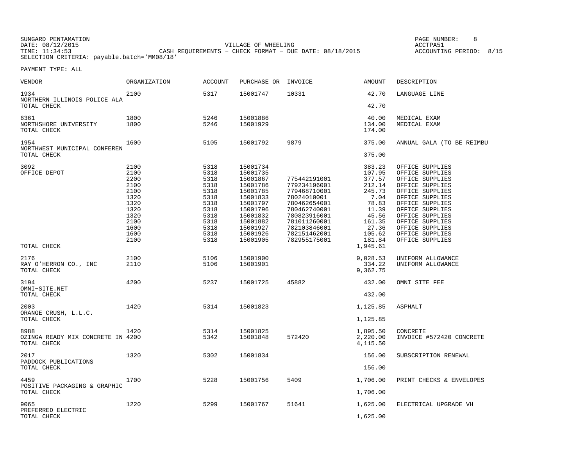SUNGARD PENTAMATION PAGE NUMBER: 8DATE: 08/12/2015 VILLAGE OF WHEELING ACCTPA51ACCOUNTING PERIOD: 8/15 CASH REQUIREMENTS - CHECK FORMAT - DUE DATE: 08/18/2015 SELECTION CRITERIA: payable.batch='MM08/18'

| VENDOR                               | ORGANIZATION | <b>ACCOUNT</b> | PURCHASE OR | INVOICE      | AMOUNT           | DESCRIPTION               |
|--------------------------------------|--------------|----------------|-------------|--------------|------------------|---------------------------|
| 1934<br>NORTHERN ILLINOIS POLICE ALA | 2100         | 5317           | 15001747    | 10331        | 42.70            | LANGUAGE LINE             |
| TOTAL CHECK                          |              |                |             |              | 42.70            |                           |
| 6361                                 | 1800         | 5246           | 15001886    |              | 40.00            | MEDICAL EXAM              |
| NORTHSHORE UNIVERSITY<br>TOTAL CHECK | 1800         | 5246           | 15001929    |              | 134.00<br>174.00 | MEDICAL EXAM              |
| 1954<br>NORTHWEST MUNICIPAL CONFEREN | 1600         | 5105           | 15001792    | 9879         | 375.00           | ANNUAL GALA (TO BE REIMBU |
| TOTAL CHECK                          |              |                |             |              | 375.00           |                           |
| 3092                                 | 2100         | 5318           | 15001734    |              | 383.23           | OFFICE SUPPLIES           |
| OFFICE DEPOT                         | 2100         | 5318           | 15001735    |              | 107.95           | OFFICE SUPPLIES           |
|                                      | 2200         | 5318           | 15001867    | 775442191001 | 377.57           | OFFICE SUPPLIES           |
|                                      | 2100         | 5318           | 15001786    | 779234196001 | 212.14           | OFFICE SUPPLIES           |
|                                      | 2100         | 5318           | 15001785    | 779468710001 | 245.73           | OFFICE SUPPLIES           |
|                                      | 1320         | 5318           | 15001833    | 78024010001  | 7.04             | OFFICE SUPPLIES           |
|                                      | 1320         | 5318           | 15001797    | 780462654001 | 78.83            | OFFICE SUPPLIES           |
|                                      | 1320         | 5318           | 15001796    | 780462740001 | 11.39            | OFFICE SUPPLIES           |
|                                      | 1320         | 5318           | 15001832    | 780823916001 | 45.56            | OFFICE SUPPLIES           |
|                                      | 2100         | 5318           | 15001882    | 781011260001 | 161.35           | OFFICE SUPPLIES           |
|                                      | 1600         | 5318           | 15001927    | 782103846001 | 27.36            | OFFICE SUPPLIES           |
|                                      | 1600         | 5318           | 15001926    | 782151462001 | 105.62           | OFFICE SUPPLIES           |
|                                      | 2100         | 5318           | 15001905    | 782955175001 | 181.84           | OFFICE SUPPLIES           |
| TOTAL CHECK                          |              |                |             |              | 1,945.61         |                           |
|                                      |              |                |             |              |                  |                           |
| 2176                                 | 2100         | 5106           | 15001900    |              | 9,028.53         | UNIFORM ALLOWANCE         |
| RAY O'HERRON CO., INC                | 2110         | 5106           | 15001901    |              | 334.22           | UNIFORM ALLOWANCE         |
| TOTAL CHECK                          |              |                |             |              | 9,362.75         |                           |
| 3194                                 | 4200         | 5237           | 15001725    | 45882        | 432.00           | OMNI SITE FEE             |
| OMNI-SITE.NET<br>TOTAL CHECK         |              |                |             |              | 432.00           |                           |
|                                      |              |                |             |              |                  |                           |
| 2003<br>ORANGE CRUSH, L.L.C.         | 1420         | 5314           | 15001823    |              | 1,125.85         | <b>ASPHALT</b>            |
| TOTAL CHECK                          |              |                |             |              | 1,125.85         |                           |
| 8988                                 | 1420         | 5314           | 15001825    |              | 1,895.50         | CONCRETE                  |
| OZINGA READY MIX CONCRETE IN 4200    |              | 5342           | 15001848    | 572420       | 2,220.00         | INVOICE #572420 CONCRETE  |
| TOTAL CHECK                          |              |                |             |              | 4,115.50         |                           |
| 2017                                 | 1320         | 5302           | 15001834    |              | 156.00           | SUBSCRIPTION RENEWAL      |
| PADDOCK PUBLICATIONS<br>TOTAL CHECK  |              |                |             |              | 156.00           |                           |
|                                      |              |                |             |              |                  |                           |
| 4459<br>POSITIVE PACKAGING & GRAPHIC | 1700         | 5228           | 15001756    | 5409         | 1,706.00         | PRINT CHECKS & ENVELOPES  |
| TOTAL CHECK                          |              |                |             |              | 1,706.00         |                           |
| 9065                                 | 1220         | 5299           | 15001767    | 51641        | 1,625.00         | ELECTRICAL UPGRADE VH     |
| PREFERRED ELECTRIC<br>TOTAL CHECK    |              |                |             |              | 1,625.00         |                           |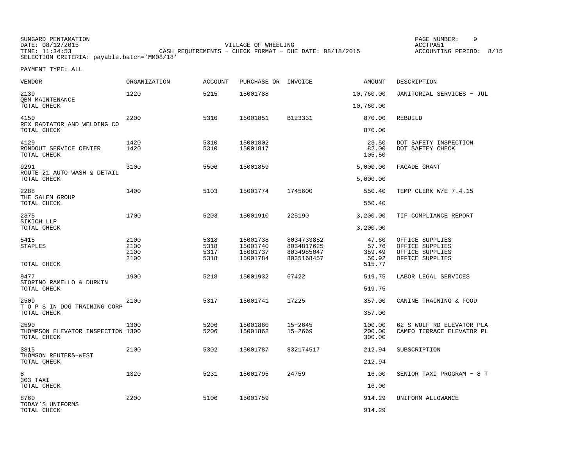SUNGARD PENTAMATION PAGE NUMBER: 9DATE: 08/12/2015 VILLAGE OF WHEELING ACCTPA51CASH REQUIREMENTS - CHECK FORMAT - DUE DATE: 08/18/2015 SELECTION CRITERIA: payable.batch='MM08/18'

ACCOUNTING PERIOD: 8/15

PAYMENT TYPE: ALL

| VENDOR                                                   | <b>ORGANIZATION</b>  | <b>ACCOUNT</b>       | PURCHASE OR INVOICE              |                                        | AMOUNT                     | DESCRIPTION                                            |
|----------------------------------------------------------|----------------------|----------------------|----------------------------------|----------------------------------------|----------------------------|--------------------------------------------------------|
| 2139<br>OBM MAINTENANCE                                  | 1220                 | 5215                 | 15001788                         |                                        | 10,760.00                  | JANITORIAL SERVICES - JUL                              |
| TOTAL CHECK                                              |                      |                      |                                  |                                        | 10,760.00                  |                                                        |
| 4150<br>REX RADIATOR AND WELDING CO                      | 2200                 | 5310                 | 15001851                         | B123331                                | 870.00                     | REBUILD                                                |
| TOTAL CHECK                                              |                      |                      |                                  |                                        | 870.00                     |                                                        |
| 4129<br>RONDOUT SERVICE CENTER<br>TOTAL CHECK            | 1420<br>1420         | 5310<br>5310         | 15001802<br>15001817             |                                        | 23.50<br>82.00<br>105.50   | DOT SAFETY INSPECTION<br>DOT SAFTEY CHECK              |
| 9291<br>ROUTE 21 AUTO WASH & DETAIL                      | 3100                 | 5506                 | 15001859                         |                                        | 5,000.00                   | FACADE GRANT                                           |
| TOTAL CHECK                                              |                      |                      |                                  |                                        | 5,000.00                   |                                                        |
| 2288<br>THE SALEM GROUP                                  | 1400                 | 5103                 | 15001774                         | 1745600                                | 550.40                     | TEMP CLERK W/E 7.4.15                                  |
| TOTAL CHECK                                              |                      |                      |                                  |                                        | 550.40                     |                                                        |
| 2375<br>SIKICH LLP                                       | 1700                 | 5203                 | 15001910                         | 225190                                 | 3,200.00                   | TIF COMPLIANCE REPORT                                  |
| TOTAL CHECK                                              |                      |                      |                                  |                                        | 3,200.00                   |                                                        |
| 5415<br><b>STAPLES</b>                                   | 2100<br>2100<br>2100 | 5318<br>5318<br>5317 | 15001738<br>15001740<br>15001737 | 8034733852<br>8034817625<br>8034985047 | 47.60<br>57.76<br>359.49   | OFFICE SUPPLIES<br>OFFICE SUPPLIES<br>OFFICE SUPPLIES  |
| TOTAL CHECK                                              | 2100                 | 5318                 | 15001784                         | 8035168457                             | 50.92<br>515.77            | OFFICE SUPPLIES                                        |
| 9477<br>STORINO RAMELLO & DURKIN                         | 1900                 | 5218                 | 15001932                         | 67422                                  | 519.75                     | LABOR LEGAL SERVICES                                   |
| TOTAL CHECK                                              |                      |                      |                                  |                                        | 519.75                     |                                                        |
| 2509<br>T O P S IN DOG TRAINING CORP                     | 2100                 | 5317                 | 15001741                         | 17225                                  | 357.00                     | CANINE TRAINING & FOOD                                 |
| TOTAL CHECK                                              |                      |                      |                                  |                                        | 357.00                     |                                                        |
| 2590<br>THOMPSON ELEVATOR INSPECTION 1300<br>TOTAL CHECK | 1300                 | 5206<br>5206         | 15001860<br>15001862             | $15 - 2645$<br>$15 - 2669$             | 100.00<br>200.00<br>300.00 | 62 S WOLF RD ELEVATOR PLA<br>CAMEO TERRACE ELEVATOR PL |
| 3815<br>THOMSON REUTERS-WEST                             | 2100                 | 5302                 | 15001787                         | 832174517                              | 212.94                     | SUBSCRIPTION                                           |
| TOTAL CHECK                                              |                      |                      |                                  |                                        | 212.94                     |                                                        |
| 8<br>303 TAXI                                            | 1320                 | 5231                 | 15001795                         | 24759                                  | 16.00                      | SENIOR TAXI PROGRAM - 8 T                              |
| TOTAL CHECK                                              |                      |                      |                                  |                                        | 16.00                      |                                                        |
| 8760<br>TODAY'S UNIFORMS                                 | 2200                 | 5106                 | 15001759                         |                                        | 914.29                     | UNIFORM ALLOWANCE                                      |
| TOTAL CHECK                                              |                      |                      |                                  |                                        | 914.29                     |                                                        |